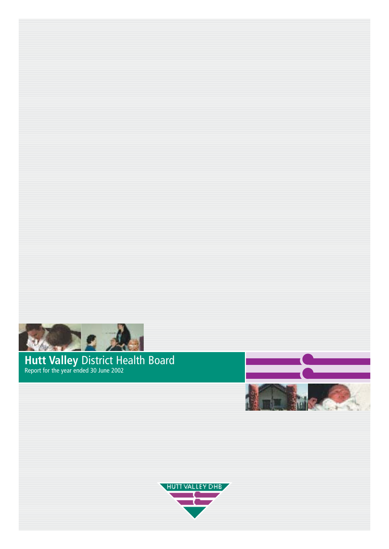

**Hutt Valley** District Health Board Report for the year ended 30 June 2002



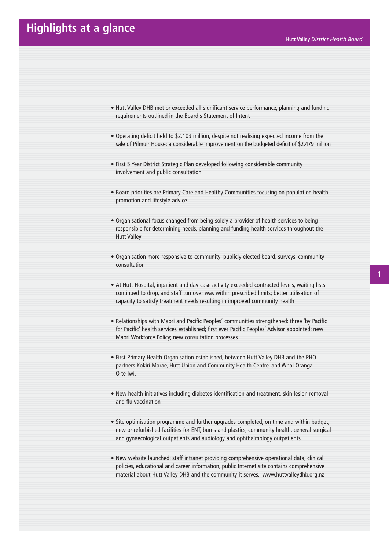- Hutt Valley DHB met or exceeded all significant service performance, planning and funding requirements outlined in the Board's Statement of Intent
- Operating deficit held to \$2.103 million, despite not realising expected income from the sale of Pilmuir House; a considerable improvement on the budgeted deficit of \$2.479 million
- First 5 Year District Strategic Plan developed following considerable community involvement and public consultation
- Board priorities are Primary Care and Healthy Communities focusing on population health promotion and lifestyle advice
- Organisational focus changed from being solely a provider of health services to being responsible for determining needs, planning and funding health services throughout the Hutt Valley
- Organisation more responsive to community: publicly elected board, surveys, community consultation
- At Hutt Hospital, inpatient and day-case activity exceeded contracted levels, waiting lists continued to drop, and staff turnover was within prescribed limits; better utilisation of capacity to satisfy treatment needs resulting in improved community health
- Relationships with Maori and Pacific Peoples' communities strengthened: three 'by Pacific for Pacific' health services established; first ever Pacific Peoples' Advisor appointed; new Maori Workforce Policy; new consultation processes
- First Primary Health Organisation established, between Hutt Valley DHB and the PHO partners Kokiri Marae, Hutt Union and Community Health Centre, and Whai Oranga O te Iwi.
- New health initiatives including diabetes identification and treatment, skin lesion removal and flu vaccination
- Site optimisation programme and further upgrades completed, on time and within budget; new or refurbished facilities for ENT, burns and plastics, community health, general surgical and gynaecological outpatients and audiology and ophthalmology outpatients
- New website launched: staff intranet providing comprehensive operational data, clinical policies, educational and career information; public Internet site contains comprehensive material about Hutt Valley DHB and the community it serves. www.huttvalleydhb.org.nz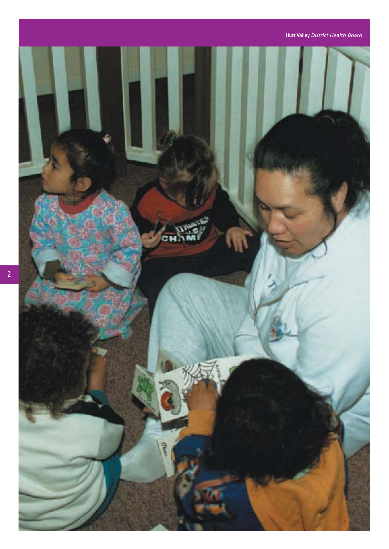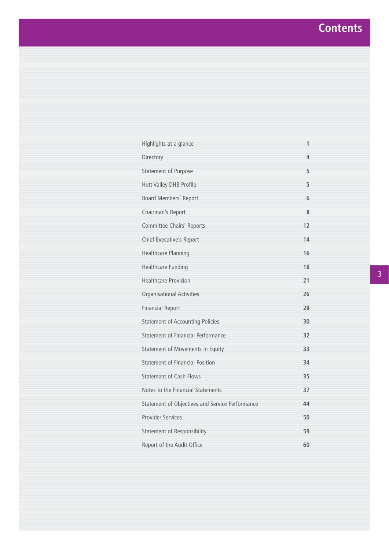# **Contents**

| Highlights at a glance                          | 1  |
|-------------------------------------------------|----|
| Directory                                       | 4  |
| <b>Statement of Purpose</b>                     | 5  |
| Hutt Valley DHB Profile                         | 5  |
| Board Members' Report                           | 6  |
| Chairman's Report                               | 8  |
| Committee Chairs' Reports                       | 12 |
| Chief Executive's Report                        | 14 |
| <b>Healthcare Planning</b>                      | 16 |
| <b>Healthcare Funding</b>                       | 18 |
| <b>Healthcare Provision</b>                     | 21 |
| <b>Organisational Activities</b>                | 26 |
| <b>Financial Report</b>                         | 28 |
| <b>Statement of Accounting Policies</b>         | 30 |
| <b>Statement of Financial Performance</b>       | 32 |
| Statement of Movements in Equity                | 33 |
| <b>Statement of Financial Position</b>          | 34 |
| <b>Statement of Cash Flows</b>                  | 35 |
| Notes to the Financial Statements               | 37 |
| Statement of Objectives and Service Performance | 44 |
| <b>Provider Services</b>                        | 50 |
| <b>Statement of Responsibility</b>              | 59 |
| Report of the Audit Office                      | 60 |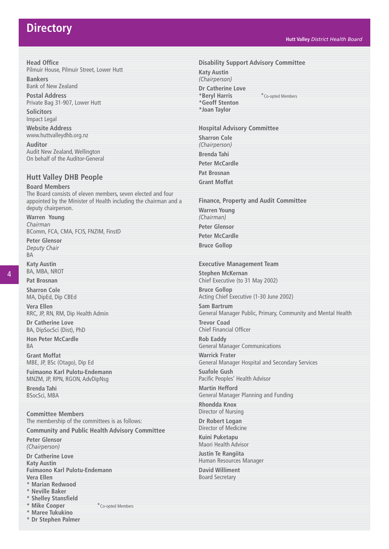# **Directory**

#### **Head Office**

Pilmuir House, Pilmuir Street, Lower Hutt **Bankers**

Bank of New Zealand

**Postal Address** Private Bag 31-907, Lower Hutt

**Solicitors** Impact Legal

**Website Address** www.huttvalleydhb.org.nz

**Auditor** Audit New Zealand, Wellington On behalf of the Auditor-General

#### **Hutt Valley DHB People**

**Board Members** The Board consists of eleven members, seven elected and four appointed by the Minister of Health including the chairman and a deputy chairperson.

**Warren Young** *Chairman* BComm, FCA, CMA, FCIS, FNZIM, FinstD

**Peter Glensor** *Deputy Chair* BA

**Katy Austin** BA, MBA, NROT

**Pat Brosnan Sharron Cole** MA, DipEd, Dip CBEd

**Vera Ellen** RRC, JP, RN, RM, Dip Health Admin **Dr Catherine Love**

BA, DipSocSci (Dist), PhD **Hon Peter McCardle**

BA **Grant Moffat** MBE, JP, BSc (Otago), Dip Ed

**Fuimaono Karl Pulotu-Endemann** MNZM, JP, RPN, RGON, AdvDipNsg **Brenda Tahi**

BSocSci, MBA

**Committee Members** The membership of the committees is as follows: **Community and Public Health Advisory Committee**

**Peter Glensor**  *(Chairperson)*

**Dr Catherine Love Katy Austin Fuimaono Karl Pulotu-Endemann Vera Ellen \* Marian Redwood \* Neville Baker \* Shelley Stansfield**  \* Mike Cooper \* Co-opted Members

- **\* Maree Tukukino**
- **\* Dr Stephen Palmer**

#### **Disability Support Advisory Committee**

**Katy Austin**  *(Chairperson)*

**Dr Catherine Love**  \*Beryl Harris \*Co-opted Members **\*Geoff Stenton \*Joan Taylor**

**Hospital Advisory Committee Sharron Cole**  *(Chairperson)* **Brenda Tahi Peter McCardle Pat Brosnan Grant Moffat**

**Finance, Property and Audit Committee Warren Young**  *(Chairman)* **Peter Glensor Peter McCardle Bruce Gollop**

## **Executive Management Team**

**Stephen McKernan** Chief Executive (to 31 May 2002)

**Bruce Gollop**  Acting Chief Executive (1-30 June 2002)

**Sam Bartrum** General Manager Public, Primary, Community and Mental Health

**Trevor Coad** Chief Financial Officer

**Rob Eaddy** General Manager Communications

**Warrick Frater** General Manager Hospital and Secondary Services

**Suafole Gush** Pacific Peoples' Health Advisor

**Martin Hefford** General Manager Planning and Funding

**Rhondda Knox** Director of Nursing

**Dr Robert Logan**  Director of Medicine **Kuini Puketapu**

Maori Health Advisor

**Justin Te Rangiita** Human Resources Manager **David Williment**

Board Secretary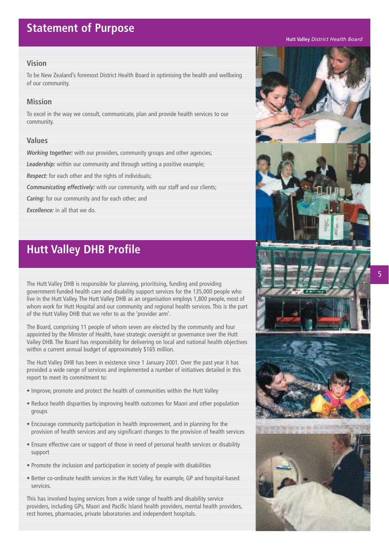# **Statement of Purpose**

#### **Vision**

To be New Zealand's foremost District Health Board in optimising the health and wellbeing of our community.

## **Mission**

To excel in the way we consult, communicate, plan and provide health services to our community.

## **Values**

*Working together:* with our providers, community groups and other agencies;

*Leadership:* within our community and through setting a positive example;

*Respect:* for each other and the rights of individuals;

*Communicating effectively:* with our community, with our staff and our clients;

*Caring:* for our community and for each other; and

*Excellence:* in all that we do.

# **Hutt Valley DHB Profile**

The Hutt Valley DHB is responsible for planning, prioritising, funding and providing government-funded health care and disability support services for the 135,000 people who live in the Hutt Valley. The Hutt Valley DHB as an organisation employs 1,800 people, most of whom work for Hutt Hospital and our community and regional health services. This is the part of the Hutt Valley DHB that we refer to as the 'provider arm'.

The Board, comprising 11 people of whom seven are elected by the community and four appointed by the Minister of Health, have strategic oversight or governance over the Hutt Valley DHB. The Board has responsibility for delivering on local and national health objectives within a current annual budget of approximately \$165 million.

The Hutt Valley DHB has been in existence since 1 January 2001. Over the past year it has provided a wide range of services and implemented a number of initiatives detailed in this report to meet its commitment to:

- Improve, promote and protect the health of communities within the Hutt Valley
- Reduce health disparities by improving health outcomes for Maori and other population groups
- Encourage community participation in health improvement, and in planning for the provision of health services and any significant changes to the provision of health services
- Ensure effective care or support of those in need of personal health services or disability support
- Promote the inclusion and participation in society of people with disabilities
- Better co-ordinate health services in the Hutt Valley, for example, GP and hospital-based services.

This has involved buying services from a wide range of health and disability service providers, including GPs, Maori and Pacific Island health providers, mental health providers, rest homes, pharmacies, private laboratories and independent hospitals.

**Hutt Valley** *District Health Board*







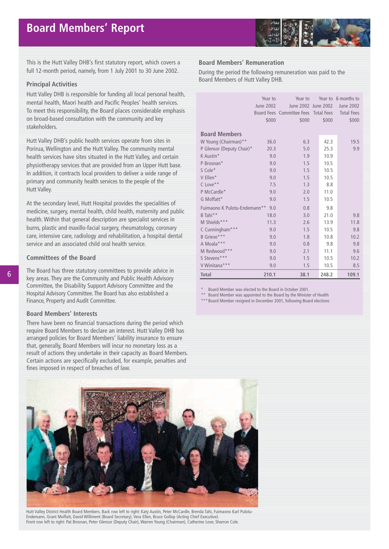

This is the Hutt Valley DHB's first statutory report, which covers a full 12-month period, namely, from 1 July 2001 to 30 June 2002.

#### **Principal Activities**

Hutt Valley DHB is responsible for funding all local personal health, mental health, Maori health and Pacific Peoples' health services. To meet this responsibility, the Board places considerable emphasis on broad-based consultation with the community and key stakeholders.

Hutt Valley DHB's public health services operate from sites in Porirua, Wellington and the Hutt Valley. The community mental health services have sites situated in the Hutt Valley, and certain physiotherapy services that are provided from an Upper Hutt base. In addition, it contracts local providers to deliver a wide range of primary and community health services to the people of the Hutt Valley.

At the secondary level, Hutt Hospital provides the specialities of medicine, surgery, mental health, child health, maternity and public health. Within that general description are specialist services in burns, plastic and maxillo-facial surgery, rheumatology, coronary care, intensive care, radiology and rehabilitation, a hospital dental service and an associated child oral health service.

#### **Committees of the Board**

The Board has three statutory committees to provide advice in key areas. They are the Community and Public Health Advisory Committee, the Disability Support Advisory Committee and the Hospital Advisory Committee. The Board has also established a Finance, Property and Audit Committee.

#### **Board Members' Interests**

There have been no financial transactions during the period which require Board Members to declare an interest. Hutt Valley DHB has arranged policies for Board Members' liability insurance to ensure that, generally, Board Members will incur no monetary loss as a result of actions they undertake in their capacity as Board Members. Certain actions are specifically excluded, for example, penalties and fines imposed in respect of breaches of law.

#### **Board Members' Remuneration**

During the period the following remuneration was paid to the Board Members of Hutt Valley DHB.

|                              | Year to   | Year to<br>June 2002 June 2002       |       | Year to 6 months to |
|------------------------------|-----------|--------------------------------------|-------|---------------------|
|                              | June 2002 |                                      |       | June 2002           |
|                              |           | Board Fees Committee Fees Total Fees |       | <b>Total Fees</b>   |
|                              | \$000     | \$000                                | \$000 | \$000               |
| <b>Board Members</b>         |           |                                      |       |                     |
| W Young (Chairman)**         | 36.0      | 6.3                                  | 42.3  | 19.5                |
| P Glensor (Deputy Chair)*    | 20.3      | 5.0                                  | 25.3  | 9.9                 |
| K Austin*                    | 9.0       | 1.9                                  | 10.9  |                     |
| P Brosnan*                   | 9.0       | 1.5                                  | 10.5  |                     |
| S Cole*                      | 9.0       | 1.5                                  | 10.5  |                     |
| V Ellen*                     | 9.0       | 1.5                                  | 10.5  |                     |
| C Love**                     | 7.5       | 1.3                                  | 8.8   |                     |
| P McCardle*                  | 9.0       | 2.0                                  | 11.0  |                     |
| G Moffatt*                   | 9.0       | 1.5                                  | 10.5  |                     |
| Fuimaono K Pulotu-Endemann** | 9.0       | 0.8                                  | 9.8   |                     |
| B Tahi**                     | 18.0      | 3.0                                  | 21.0  | 9.8                 |
| M Shields***                 | 11.3      | 2.6                                  | 13.9  | 11.8                |
| C Cunningham***              | 9.0       | 1.5                                  | 10.5  | 9.8                 |
| B Grieve***                  | 9.0       | 1.8                                  | 10.8  | 10.2                |
| A Moala***                   | 9.0       | 0.8                                  | 9.8   | 9.8                 |
| M Redwood***                 | 9.0       | 2.1                                  | 11.1  | 9.6                 |
| S Stevens***                 | 9.0       | 1.5                                  | 10.5  | 10.2                |
| V Winitana***                | 9.0       | 1.5                                  | 10.5  | 8.5                 |
| Total                        | 210.1     | 38.1                                 | 248.2 | 109.1               |

Board Member was elected to the Board in October 2001.

\*\* Board Member was appointed to the Board by the Minister of Health

\*\*\* Board Member resigned in December 2001, following Board elections



Hutt Valley District Health Board Members. Back row left to right: Katy Austin, Peter McCardle, Brenda Tahi, Fuimaono Karl Pulotu-Endemann, Grant Moffatt, David Williment (Board Secretary), Vera Ellen, Bruce Gollop (Acting Chief Executive). Front row left to right: Pat Brosnan, Peter Glensor (Deputy Chair), Warren Young (Chairman), Catherine Love, Sharron Cole.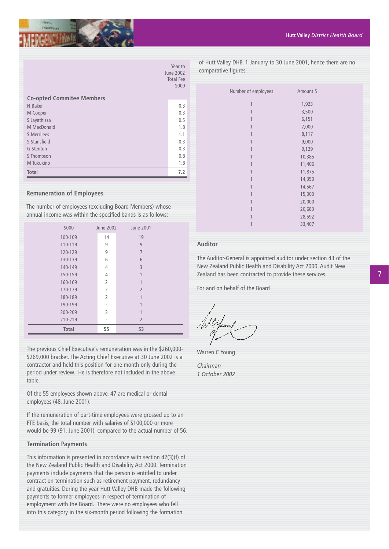|                                  | Year to<br>June 2002<br><b>Total Fee</b><br>\$000 |  |
|----------------------------------|---------------------------------------------------|--|
| <b>Co-opted Commitee Members</b> |                                                   |  |
| N Baker                          | 0.3                                               |  |
| M Cooper                         | 0.3                                               |  |
| S Jayathissa                     | 0.5                                               |  |
| M MacDonald                      | 1.8                                               |  |
| S Merrilees                      | 1.1                                               |  |
| S Stansfield                     | 0.3                                               |  |
| G Stenton                        | 0.3                                               |  |
| S Thompson                       | 0.8                                               |  |
| M Tukukino                       | 1.8                                               |  |
| <b>Total</b>                     | 7.2                                               |  |

**Remuneration of Employees**

The number of employees (excluding Board Members) whose annual income was within the specified bands is as follows:

| \$000        | June 2002      | <b>June 2001</b>         |
|--------------|----------------|--------------------------|
| 100-109      | 14             | 19                       |
| 110-119      | 9              | 9                        |
| 120-129      | 9              | $\overline{7}$           |
| 130-139      | 6              | 6                        |
| 140-149      | 4              | 3                        |
| 150-159      | 4              | 1                        |
| 160-169      | 2              | 1                        |
| 170-179      | $\overline{2}$ | $\overline{\phantom{0}}$ |
| 180-189      | $\overline{2}$ | 1                        |
| 190-199      |                | 1                        |
| 200-209      | 3              | 1                        |
| 210-219      |                | $\overline{2}$           |
| <b>Total</b> | 55             | 53                       |

The previous Chief Executive's remuneration was in the \$260,000- \$269,000 bracket. The Acting Chief Executive at 30 June 2002 is a contractor and held this position for one month only during the period under review. He is therefore not included in the above table.

Of the 55 employees shown above, 47 are medical or dental employees (48, June 2001).

If the remuneration of part-time employees were grossed up to an FTE basis, the total number with salaries of \$100,000 or more would be 99 (91, June 2001), compared to the actual number of 56.

#### **Termination Payments**

This information is presented in accordance with section 42(3)(f) of the New Zealand Public Health and Disability Act 2000. Termination payments include payments that the person is entitled to under contract on termination such as retirement payment, redundancy and gratuities. During the year Hutt Valley DHB made the following payments to former employees in respect of termination of employment with the Board. There were no employees who fell into this category in the six-month period following the formation

| Number of employees | Amount \$ |
|---------------------|-----------|
| 1                   | 1,923     |
| 1                   | 3,500     |
| 1                   | 6,151     |
| 1                   | 7,000     |
| 1                   | 8,117     |
| 1                   | 9,000     |
| 1                   | 9,129     |
| 1                   | 10,385    |
| 1                   | 11,406    |
| 1                   | 11,875    |
| 1                   | 14,350    |
| 1                   | 14,567    |
| 1                   | 15,000    |
| 1                   | 20,000    |
| 1                   | 20,683    |
| 1                   | 28,592    |
| 1                   | 33,407    |
|                     |           |

of Hutt Valley DHB, 1 January to 30 June 2001, hence there are no

#### **Auditor**

comparative figures.

The Auditor-General is appointed auditor under section 43 of the New Zealand Public Health and Disability Act 2000. Audit New Zealand has been contracted to provide these services.

For and on behalf of the Board

Warren C Young

*Chairman 1 October 2002*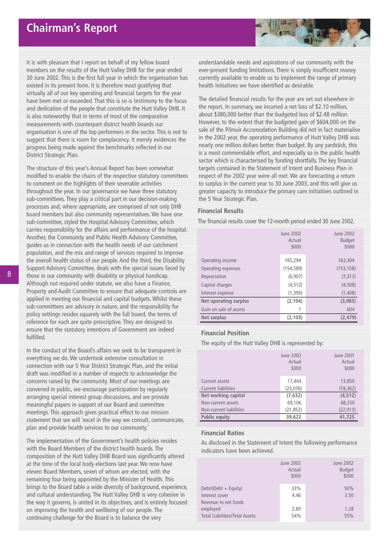It is with pleasure that I report on behalf of my fellow board members on the results of the Hutt Valley DHB for the year ended 30 June 2002. This is the first full year in which the organisation has existed in its present form. It is therefore most gratifying that virtually all of our key operating and financial targets for the year have been met or exceeded. That this is so is testimony to the focus and dedication of the people that constitute the Hutt Valley DHB. It is also noteworthy that in terms of most of the comparative measurements with counterpart district health boards our organisation is one of the top performers in the sector. This is not to suggest that there is room for complacency. It merely evidences the progress being made against the benchmarks reflected in our District Strategic Plan.

The structure of this year's Annual Report has been somewhat modified to enable the chairs of the respective statutory committees to comment on the highlights of their severable activities throughout the year. In our governance we have three statutory sub-committees. They play a critical part in our decision-making processes and, where appropriate, are comprised of not only DHB board members but also community representatives. We have one sub-committee, styled the Hospital Advisory Committee, which carries responsibility for the affairs and performance of the hospital. Another, the Community and Public Health Advisory Committee, guides us in connection with the health needs of our catchment population, and the mix and range of services required to improve the overall health status of our people. And the third, the Disability Support Advisory Committee, deals with the special issues faced by those in our community with disability or physical handicap. Although not required under statute, we also have a Finance, Property and Audit Committee to ensure that adequate controls are applied in meeting our financial and capital budgets. Whilst these sub-committees are advisory in nature, and the responsibility for policy settings resides squarely with the full board, the terms of reference for each are quite prescriptive. They are designed to ensure that the statutory intentions of Government are indeed fulfilled.

In the conduct of the Board's affairs we seek to be transparent in everything we do. We undertook extensive consultation in connection with our 5 Year District Strategic Plan, and the initial draft was modified in a number of respects to acknowledge the concerns raised by the community. Most of our meetings are convened in public, we encourage participation by regularly arranging special interest group discussions, and we provide meaningful papers in support of our Board and committee meetings. This approach gives practical effect to our mission statement that we will 'excel in the way we consult, communicate, plan and provide health services to our community.'

The implementation of the Government's health policies resides with the Board Members of the district health boards. The composition of the Hutt Valley DHB Board was significantly altered at the time of the local body elections last year. We now have eleven Board Members, seven of whom are elected, with the remaining four being appointed by the Minister of Health. This brings to the Board table a wide diversity of background, experience, and cultural understanding. The Hutt Valley DHB is very cohesive in the way it governs, is united in its objectives, and is entirely focused on improving the health and wellbeing of our people. The continuing challenge for the Board is to balance the very

understandable needs and aspirations of our community with the ever-present funding limitations. There is simply insufficient money currently available to enable us to implement the range of primary health initiatives we have identified as desirable.

The detailed financial results for the year are set out elsewhere in the report. In summary, we incurred a net loss of \$2.10 million, about \$380,000 better than the budgeted loss of \$2.48 million. However, to the extent that the budgeted gain of \$604,000 on the sale of the Pilmuir Accomodation Building did not in fact materialise in the 2002 year, the operating performance of Hutt Valley DHB was nearly one million dollars better than budget. By any yardstick, this is a most commendable effort, and especially so in the public health sector which is characterised by funding shortfalls. The key financial targets contained in the Statement of Intent and Business Plan in respect of the 2002 year were all met. We are forecasting a return to surplus in the current year to 30 June 2003, and this will give us greater capacity to introduce the primary care initiatives outlined in the 5 Year Strategic Plan.

#### **Financial Results**

The financial results cover the 12-month period ended 30 June 2002.

|                              | June 2002<br>Actual<br>\$000 | June 2002<br><b>Budget</b><br>\$000 |
|------------------------------|------------------------------|-------------------------------------|
| Operating income             | 165,294                      | 163,304                             |
| Operating expenses           | (154, 589)                   | (153, 158)                          |
| Depreciation                 | (6,907)                      | (7, 313)                            |
| Capital charges              | (4, 512)                     | (4,508)                             |
| Interest expense             | (1,390)                      | (1,408)                             |
| <b>Net operating surplus</b> | (2, 104)                     | (3,083)                             |
| Gain on sale of assets       |                              | 604                                 |
| Net surplus                  | (2, 103)                     | (2, 479)                            |

#### **Financial Position**

The equity of the Hutt Valley DHB is represented by:

|                            | June 2002<br>Actual<br>\$000 | <b>June 2001</b><br>Actual<br>\$000 |
|----------------------------|------------------------------|-------------------------------------|
| Current assets             | 17,444                       | 13,850                              |
| <b>Current liabilities</b> | (25,076)                     | (18, 362)                           |
| Net working capital        | (7,632)                      | (4, 512)                            |
| Non-current assets         | 69,106                       | 68,250                              |
| Non-current liabilities    | (21, 852)                    | (22, 013)                           |
| <b>Public equity</b>       | 39,622                       | 41.725                              |

#### **Financial Ratios**

As disclosed in the Statement of Intent the following performance indicators have been achieved.

|                                                                | June 2002<br>Actual<br>\$000 | June 2002<br><b>Budget</b><br>\$000 |
|----------------------------------------------------------------|------------------------------|-------------------------------------|
| Debt/(Debt + Equity)<br>Interest cover<br>Revenue to net funds | 33%<br>4.46                  | 50%<br>2.50                         |
| employed<br><b>Total Liabilities/Total Assets</b>              | 2.80<br>54%                  | 1.28<br>55%                         |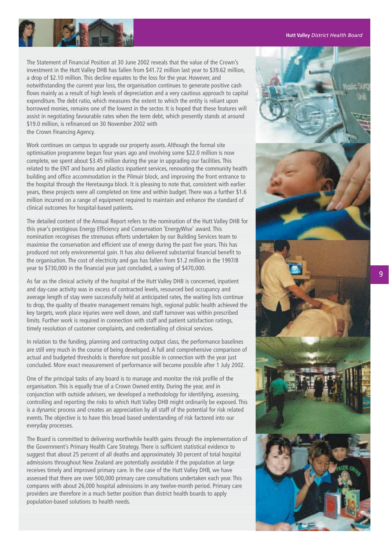

The Statement of Financial Position at 30 June 2002 reveals that the value of the Crown's investment in the Hutt Valley DHB has fallen from \$41.72 million last year to \$39.62 million, a drop of \$2.10 million. This decline equates to the loss for the year. However, and notwithstanding the current year loss, the organisation continues to generate positive cash flows mainly as a result of high levels of depreciation and a very cautious approach to capital expenditure. The debt ratio, which measures the extent to which the entity is reliant upon borrowed monies, remains one of the lowest in the sector. It is hoped that these features will assist in negotiating favourable rates when the term debt, which presently stands at around \$19.0 million, is refinanced on 30 November 2002 with the Crown Financing Agency.

Work continues on campus to upgrade our property assets. Although the formal site optimisation programme begun four years ago and involving some \$22.0 million is now complete, we spent about \$3.45 million during the year in upgrading our facilities. This related to the ENT and burns and plastics inpatient services, renovating the community health building and office accommodation in the Pilmuir block, and improving the front entrance to the hospital through the Heretaunga block. It is pleasing to note that, consistent with earlier years, these projects were all completed on time and within budget. There was a further \$1.6 million incurred on a range of equipment required to maintain and enhance the standard of clinical outcomes for hospital-based patients.

The detailed content of the Annual Report refers to the nomination of the Hutt Valley DHB for this year's prestigious Energy Efficiency and Conservation 'EnergyWise' award. This nomination recognises the strenuous efforts undertaken by our Building Services team to maximise the conservation and efficient use of energy during the past five years. This has produced not only environmental gain. It has also delivered substantial financial benefit to the organisation. The cost of electricity and gas has fallen from \$1.2 million in the 1997/8 year to \$730,000 in the financial year just concluded, a saving of \$470,000.

As far as the clinical activity of the hospital of the Hutt Valley DHB is concerned, inpatient and day-case activity was in excess of contracted levels, resourced bed occupancy and average length of stay were successfully held at anticipated rates, the waiting lists continue to drop, the quality of theatre management remains high, regional public health achieved the key targets, work place injuries were well down, and staff turnover was within prescribed limits. Further work is required in connection with staff and patient satisfaction ratings, timely resolution of customer complaints, and credentialling of clinical services.

In relation to the funding, planning and contracting output class, the performance baselines are still very much in the course of being developed. A full and comprehensive comparison of actual and budgeted thresholds is therefore not possible in connection with the year just concluded. More exact measurement of performance will become possible after 1 July 2002.

One of the principal tasks of any board is to manage and monitor the risk profile of the organisation. This is equally true of a Crown Owned entity. During the year, and in conjunction with outside advisers, we developed a methodology for identifying, assessing, controlling and reporting the risks to which Hutt Valley DHB might ordinarily be exposed. This is a dynamic process and creates an appreciation by all staff of the potential for risk related events. The objective is to have this broad based understanding of risk factored into our everyday processes.

The Board is committed to delivering worthwhile health gains through the implementation of the Government's Primary Health Care Strategy. There is sufficient statistical evidence to suggest that about 25 percent of all deaths and approximately 30 percent of total hospital admissions throughout New Zealand are potentially avoidable if the population at large receives timely and improved primary care. In the case of the Hutt Valley DHB, we have assessed that there are over 500,000 primary care consultations undertaken each year. This compares with about 26,000 hospital admissions in any twelve-month period. Primary care providers are therefore in a much better position than district health boards to apply population-based solutions to health needs.

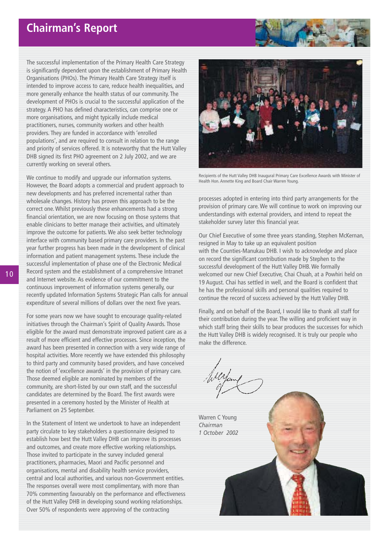# **Chairman's Report**

The successful implementation of the Primary Health Care Strategy is significantly dependent upon the establishment of Primary Health Organisations (PHOs). The Primary Health Care Strategy itself is intended to improve access to care, reduce health inequalities, and more generally enhance the health status of our community. The development of PHOs is crucial to the successful application of the strategy. A PHO has defined characteristics, can comprise one or more organisations, and might typically include medical practitioners, nurses, community workers and other health providers. They are funded in accordance with 'enrolled populations', and are required to consult in relation to the range and priority of services offered. It is noteworthy that the Hutt Valley DHB signed its first PHO agreement on 2 July 2002, and we are currently working on several others.

We continue to modify and upgrade our information systems. However, the Board adopts a commercial and prudent approach to new developments and has preferred incremental rather than wholesale changes. History has proven this approach to be the correct one. Whilst previously these enhancements had a strong financial orientation, we are now focusing on those systems that enable clinicians to better manage their activities, and ultimately improve the outcome for patients. We also seek better technology interface with community based primary care providers. In the past year further progress has been made in the development of clinical information and patient management systems. These include the successful implementation of phase one of the Electronic Medical Record system and the establishment of a comprehensive Intranet and Internet website. As evidence of our commitment to the continuous improvement of information systems generally, our recently updated Information Systems Strategic Plan calls for annual expenditure of several millions of dollars over the next five years.

For some years now we have sought to encourage quality-related initiatives through the Chairman's Spirit of Quality Awards. Those eligible for the award must demonstrate improved patient care as a result of more efficient and effective processes. Since inception, the award has been presented in connection with a very wide range of hospital activities. More recently we have extended this philosophy to third party and community based providers, and have conceived the notion of 'excellence awards' in the provision of primary care. Those deemed eligible are nominated by members of the community, are short-listed by our own staff, and the successful candidates are determined by the Board. The first awards were presented in a ceremony hosted by the Minister of Health at Parliament on 25 September.

In the Statement of Intent we undertook to have an independent party circulate to key stakeholders a questionnaire designed to establish how best the Hutt Valley DHB can improve its processes and outcomes, and create more effective working relationships. Those invited to participate in the survey included general practitioners, pharmacies, Maori and Pacific personnel and organisations, mental and disability health service providers, central and local authorities, and various non-Government entities. The responses overall were most complimentary, with more than 70% commenting favourably on the performance and effectiveness of the Hutt Valley DHB in developing sound working relationships. Over 50% of respondents were approving of the contracting



Recipients of the Hutt Valley DHB Inaugural Primary Care Excellence Awards with Minister of Health Hon. Annette King and Board Chair Warren Young.

processes adopted in entering into third party arrangements for the provision of primary care. We will continue to work on improving our understandings with external providers, and intend to repeat the stakeholder survey later this financial year.

Our Chief Executive of some three years standing, Stephen McKernan, resigned in May to take up an equivalent position with the Counties-Manukau DHB. I wish to acknowledge and place on record the significant contribution made by Stephen to the successful development of the Hutt Valley DHB. We formally welcomed our new Chief Executive, Chai Chuah, at a Powhiri held on 19 August. Chai has settled in well, and the Board is confident that he has the professional skills and personal qualities required to continue the record of success achieved by the Hutt Valley DHB.

Finally, and on behalf of the Board, I would like to thank all staff for their contribution during the year. The willing and proficient way in which staff bring their skills to bear produces the successes for which the Hutt Valley DHB is widely recognised. It is truly our people who make the difference.

Warren C Young *Chairman 1 October 2002*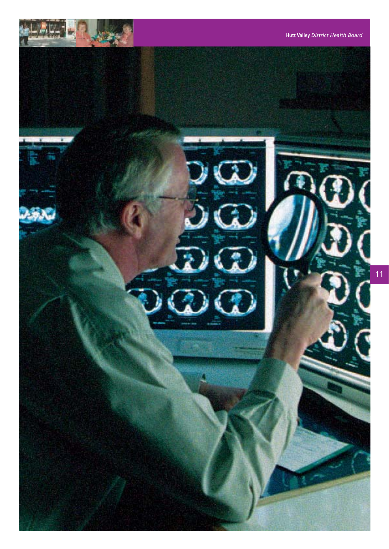

11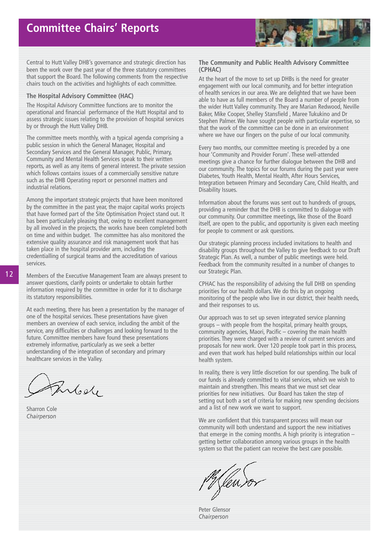

Central to Hutt Valley DHB's governance and strategic direction has been the work over the past year of the three statutory committees that support the Board. The following comments from the respective chairs touch on the activities and highlights of each committee.

#### **The Hospital Advisory Committee (HAC)**

The Hospital Advisory Committee functions are to monitor the operational and financial performance of the Hutt Hospital and to assess strategic issues relating to the provision of hospital services by or through the Hutt Valley DHB.

The committee meets monthly, with a typical agenda comprising a public session in which the General Manager, Hospital and Secondary Services and the General Manager, Public, Primary, Community and Mental Health Services speak to their written reports, as well as any items of general interest. The private session which follows contains issues of a commercially sensitive nature such as the DHB Operating report or personnel matters and industrial relations.

Among the important strategic projects that have been monitored by the committee in the past year, the major capital works projects that have formed part of the Site Optimisation Project stand out. It has been particularly pleasing that, owing to excellent management by all involved in the projects, the works have been completed both on time and within budget. The committee has also monitored the extensive quality assurance and risk management work that has taken place in the hospital provider arm, including the credentialling of surgical teams and the accreditation of various services.

Members of the Executive Management Team are always present to answer questions, clarify points or undertake to obtain further information required by the committee in order for it to discharge its statutory responsibilities.

At each meeting, there has been a presentation by the manager of one of the hospital services. These presentations have given members an overview of each service, including the ambit of the service, any difficulties or challenges and looking forward to the future. Committee members have found these presentations extremely informative, particularly as we seek a better understanding of the integration of secondary and primary healthcare services in the Valley.

Inteste

Sharron Cole *Chairperson*

#### **The Community and Public Health Advisory Committee (CPHAC)**

At the heart of the move to set up DHBs is the need for greater engagement with our local community, and for better integration of health services in our area. We are delighted that we have been able to have as full members of the Board a number of people from the wider Hutt Valley community. They are Marian Redwood, Neville Baker, Mike Cooper, Shelley Stansfield , Maree Tukukino and Dr Stephen Palmer. We have sought people with particular expertise, so that the work of the committee can be done in an environment where we have our fingers on the pulse of our local community.

Every two months, our committee meeting is preceded by a one hour 'Community and Provider Forum'. These well-attended meetings give a chance for further dialogue between the DHB and our community. The topics for our forums during the past year were Diabetes, Youth Health, Mental Health, After Hours Services, Integration between Primary and Secondary Care, Child Health, and Disability Issues.

Information about the forums was sent out to hundreds of groups, providing a reminder that the DHB is committed to dialogue with our community. Our committee meetings, like those of the Board itself, are open to the public, and opportunity is given each meeting for people to comment or ask questions.

Our strategic planning process included invitations to health and disability groups throughout the Valley to give feedback to our Draft Strategic Plan. As well, a number of public meetings were held. Feedback from the community resulted in a number of changes to our Strategic Plan.

CPHAC has the responsibility of advising the full DHB on spending priorities for our health dollars. We do this by an ongoing monitoring of the people who live in our district, their health needs, and their responses to us.

Our approach was to set up seven integrated service planning groups – with people from the hospital, primary health groups, community agencies, Maori, Pacific – covering the main health priorities. They were charged with a review of current services and proposals for new work. Over 120 people took part in this process, and even that work has helped build relationships within our local health system.

In reality, there is very little discretion for our spending. The bulk of our funds is already committed to vital services, which we wish to maintain and strengthen. This means that we must set clear priorities for new initiatives. Our Board has taken the step of setting out both a set of criteria for making new spending decisions and a list of new work we want to support.

We are confident that this transparent process will mean our community will both understand and support the new initiatives that emerge in the coming months. A high priority is integration – getting better collaboration among various groups in the health system so that the patient can receive the best care possible.

19 (len) o

Peter Glensor *Chairperson*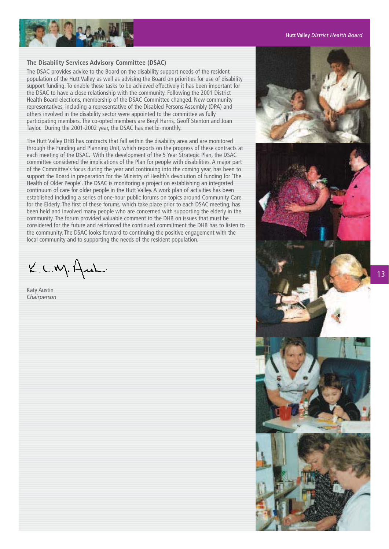

#### **The Disability Services Advisory Committee (DSAC)**

The DSAC provides advice to the Board on the disability support needs of the resident population of the Hutt Valley as well as advising the Board on priorities for use of disability support funding. To enable these tasks to be achieved effectively it has been important for the DSAC to have a close relationship with the community. Following the 2001 District Health Board elections, membership of the DSAC Committee changed. New community representatives, including a representative of the Disabled Persons Assembly (DPA) and others involved in the disability sector were appointed to the committee as fully participating members. The co-opted members are Beryl Harris, Geoff Stenton and Joan Taylor. During the 2001-2002 year, the DSAC has met bi-monthly.

The Hutt Valley DHB has contracts that fall within the disability area and are monitored through the Funding and Planning Unit, which reports on the progress of these contracts at each meeting of the DSAC. With the development of the 5 Year Strategic Plan, the DSAC committee considered the implications of the Plan for people with disabilities. A major part of the Committee's focus during the year and continuing into the coming year, has been to support the Board in preparation for the Ministry of Health's devolution of funding for 'The Health of Older People'. The DSAC is monitoring a project on establishing an integrated continuum of care for older people in the Hutt Valley. A work plan of activities has been established including a series of one-hour public forums on topics around Community Care for the Elderly. The first of these forums, which take place prior to each DSAC meeting, has been held and involved many people who are concerned with supporting the elderly in the community. The forum provided valuable comment to the DHB on issues that must be considered for the future and reinforced the continued commitment the DHB has to listen to the community. The DSAC looks forward to continuing the positive engagement with the local community and to supporting the needs of the resident population.

K.C.M. Aul

Katy Austin *Chairperson*



#### **Hutt Valley** *District Health Board*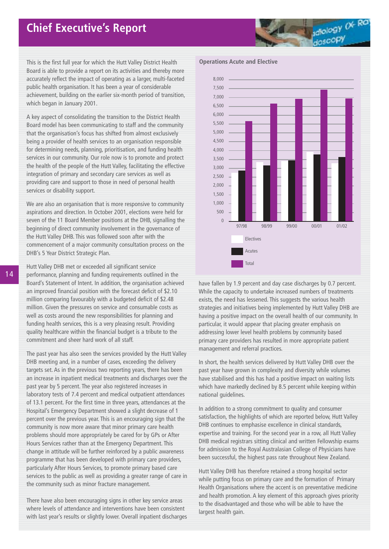This is the first full year for which the Hutt Valley District Health Board is able to provide a report on its activities and thereby more accurately reflect the impact of operating as a larger, multi-faceted public health organisation. It has been a year of considerable achievement, building on the earlier six-month period of transition, which began in January 2001.

A key aspect of consolidating the transition to the District Health Board model has been communicating to staff and the community that the organisation's focus has shifted from almost exclusively being a provider of health services to an organisation responsible for determining needs, planning, prioritisation, and funding health services in our community. Our role now is to promote and protect the health of the people of the Hutt Valley, facilitating the effective integration of primary and secondary care services as well as providing care and support to those in need of personal health services or disability support.

We are also an organisation that is more responsive to community aspirations and direction. In October 2001, elections were held for seven of the 11 Board Member positions at the DHB, signalling the beginning of direct community involvement in the governance of the Hutt Valley DHB. This was followed soon after with the commencement of a major community consultation process on the DHB's 5 Year District Strategic Plan.

Hutt Valley DHB met or exceeded all significant service performance, planning and funding requirements outlined in the Board's Statement of Intent. In addition, the organisation achieved an improved financial position with the forecast deficit of \$2.10 million comparing favourably with a budgeted deficit of \$2.48 million. Given the pressures on service and consumable costs as well as costs around the new responsibilities for planning and funding health services, this is a very pleasing result. Providing quality healthcare within the financial budget is a tribute to the commitment and sheer hard work of all staff.

The past year has also seen the services provided by the Hutt Valley DHB meeting and, in a number of cases, exceeding the delivery targets set. As in the previous two reporting years, there has been an increase in inpatient medical treatments and discharges over the past year by 5 percent. The year also registered increases in laboratory tests of 7.4 percent and medical outpatient attendances of 13.1 percent. For the first time in three years, attendances at the Hospital's Emergency Department showed a slight decrease of 1 percent over the previous year. This is an encouraging sign that the community is now more aware that minor primary care health problems should more appropriately be cared for by GPs or After Hours Services rather than at the Emergency Department. This change in attitude will be further reinforced by a public awareness programme that has been developed with primary care providers, particularly After Hours Services, to promote primary based care services to the public as well as providing a greater range of care in the community such as minor fracture management.

There have also been encouraging signs in other key service areas where levels of attendance and interventions have been consistent with last year's results or slightly lower. Overall inpatient discharges





diology<sub>1</sub> doscop

have fallen by 1.9 percent and day case discharges by 0.7 percent. While the capacity to undertake increased numbers of treatments exists, the need has lessened. This suggests the various health strategies and initiatives being implemented by Hutt Valley DHB are having a positive impact on the overall health of our community. In particular, it would appear that placing greater emphasis on addressing lower level health problems by community based primary care providers has resulted in more appropriate patient management and referral practices.

In short, the health services delivered by Hutt Valley DHB over the past year have grown in complexity and diversity while volumes have stabilised and this has had a positive impact on waiting lists which have markedly declined by 8.5 percent while keeping within national guidelines.

In addition to a strong commitment to quality and consumer satisfaction, the highlights of which are reported below, Hutt Valley DHB continues to emphasise excellence in clinical standards, expertise and training. For the second year in a row, all Hutt Valley DHB medical registrars sitting clinical and written Fellowship exams for admission to the Royal Australasian College of Physicians have been successful, the highest pass rate throughout New Zealand.

Hutt Valley DHB has therefore retained a strong hospital sector while putting focus on primary care and the formation of Primary Health Organisations where the accent is on preventative medicine and health promotion. A key element of this approach gives priority to the disadvantaged and those who will be able to have the largest health gain.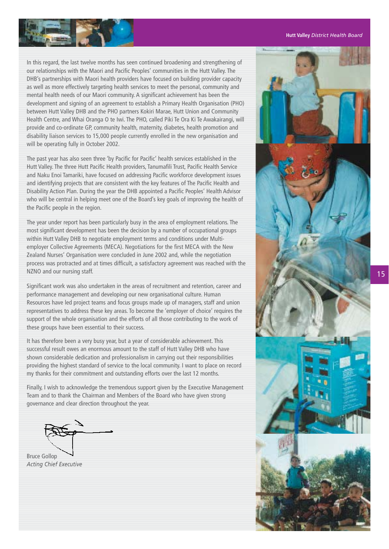

In this regard, the last twelve months has seen continued broadening and strengthening of our relationships with the Maori and Pacific Peoples' communities in the Hutt Valley. The DHB's partnerships with Maori health providers have focused on building provider capacity as well as more effectively targeting health services to meet the personal, community and mental health needs of our Maori community. A significant achievement has been the development and signing of an agreement to establish a Primary Health Organisation (PHO) between Hutt Valley DHB and the PHO partners Kokiri Marae, Hutt Union and Community Health Centre, and Whai Oranga O te Iwi. The PHO, called Piki Te Ora Ki Te Awakairangi, will provide and co-ordinate GP, community health, maternity, diabetes, health promotion and disability liaison services to 15,000 people currently enrolled in the new organisation and will be operating fully in October 2002.

The past year has also seen three 'by Pacific for Pacific' health services established in the Hutt Valley. The three Hutt Pacific Health providers, Tanumafili Trust, Pacific Health Service and Naku Enoi Tamariki, have focused on addressing Pacific workforce development issues and identifying projects that are consistent with the key features of The Pacific Health and Disability Action Plan. During the year the DHB appointed a Pacific Peoples' Health Advisor who will be central in helping meet one of the Board's key goals of improving the health of the Pacific people in the region.

The year under report has been particularly busy in the area of employment relations. The most significant development has been the decision by a number of occupational groups within Hutt Valley DHB to negotiate employment terms and conditions under Multiemployer Collective Agreements (MECA). Negotiations for the first MECA with the New Zealand Nurses' Organisation were concluded in June 2002 and, while the negotiation process was protracted and at times difficult, a satisfactory agreement was reached with the NZNO and our nursing staff.

Significant work was also undertaken in the areas of recruitment and retention, career and performance management and developing our new organisational culture. Human Resources have led project teams and focus groups made up of managers, staff and union representatives to address these key areas. To become the 'employer of choice' requires the support of the whole organisation and the efforts of all those contributing to the work of these groups have been essential to their success.

It has therefore been a very busy year, but a year of considerable achievement. This successful result owes an enormous amount to the staff of Hutt Valley DHB who have shown considerable dedication and professionalism in carrying out their responsibilities providing the highest standard of service to the local community. I want to place on record my thanks for their commitment and outstanding efforts over the last 12 months.

Finally, I wish to acknowledge the tremendous support given by the Executive Management Team and to thank the Chairman and Members of the Board who have given strong governance and clear direction throughout the year.

Bruce Gollop *Acting Chief Executive*



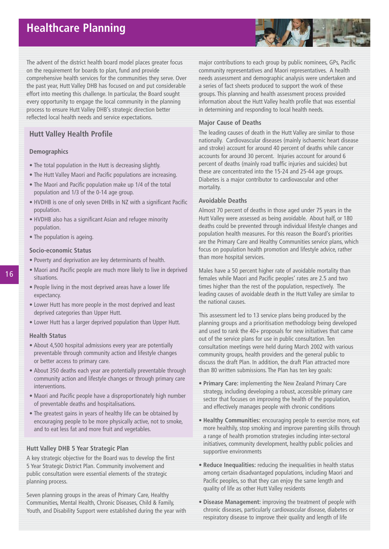# **Healthcare Planning**

The advent of the district health board model places greater focus on the requirement for boards to plan, fund and provide comprehensive health services for the communities they serve. Over the past year, Hutt Valley DHB has focused on and put considerable effort into meeting this challenge. In particular, the Board sought every opportunity to engage the local community in the planning process to ensure Hutt Valley DHB's strategic direction better reflected local health needs and service expectations.

## **Hutt Valley Health Profile**

#### **Demographics**

- The total population in the Hutt is decreasing slightly.
- The Hutt Valley Maori and Pacific populations are increasing.
- The Maori and Pacific population make up 1/4 of the total population and 1/3 of the 0-14 age group.
- HVDHB is one of only seven DHBs in NZ with a significant Pacific population.
- HVDHB also has a significant Asian and refugee minority population.
- The population is ageing.

#### **Socio-economic Status**

- Poverty and deprivation are key determinants of health.
- Maori and Pacific people are much more likely to live in deprived situations.
- People living in the most deprived areas have a lower life expectancy.
- Lower Hutt has more people in the most deprived and least deprived categories than Upper Hutt.
- Lower Hutt has a larger deprived population than Upper Hutt.

#### **Health Status**

- About 4,500 hospital admissions every year are potentially preventable through community action and lifestyle changes or better access to primary care.
- About 350 deaths each year are potentially preventable through community action and lifestyle changes or through primary care interventions.
- Maori and Pacific people have a disproportionately high number of preventable deaths and hospitalisations.
- The greatest gains in years of healthy life can be obtained by encouraging people to be more physically active, not to smoke, and to eat less fat and more fruit and vegetables.

#### **Hutt Valley DHB 5 Year Strategic Plan**

A key strategic objective for the Board was to develop the first 5 Year Strategic District Plan. Community involvement and public consultation were essential elements of the strategic planning process.

Seven planning groups in the areas of Primary Care, Healthy Communities, Mental Health, Chronic Diseases, Child & Family, Youth, and Disability Support were established during the year with major contributions to each group by public nominees, GPs, Pacific community representatives and Maori representatives. A health needs assessment and demographic analysis were undertaken and a series of fact sheets produced to support the work of these groups. This planning and health assessment process provided information about the Hutt Valley health profile that was essential in determining and responding to local health needs.

#### **Major Cause of Deaths**

The leading causes of death in the Hutt Valley are similar to those nationally. Cardiovascular diseases (mainly ischaemic heart disease and stroke) account for around 40 percent of deaths while cancer accounts for around 30 percent. Injuries account for around 6 percent of deaths (mainly road traffic injuries and suicides) but these are concentrated into the 15-24 and 25-44 age groups. Diabetes is a major contributor to cardiovascular and other mortality.

#### **Avoidable Deaths**

Almost 70 percent of deaths in those aged under 75 years in the Hutt Valley were assessed as being avoidable. About half, or 180 deaths could be prevented through individual lifestyle changes and population health measures. For this reason the Board's priorities are the Primary Care and Healthy Communities service plans, which focus on population health promotion and lifestyle advice, rather than more hospital services.

Males have a 50 percent higher rate of avoidable mortality than females while Maori and Pacific peoples' rates are 2.5 and two times higher than the rest of the population, respectively. The leading causes of avoidable death in the Hutt Valley are similar to the national causes.

This assessment led to 13 service plans being produced by the planning groups and a prioritisation methodology being developed and used to rank the 40+ proposals for new initiatives that came out of the service plans for use in public consultation. Ten consultation meetings were held during March 2002 with various community groups, health providers and the general public to discuss the draft Plan. In addition, the draft Plan attracted more than 80 written submissions. The Plan has ten key goals:

- **Primary Care:** implementing the New Zealand Primary Care strategy, including developing a robust, accessible primary care sector that focuses on improving the health of the population, and effectively manages people with chronic conditions
- **Healthy Communities:** encouraging people to exercise more, eat more healthily, stop smoking and improve parenting skills through a range of health promotion strategies including inter-sectoral initiatives, community development, healthy public policies and supportive environments
- **Reduce Inequalities:** reducing the inequalities in health status among certain disadvantaged populations, including Maori and Pacific peoples, so that they can enjoy the same length and quality of life as other Hutt Valley residents
- **Disease Management:** improving the treatment of people with chronic diseases, particularly cardiovascular disease, diabetes or respiratory disease to improve their quality and length of life

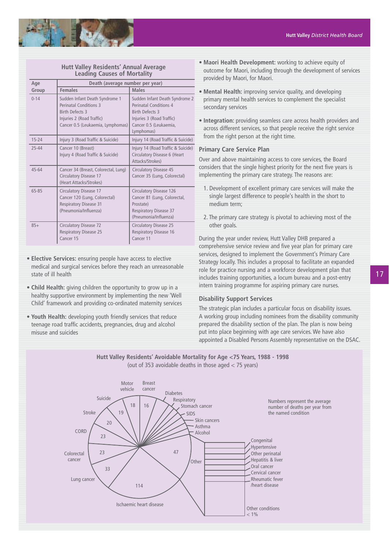

| <b>Hutt Valley Residents' Annual Average</b><br><b>Leading Causes of Mortality</b> |                                                                                                                                                      |                                                                                                                                                         |  |  |
|------------------------------------------------------------------------------------|------------------------------------------------------------------------------------------------------------------------------------------------------|---------------------------------------------------------------------------------------------------------------------------------------------------------|--|--|
| Age                                                                                | Death (average number per year)                                                                                                                      |                                                                                                                                                         |  |  |
| Group                                                                              | <b>Females</b>                                                                                                                                       | <b>Males</b>                                                                                                                                            |  |  |
| $0 - 14$                                                                           | Sudden Infant Death Syndrome 1<br>Perinatal Conditions 3<br><b>Birth Defects 3</b><br>Injuries 2 (Road Traffic)<br>Cancer 0.5 (Leukaemia, Lymphomas) | Sudden Infant Death Syndrome 2<br>Perinatal Conditions 4<br><b>Birth Defects 3</b><br>Injuries 3 (Road Traffic)<br>Cancer 0.5 (Leukaemia,<br>Lymphomas) |  |  |
| $15 - 24$                                                                          | Injury 3 (Road Traffic & Suicide)                                                                                                                    | Injury 14 (Road Traffic & Suicide)                                                                                                                      |  |  |
| $75 - 44$                                                                          | Cancer 10 (Breast)<br>Injury 4 (Road Traffic & Suicide)                                                                                              | Injury 14 (Road Traffic & Suicide)<br>Circulatory Disease 6 (Heart<br>Attacks/Strokes)                                                                  |  |  |
| $45 - 64$                                                                          | Cancer 34 (Breast, Colorectal, Lung)<br><b>Circulatory Disease 17</b><br>(Heart Attacks/Strokes)                                                     | <b>Circulatory Disease 45</b><br>Cancer 35 (Lung, Colorectal)                                                                                           |  |  |
| 65-85                                                                              | <b>Circulatory Disease 17</b><br>Cancer 120 (Lung, Colorectal)<br><b>Respiratory Disease 31</b><br>(Pneumonia/Influenza)                             | <b>Circulatory Disease 126</b><br>Cancer 81 (Lung, Colorectal,<br>Prostate)<br><b>Respiratory Disease 37</b><br>(Pneumonia/Influenza)                   |  |  |
| $85+$                                                                              | <b>Circulatory Disease 72</b><br><b>Respiratory Disease 25</b><br>Cancer 15                                                                          | <b>Circulatory Disease 25</b><br><b>Respiratory Disease 16</b><br>Cancer 11                                                                             |  |  |

- **Elective Services:** ensuring people have access to elective medical and surgical services before they reach an unreasonable state of ill health
- **Child Health:** giving children the opportunity to grow up in a healthy supportive environment by implementing the new 'Well Child' framework and providing co-ordinated maternity services
- **Youth Health:** developing youth friendly services that reduce teenage road traffic accidents, pregnancies, drug and alcohol misuse and suicides
- **Maori Health Development:** working to achieve equity of outcome for Maori, including through the development of services provided by Maori, for Maori.
- **Mental Health:** improving service quality, and developing primary mental health services to complement the specialist secondary services
- **Integration:** providing seamless care across health providers and across different services, so that people receive the right service from the right person at the right time.

#### **Primary Care Service Plan**

Over and above maintaining access to core services, the Board considers that the single highest priority for the next five years is implementing the primary care strategy. The reasons are:

- 1. Development of excellent primary care services will make the single largest difference to people's health in the short to medium term;
- 2. The primary care strategy is pivotal to achieving most of the other goals.

During the year under review, Hutt Valley DHB prepared a comprehensive service review and five year plan for primary care services, designed to implement the Government's Primary Care Strategy locally. This includes a proposal to facilitate an expanded role for practice nursing and a workforce development plan that includes training opportunities, a locum bureau and a post-entry intern training programme for aspiring primary care nurses.

#### **Disability Support Services**

The strategic plan includes a particular focus on disability issues. A working group including nominees from the disability community prepared the disability section of the plan. The plan is now being put into place beginning with age care services. We have also appointed a Disabled Persons Assembly representative on the DSAC.



# **Hutt Valley Residents' Avoidable Mortality for Age <75 Years, 1988 - 1998**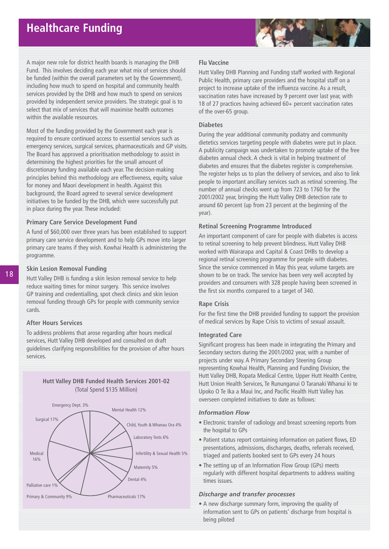

A major new role for district health boards is managing the DHB Fund. This involves deciding each year what mix of services should be funded (within the overall parameters set by the Government), including how much to spend on hospital and community health services provided by the DHB and how much to spend on services provided by independent service providers. The strategic goal is to select that mix of services that will maximise health outcomes within the available resources.

Most of the funding provided by the Government each year is required to ensure continued access to essential services such as emergency services, surgical services, pharmaceuticals and GP visits. The Board has approved a prioritisation methodology to assist in determining the highest priorities for the small amount of discretionary funding available each year. The decision-making principles behind this methodology are effectiveness, equity, value for money and Maori development in health. Against this background, the Board agreed to several service development initiatives to be funded by the DHB, which were successfully put in place during the year. These included:

#### **Primary Care Service Development Fund**

A fund of \$60,000 over three years has been established to support primary care service development and to help GPs move into larger primary care teams if they wish. Kowhai Health is administering the programme.

#### **Skin Lesion Removal Funding**

Hutt Valley DHB is funding a skin lesion removal service to help reduce waiting times for minor surgery. This service involves GP training and credentialling, spot check clinics and skin lesion removal funding through GPs for people with community service cards.

#### **After Hours Services**

To address problems that arose regarding after hours medical services, Hutt Valley DHB developed and consulted on draft guidelines clarifying responsibilities for the provision of after hours services.

## **Hutt Valley DHB Funded Health Services 2001-02** (Total Spend \$135 Million)



#### **Flu Vaccine**

Hutt Valley DHB Planning and Funding staff worked with Regional Public Health, primary care providers and the hospital staff on a project to increase uptake of the influenza vaccine. As a result, vaccination rates have increased by 9 percent over last year, with 18 of 27 practices having achieved 60+ percent vaccination rates of the over-65 group.

## **Diabetes**

During the year additional community podiatry and community dietetics services targeting people with diabetes were put in place. A publicity campaign was undertaken to promote uptake of the free diabetes annual check. A check is vital in helping treatment of diabetes and ensures that the diabetes register is comprehensive. The register helps us to plan the delivery of services, and also to link people to important ancillary services such as retinal screening. The number of annual checks went up from 723 to 1760 for the 2001/2002 year, bringing the Hutt Valley DHB detection rate to around 60 percent (up from 23 percent at the beginning of the year).

#### **Retinal Screening Programme Introduced**

An important component of care for people with diabetes is access to retinal screening to help prevent blindness. Hutt Valley DHB worked with Wairarapa and Capital & Coast DHBs to develop a regional retinal screening programme for people with diabetes. Since the service commenced in May this year, volume targets are shown to be on track. The service has been very well accepted by providers and consumers with 328 people having been screened in the first six months compared to a target of 340.

#### **Rape Crisis**

For the first time the DHB provided funding to support the provision of medical services by Rape Crisis to victims of sexual assault.

#### **Integrated Care**

Significant progress has been made in integrating the Primary and Secondary sectors during the 2001/2002 year, with a number of projects under way. A Primary Secondary Steering Group representing Kowhai Health, Planning and Funding Division, the Hutt Valley DHB, Ropata Medical Centre, Upper Hutt Health Centre, Hutt Union Health Services, Te Rununganui O Taranaki Whanui ki te Upoko O Te Ika a Maui Inc, and Pacific Health Hutt Valley has overseen completed initiatives to date as follows:

#### *Information Flow*

- Electronic transfer of radiology and breast screening reports from the hospital to GPs
- Patient status report containing information on patient flows, ED presentations, admissions, discharges, deaths, referrals received, triaged and patients booked sent to GPs every 24 hours
- The setting up of an Information Flow Group (GPs) meets regularly with different hospital departments to address waiting times issues.

#### *Discharge and transfer processes*

• A new discharge summary form, improving the quality of information sent to GPs on patients' discharge from hospital is being piloted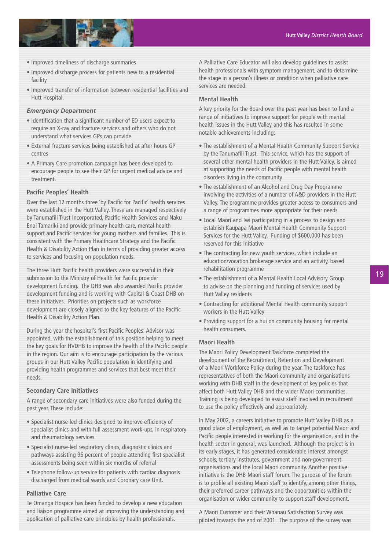

- Improved timeliness of discharge summaries
- Improved discharge process for patients new to a residential facility
- Improved transfer of information between residential facilities and Hutt Hospital.

#### *Emergency Department*

- Identification that a significant number of ED users expect to require an X-ray and fracture services and others who do not understand what services GPs can provide
- External fracture services being established at after hours GP centres
- A Primary Care promotion campaign has been developed to encourage people to see their GP for urgent medical advice and treatment.

#### **Pacific Peoples' Health**

Over the last 12 months three 'by Pacific for Pacific' health services were established in the Hutt Valley. These are managed respectively by Tanumafili Trust Incorporated, Pacific Health Services and Naku Enai Tamariki and provide primary health care, mental health support and Pacific services for young mothers and families. This is consistent with the Primary Healthcare Strategy and the Pacific Health & Disability Action Plan in terms of providing greater access to services and focusing on population needs.

The three Hutt Pacific health providers were successful in their submission to the Ministry of Health for Pacific provider development funding. The DHB was also awarded Pacific provider development funding and is working with Capital & Coast DHB on these initiatives. Priorities on projects such as workforce development are closely aligned to the key features of the Pacific Health & Disability Action Plan.

During the year the hospital's first Pacific Peoples' Advisor was appointed, with the establishment of this position helping to meet the key goals for HVDHB to improve the health of the Pacific people in the region. Our aim is to encourage participation by the various groups in our Hutt Valley Pacific population in identifying and providing health programmes and services that best meet their needs.

#### **Secondary Care Initiatives**

A range of secondary care initiatives were also funded during the past year. These include:

- Specialist nurse-led clinics designed to improve efficiency of specialist clinics and with full assessment work-ups, in respiratory and rheumatology services
- Specialist nurse-led respiratory clinics, diagnostic clinics and pathways assisting 96 percent of people attending first specialist assessments being seen within six months of referral
- Telephone follow-up service for patients with cardiac diagnosis discharged from medical wards and Coronary care Unit.

#### **Palliative Care**

Te Omanga Hospice has been funded to develop a new education and liaison programme aimed at improving the understanding and application of palliative care principles by health professionals.

A Palliative Care Educator will also develop guidelines to assist health professionals with symptom management, and to determine the stage in a person's illness or condition when palliative care services are needed.

#### **Mental Health**

A key priority for the Board over the past year has been to fund a range of initiatives to improve support for people with mental health issues in the Hutt Valley and this has resulted in some notable achievements including:

- The establishment of a Mental Health Community Support Service by the Tanumafili Trust. This service, which has the support of several other mental health providers in the Hutt Valley, is aimed at supporting the needs of Pacific people with mental health disorders living in the community
- The establishment of an Alcohol and Drug Day Programme involving the activities of a number of A&D providers in the Hutt Valley. The programme provides greater access to consumers and a range of programmes more appropriate for their needs
- Local Maori and Iwi participating in a process to design and establish Kaupapa Maori Mental Health Community Support Services for the Hutt Valley. Funding of \$600,000 has been reserved for this initiative
- The contracting for new youth services, which include an education/vocation brokerage service and an activity, based rehabilitation programme
- The establishment of a Mental Health Local Advisory Group to advise on the planning and funding of services used by Hutt Valley residents
- Contracting for additional Mental Health community support workers in the Hutt Valley
- Providing support for a hui on community housing for mental health consumers.

#### **Maori Health**

The Maori Policy Development Taskforce completed the development of the Recruitment, Retention and Development of a Maori Workforce Policy during the year. The taskforce has representatives of both the Maori community and organisations working with DHB staff in the development of key policies that affect both Hutt Valley DHB and the wider Maori communities. Training is being developed to assist staff involved in recruitment to use the policy effectively and appropriately.

In May 2002, a careers initiative to promote Hutt Valley DHB as a good place of employment, as well as to target potential Maori and Pacific people interested in working for the organisation, and in the health sector in general, was launched. Although the project is in its early stages, it has generated considerable interest amongst schools, tertiary institutes, government and non-government organisations and the local Maori community. Another positive initiative is the DHB Maori staff forum. The purpose of the forum is to profile all existing Maori staff to identify, among other things, their preferred career pathways and the opportunities within the organisation or wider community to support staff development.

A Maori Customer and their Whanau Satisfaction Survey was piloted towards the end of 2001. The purpose of the survey was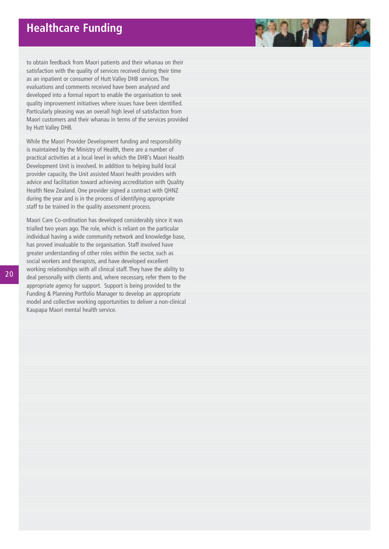# **Healthcare Funding**



to obtain feedback from Maori patients and their whanau on their satisfaction with the quality of services received during their time as an inpatient or consumer of Hutt Valley DHB services. The evaluations and comments received have been analysed and developed into a formal report to enable the organisation to seek quality improvement initiatives where issues have been identified. Particularly pleasing was an overall high level of satisfaction from Maori customers and their whanau in terms of the services provided by Hutt Valley DHB.

While the Maori Provider Development funding and responsibility is maintained by the Ministry of Health, there are a number of practical activities at a local level in which the DHB's Maori Health Development Unit is involved. In addition to helping build local provider capacity, the Unit assisted Maori health providers with advice and facilitation toward achieving accreditation with Quality Health New Zealand. One provider signed a contract with QHNZ during the year and is in the process of identifying appropriate staff to be trained in the quality assessment process.

Maori Care Co-ordination has developed considerably since it was trialled two years ago. The role, which is reliant on the particular individual having a wide community network and knowledge base, has proved invaluable to the organisation. Staff involved have greater understanding of other roles within the sector, such as social workers and therapists, and have developed excellent working relationships with all clinical staff. They have the ability to deal personally with clients and, where necessary, refer them to the appropriate agency for support. Support is being provided to the Funding & Planning Portfolio Manager to develop an appropriate model and collective working opportunities to deliver a non-clinical Kaupapa Maori mental health service.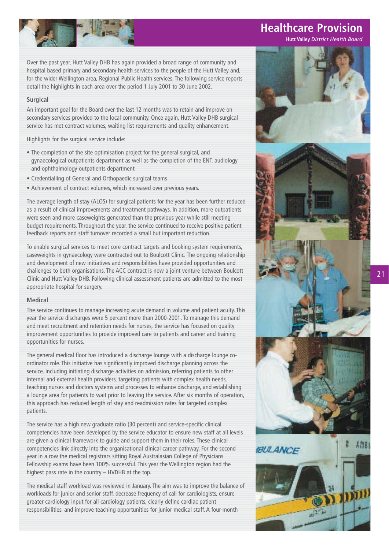

Over the past year, Hutt Valley DHB has again provided a broad range of community and hospital based primary and secondary health services to the people of the Hutt Valley and, for the wider Wellington area, Regional Public Health services. The following service reports detail the highlights in each area over the period 1 July 2001 to 30 June 2002.

#### **Surgical**

An important goal for the Board over the last 12 months was to retain and improve on secondary services provided to the local community. Once again, Hutt Valley DHB surgical service has met contract volumes, waiting list requirements and quality enhancement.

Highlights for the surgical service include:

- The completion of the site optimisation project for the general surgical, and gynaecological outpatients department as well as the completion of the ENT, audiology and ophthalmology outpatients department
- Credentialling of General and Orthopaedic surgical teams
- Achievement of contract volumes, which increased over previous years.

The average length of stay (ALOS) for surgical patients for the year has been further reduced as a result of clinical improvements and treatment pathways. In addition, more outpatients were seen and more caseweights generated than the previous year while still meeting budget requirements. Throughout the year, the service continued to receive positive patient feedback reports and staff turnover recorded a small but important reduction.

To enable surgical services to meet core contract targets and booking system requirements, caseweights in gynaecology were contracted out to Boulcott Clinic. The ongoing relationship and development of new initiatives and responsibilities have provided opportunities and challenges to both organisations. The ACC contract is now a joint venture between Boulcott Clinic and Hutt Valley DHB. Following clinical assessment patients are admitted to the most appropriate hospital for surgery.

#### **Medical**

The service continues to manage increasing acute demand in volume and patient acuity. This year the service discharges were 5 percent more than 2000-2001. To manage this demand and meet recruitment and retention needs for nurses, the service has focused on quality improvement opportunities to provide improved care to patients and career and training opportunities for nurses.

The general medical floor has introduced a discharge lounge with a discharge lounge coordinator role. This initiative has significantly improved discharge planning across the service, including initiating discharge activities on admission, referring patients to other internal and external health providers, targeting patients with complex health needs, teaching nurses and doctors systems and processes to enhance discharge, and establishing a lounge area for patients to wait prior to leaving the service. After six months of operation, this approach has reduced length of stay and readmission rates for targeted complex patients.

The service has a high new graduate ratio (30 percent) and service-specific clinical competencies have been developed by the service educator to ensure new staff at all levels are given a clinical framework to guide and support them in their roles. These clinical competencies link directly into the organisational clinical career pathway. For the second year in a row the medical registrars sitting Royal Australasian College of Physicians Fellowship exams have been 100% successful. This year the Wellington region had the highest pass rate in the country – HVDHB at the top.

The medical staff workload was reviewed in January. The aim was to improve the balance of workloads for junior and senior staff, decrease frequency of call for cardiologists, ensure greater cardiology input for all cardiology patients, clearly define cardiac patient responsibilities, and improve teaching opportunities for junior medical staff. A four-month

# **Healthcare Provision**

**Hutt Valley** *District Health Board*

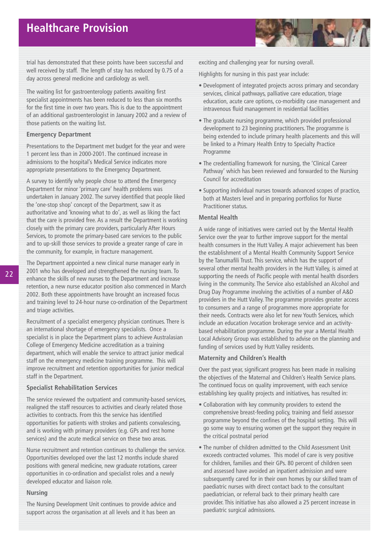

trial has demonstrated that these points have been successful and well received by staff. The length of stay has reduced by 0.75 of a day across general medicine and cardiology as well.

The waiting list for gastroenterology patients awaiting first specialist appointments has been reduced to less than six months for the first time in over two years. This is due to the appointment of an additional gastroenterologist in January 2002 and a review of those patients on the waiting list.

#### **Emergency Department**

Presentations to the Department met budget for the year and were 1 percent less than in 2000-2001. The continued increase in admissions to the hospital's Medical Service indicates more appropriate presentations to the Emergency Department.

A survey to identify why people chose to attend the Emergency Department for minor 'primary care' health problems was undertaken in January 2002. The survey identified that people liked the 'one-stop shop' concept of the Department, saw it as authoritative and 'knowing what to do', as well as liking the fact that the care is provided free. As a result the Department is working closely with the primary care providers, particularly After Hours Services, to promote the primary-based care services to the public and to up-skill those services to provide a greater range of care in the community, for example, in fracture management.

The Department appointed a new clinical nurse manager early in 2001 who has developed and strengthened the nursing team. To enhance the skills of new nurses to the Department and increase retention, a new nurse educator position also commenced in March 2002. Both these appointments have brought an increased focus and training level to 24-hour nurse co-ordination of the Department and triage activities.

Recruitment of a specialist emergency physician continues. There is an international shortage of emergency specialists. Once a specialist is in place the Department plans to achieve Australasian College of Emergency Medicine accreditation as a training department, which will enable the service to attract junior medical staff on the emergency medicine training programme. This will improve recruitment and retention opportunities for junior medical staff in the Department.

#### **Specialist Rehabilitation Services**

The service reviewed the outpatient and community-based services, realigned the staff resources to activities and clearly related those activities to contracts. From this the service has identified opportunities for patients with strokes and patients convalescing, and is working with primary providers (e.g. GPs and rest home services) and the acute medical service on these two areas.

Nurse recruitment and retention continues to challenge the service. Opportunities developed over the last 12 months include shared positions with general medicine, new graduate rotations, career opportunities in co-ordination and specialist roles and a newly developed educator and liaison role.

#### **Nursing**

The Nursing Development Unit continues to provide advice and support across the organisation at all levels and it has been an exciting and challenging year for nursing overall.

Highlights for nursing in this past year include:

- Development of integrated projects across primary and secondary services, clinical pathways, palliative care education, triage education, acute care options, co-morbidity case management and intravenous fluid management in residential facilities
- The graduate nursing programme, which provided professional development to 23 beginning practitioners. The programme is being extended to include primary health placements and this will be linked to a Primary Health Entry to Specialty Practice Programme
- The credentialling framework for nursing, the 'Clinical Career Pathway' which has been reviewed and forwarded to the Nursing Council for accreditation
- Supporting individual nurses towards advanced scopes of practice, both at Masters level and in preparing portfolios for Nurse Practitioner status.

#### **Mental Health**

A wide range of initiatives were carried out by the Mental Health Service over the year to further improve support for the mental health consumers in the Hutt Valley. A major achievement has been the establishment of a Mental Health Community Support Service by the Tanumafili Trust. This service, which has the support of several other mental health providers in the Hutt Valley, is aimed at supporting the needs of Pacific people with mental health disorders living in the community. The Service also established an Alcohol and Drug Day Programme involving the activities of a number of A&D providers in the Hutt Valley. The programme provides greater access to consumers and a range of programmes more appropriate for their needs. Contracts were also let for new Youth Services, which include an education /vocation brokerage service and an activitybased rehabilitation programme. During the year a Mental Health Local Advisory Group was established to advise on the planning and funding of services used by Hutt Valley residents.

#### **Maternity and Children's Health**

Over the past year, significant progress has been made in realising the objectives of the Maternal and Children's Health Service plans. The continued focus on quality improvement, with each service establishing key quality projects and initiatives, has resulted in:

- Collaboration with key community providers to extend the comprehensive breast-feeding policy, training and field assessor programme beyond the confines of the hospital setting. This will go some way to ensuring women get the support they require in the critical postnatal period
- The number of children admitted to the Child Assessment Unit exceeds contracted volumes. This model of care is very positive for children, families and their GPs. 80 percent of children seen and assessed have avoided an inpatient admission and were subsequently cared for in their own homes by our skilled team of paediatric nurses with direct contact back to the consultant paediatrician, or referral back to their primary health care provider. This initiative has also allowed a 25 percent increase in paediatric surgical admissions.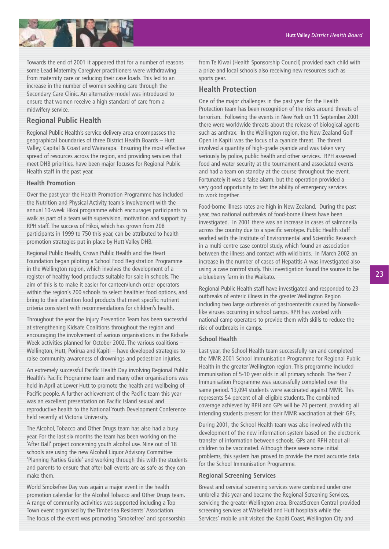

Towards the end of 2001 it appeared that for a number of reasons some Lead Maternity Caregiver practitioners were withdrawing from maternity care or reducing their case loads. This led to an increase in the number of women seeking care through the Secondary Care Clinic. An alternative model was introduced to ensure that women receive a high standard of care from a midwifery service.

## **Regional Public Health**

Regional Public Health's service delivery area encompasses the geographical boundaries of three District Health Boards – Hutt Valley, Capital & Coast and Wairarapa. Ensuring the most effective spread of resources across the region, and providing services that meet DHB priorities, have been major focuses for Regional Public Health staff in the past year.

#### **Health Promotion**

Over the past year the Health Promotion Programme has included the Nutrition and Physical Activity team's involvement with the annual 10-week Hikoi programme which encourages participants to walk as part of a team with supervision, motivation and support by RPH staff. The success of Hikoi, which has grown from 208 participants in 1999 to 750 this year, can be attributed to health promotion strategies put in place by Hutt Valley DHB.

Regional Public Health, Crown Public Health and the Heart Foundation began piloting a School Food Registration Programme in the Wellington region, which involves the development of a register of healthy food products suitable for sale in schools. The aim of this is to make it easier for canteen/lunch order operators within the region's 200 schools to select healthier food options, and bring to their attention food products that meet specific nutrient criteria consistent with recommendations for children's health.

Throughout the year the Injury Prevention Team has been successful at strengthening Kidsafe Coalitions throughout the region and encouraging the involvement of various organisations in the Kidsafe Week activities planned for October 2002. The various coalitions – Wellington, Hutt, Porirua and Kapiti – have developed strategies to raise community awareness of drownings and pedestrian injuries.

An extremely successful Pacific Health Day involving Regional Public Health's Pacific Programme team and many other organisations was held in April at Lower Hutt to promote the health and wellbeing of Pacific people. A further achievement of the Pacific team this year was an excellent presentation on Pacific Island sexual and reproductive health to the National Youth Development Conference held recently at Victoria University.

The Alcohol, Tobacco and Other Drugs team has also had a busy year. For the last six months the team has been working on the 'After Ball' project concerning youth alcohol use. Nine out of 18 schools are using the new Alcohol Liquor Advisory Committee 'Planning Parties Guide' and working through this with the students and parents to ensure that after ball events are as safe as they can make them.

World Smokefree Day was again a major event in the health promotion calendar for the Alcohol Tobacco and Other Drugs team. A range of community activities was supported including a Top Town event organised by the Timberlea Residents' Association. The focus of the event was promoting 'Smokefree' and sponsorship

from Te Kiwai (Health Sponsorship Council) provided each child with a prize and local schools also receiving new resources such as sports gear.

## **Health Protection**

One of the major challenges in the past year for the Health Protection team has been recognition of the risks around threats of terrorism. Following the events in New York on 11 September 2001 there were worldwide threats about the release of biological agents such as anthrax. In the Wellington region, the New Zealand Golf Open in Kapiti was the focus of a cyanide threat. The threat involved a quantity of high-grade cyanide and was taken very seriously by police, public health and other services. RPH assessed food and water security at the tournament and associated events and had a team on standby at the course throughout the event. Fortunately it was a false alarm, but the operation provided a very good opportunity to test the ability of emergency services to work together.

Food-borne illness rates are high in New Zealand. During the past year, two national outbreaks of food-borne illness have been investigated. In 2001 there was an increase in cases of salmonella across the country due to a specific serotype. Public Health staff worked with the Institute of Environmental and Scientific Research in a multi-centre case control study, which found an association between the illness and contact with wild birds. In March 2002 an increase in the number of cases of Hepatitis A was investigated also using a case control study. This investigation found the source to be a blueberry farm in the Waikato.

Regional Public Health staff have investigated and responded to 23 outbreaks of enteric illness in the greater Wellington Region including two large outbreaks of gastroenteritis caused by Norwalklike viruses occurring in school camps. RPH has worked with national camp operators to provide them with skills to reduce the risk of outbreaks in camps.

#### **School Health**

Last year, the School Health team successfully ran and completed the MMR 2001 School Immunisation Programme for Regional Public Health in the greater Wellington region. This programme included immunisation of 5-10 year olds in all primary schools. The Year 7 Immunisation Programme was successfully completed over the same period. 13,094 students were vaccinated against MMR. This represents 54 percent of all eligible students. The combined coverage achieved by RPH and GPs will be 70 percent, providing all intending students present for their MMR vaccination at their GPs.

During 2001, the School Health team was also involved with the development of the new information system based on the electronic transfer of information between schools, GPs and RPH about all children to be vaccinated. Although there were some initial problems, this system has proved to provide the most accurate data for the School Immunisation Programme.

#### **Regional Screening Services**

Breast and cervical screening services were combined under one umbrella this year and became the Regional Screening Services, servicing the greater Wellington area. BreastScreen Central provided screening services at Wakefield and Hutt hospitals while the Services' mobile unit visited the Kapiti Coast, Wellington City and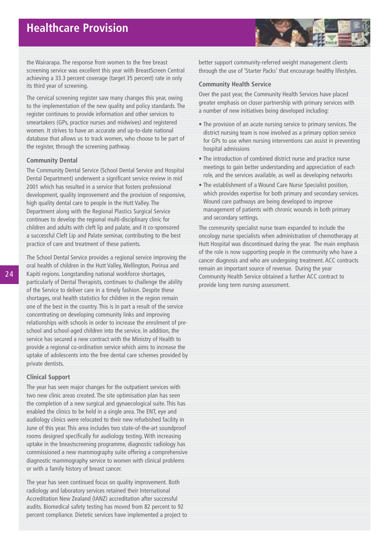

the Wairarapa. The response from women to the free breast screening service was excellent this year with BreastScreen Central achieving a 33.3 percent coverage (target 35 percent) rate in only its third year of screening.

The cervical screening register saw many changes this year, owing to the implementation of the new quality and policy standards. The register continues to provide information and other services to smeartakers (GPs, practice nurses and midwives) and registered women. It strives to have an accurate and up-to-date national database that allows us to track women, who choose to be part of the register, through the screening pathway.

#### **Community Dental**

The Community Dental Service (School Dental Service and Hospital Dental Department) underwent a significant service review in mid 2001 which has resulted in a service that fosters professional development, quality improvement and the provision of responsive, high quality dental care to people in the Hutt Valley. The Department along with the Regional Plastics Surgical Service continues to develop the regional multi-disciplinary clinic for children and adults with cleft lip and palate, and it co-sponsored a successful Cleft Lip and Palate seminar, contributing to the best practice of care and treatment of these patients.

The School Dental Service provides a regional service improving the oral health of children in the Hutt Valley, Wellington, Porirua and Kapiti regions. Longstanding national workforce shortages, particularly of Dental Therapists, continues to challenge the ability of the Service to deliver care in a timely fashion. Despite these shortages, oral health statistics for children in the region remain one of the best in the country. This is in part a result of the service concentrating on developing community links and improving relationships with schools in order to increase the enrolment of preschool and school-aged children into the service. In addition, the service has secured a new contract with the Ministry of Health to provide a regional co-ordination service which aims to increase the uptake of adolescents into the free dental care schemes provided by private dentists.

#### **Clinical Support**

The year has seen major changes for the outpatient services with two new clinic areas created. The site optimisation plan has seen the completion of a new surgical and gynaecological suite. This has enabled the clinics to be held in a single area. The ENT, eye and audiology clinics were relocated to their new refurbished facility in June of this year. This area includes two state-of-the-art soundproof rooms designed specifically for audiology testing. With increasing uptake in the breastscreening programme, diagnostic radiology has commissioned a new mammography suite offering a comprehensive diagnostic mammography service to women with clinical problems or with a family history of breast cancer.

The year has seen continued focus on quality improvement. Both radiology and laboratory services retained their International Accreditation New Zealand (IANZ) accreditation after successful audits. Biomedical safety testing has moved from 82 percent to 92 percent compliance. Dietetic services have implemented a project to better support community-referred weight management clients through the use of 'Starter Packs' that encourage healthy lifestyles.

#### **Community Health Service**

Over the past year, the Community Health Services have placed greater emphasis on closer partnership with primary services with a number of new initiatives being developed including:

- The provision of an acute nursing service to primary services. The district nursing team is now involved as a primary option service for GPs to use when nursing interventions can assist in preventing hospital admissions
- The introduction of combined district nurse and practice nurse meetings to gain better understanding and appreciation of each role, and the services available, as well as developing networks
- The establishment of a Wound Care Nurse Specialist position, which provides expertise for both primary and secondary services. Wound care pathways are being developed to improve management of patients with chronic wounds in both primary and secondary settings.

The community specialist nurse team expanded to include the oncology nurse specialists when administration of chemotherapy at Hutt Hospital was discontinued during the year. The main emphasis of the role is now supporting people in the community who have a cancer diagnosis and who are undergoing treatment. ACC contracts remain an important source of revenue. During the year Community Health Service obtained a further ACC contract to provide long term nursing assessment.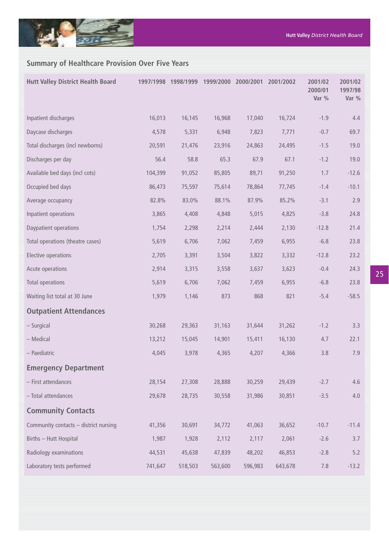

# **Summary of Healthcare Provision Over Five Years**

| <b>Hutt Valley District Health Board</b> |         | 1997/1998 1998/1999 | 1999/2000 2000/2001 |         | 2001/2002 | 2001/02<br>2000/01<br>Var % | 2001/02<br>1997/98<br>Var % |
|------------------------------------------|---------|---------------------|---------------------|---------|-----------|-----------------------------|-----------------------------|
| Inpatient discharges                     | 16,013  | 16,145              | 16,968              | 17,040  | 16,724    | $-1.9$                      | 4.4                         |
| Daycase discharges                       | 4,578   | 5,331               | 6,948               | 7,823   | 7,771     | $-0.7$                      | 69.7                        |
| Total discharges (incl newborns)         | 20,591  | 21,476              | 23,916              | 24,863  | 24,495    | $-1.5$                      | 19.0                        |
| Discharges per day                       | 56.4    | 58.8                | 65.3                | 67.9    | 67.1      | $-1.2$                      | 19.0                        |
| Available bed days (incl cots)           | 104,399 | 91,052              | 85,805              | 89,71   | 91,250    | 1.7                         | $-12.6$                     |
| Occupied bed days                        | 86,473  | 75,597              | 75,614              | 78,864  | 77,745    | $-1.4$                      | $-10.1$                     |
| Average occupancy                        | 82.8%   | 83.0%               | 88.1%               | 87.9%   | 85.2%     | $-3.1$                      | 2.9                         |
| Inpatient operations                     | 3,865   | 4,408               | 4,848               | 5,015   | 4,825     | $-3.8$                      | 24.8                        |
| Daypatient operations                    | 1,754   | 2,298               | 2,214               | 2,444   | 2,130     | $-12.8$                     | 21.4                        |
| Total operations (theatre cases)         | 5,619   | 6,706               | 7,062               | 7,459   | 6,955     | $-6.8$                      | 23.8                        |
| Elective operations                      | 2,705   | 3,391               | 3,504               | 3,822   | 3,332     | $-12.8$                     | 23.2                        |
| Acute operations                         | 2,914   | 3,315               | 3,558               | 3,637   | 3,623     | $-0.4$                      | 24.3                        |
| <b>Total operations</b>                  | 5,619   | 6,706               | 7,062               | 7,459   | 6,955     | $-6.8$                      | 23.8                        |
| Waiting list total at 30 June            | 1,979   | 1,146               | 873                 | 868     | 821       | $-5.4$                      | $-58.5$                     |
| <b>Outpatient Attendances</b>            |         |                     |                     |         |           |                             |                             |
| - Surgical                               | 30,268  | 29,363              | 31,163              | 31,644  | 31,262    | $-1.2$                      | 3.3                         |
| - Medical                                | 13,212  | 15,045              | 14,901              | 15,411  | 16,130    | 4.7                         | 22.1                        |
| - Paediatric                             | 4,045   | 3,978               | 4,365               | 4,207   | 4,366     | 3.8                         | 7.9                         |
| <b>Emergency Department</b>              |         |                     |                     |         |           |                             |                             |
| - First attendances                      | 28,154  | 27,308              | 28,888              | 30,259  | 29,439    | $-2.7$                      | 4.6                         |
| - Total attendances                      | 29,678  | 28,735              | 30,558              | 31,986  | 30,851    | $-3.5$                      | 4.0                         |
| <b>Community Contacts</b>                |         |                     |                     |         |           |                             |                             |
| Community contacts - district nursing    | 41,356  | 30,691              | 34,772              | 41,063  | 36,652    | $-10.7$                     | $-11.4$                     |
| Births - Hutt Hospital                   | 1,987   | 1,928               | 2,112               | 2,117   | 2,061     | $-2.6$                      | 3.7                         |
| Radiology examinations                   | 44,531  | 45,638              | 47,839              | 48,202  | 46,853    | $-2.8$                      | 5.2                         |
| Laboratory tests performed               | 741,647 | 518,503             | 563,600             | 596,983 | 643,678   | 7.8                         | $-13.2$                     |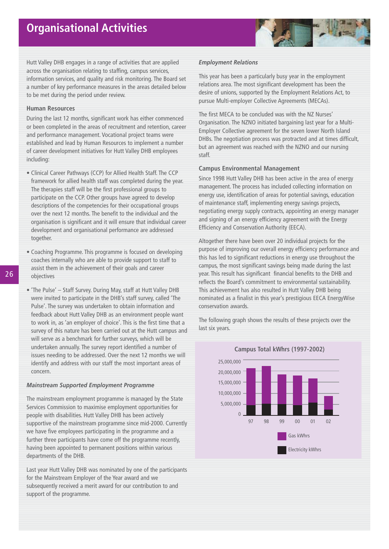

Hutt Valley DHB engages in a range of activities that are applied across the organisation relating to staffing, campus services, information services, and quality and risk monitoring. The Board set a number of key performance measures in the areas detailed below to be met during the period under review.

#### **Human Resources**

During the last 12 months, significant work has either commenced or been completed in the areas of recruitment and retention, career and performance management. Vocational project teams were established and lead by Human Resources to implement a number of career development initiatives for Hutt Valley DHB employees including:

- Clinical Career Pathways (CCP) for Allied Health Staff. The CCP framework for allied health staff was completed during the year. The therapies staff will be the first professional groups to participate on the CCP. Other groups have agreed to develop descriptions of the competencies for their occupational groups over the next 12 months. The benefit to the individual and the organisation is significant and it will ensure that individual career development and organisational performance are addressed together.
- Coaching Programme. This programme is focused on developing coaches internally who are able to provide support to staff to assist them in the achievement of their goals and career objectives
- 'The Pulse' Staff Survey. During May, staff at Hutt Valley DHB were invited to participate in the DHB's staff survey, called 'The Pulse'. The survey was undertaken to obtain information and feedback about Hutt Valley DHB as an environment people want to work in, as 'an employer of choice'. This is the first time that a survey of this nature has been carried out at the Hutt campus and will serve as a benchmark for further surveys, which will be undertaken annually. The survey report identified a number of issues needing to be addressed. Over the next 12 months we will identify and address with our staff the most important areas of concern.

#### *Mainstream Supported Employment Programme*

The mainstream employment programme is managed by the State Services Commission to maximise employment opportunities for people with disabilities. Hutt Valley DHB has been actively supportive of the mainstream programme since mid-2000. Currently we have five employees participating in the programme and a further three participants have come off the programme recently, having been appointed to permanent positions within various departments of the DHB.

Last year Hutt Valley DHB was nominated by one of the participants for the Mainstream Employer of the Year award and we subsequently received a merit award for our contribution to and support of the programme.

#### *Employment Relations*

This year has been a particularly busy year in the employment relations area. The most significant development has been the desire of unions, supported by the Employment Relations Act, to pursue Multi-employer Collective Agreements (MECAs).

The first MECA to be concluded was with the NZ Nurses' Organisation. The NZNO initiated bargaining last year for a Multi-Employer Collective agreement for the seven lower North Island DHBs. The negotiation process was protracted and at times difficult, but an agreement was reached with the NZNO and our nursing staff.

#### **Campus Environmental Management**

Since 1998 Hutt Valley DHB has been active in the area of energy management. The process has included collecting information on energy use, identification of areas for potential savings, education of maintenance staff, implementing energy savings projects, negotiating energy supply contracts, appointing an energy manager and signing of an energy efficiency agreement with the Energy Efficiency and Conservation Authority (EECA).

Altogether there have been over 20 individual projects for the purpose of improving our overall energy efficiency performance and this has led to significant reductions in energy use throughout the campus, the most significant savings being made during the last year. This result has significant financial benefits to the DHB and reflects the Board's commitment to environmental sustainability. This achievement has also resulted in Hutt Valley DHB being nominated as a finalist in this year's prestigious EECA EnergyWise conservation awards.

The following graph shows the results of these projects over the last six years.



#### **Campus Total kWhrs (1997-2002)**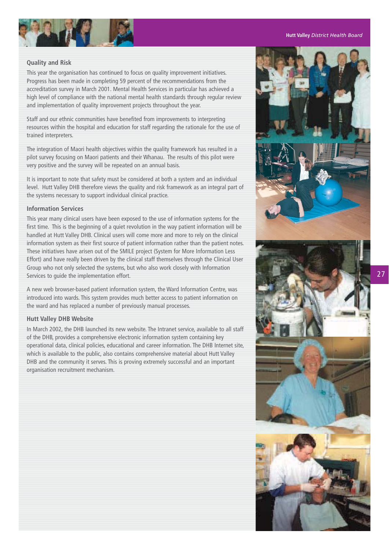

#### **Hutt Valley** *District Health Board*

#### **Quality and Risk**

This year the organisation has continued to focus on quality improvement initiatives. Progress has been made in completing 59 percent of the recommendations from the accreditation survey in March 2001. Mental Health Services in particular has achieved a high level of compliance with the national mental health standards through regular review and implementation of quality improvement projects throughout the year.

Staff and our ethnic communities have benefited from improvements to interpreting resources within the hospital and education for staff regarding the rationale for the use of trained interpreters.

The integration of Maori health objectives within the quality framework has resulted in a pilot survey focusing on Maori patients and their Whanau. The results of this pilot were very positive and the survey will be repeated on an annual basis.

It is important to note that safety must be considered at both a system and an individual level. Hutt Valley DHB therefore views the quality and risk framework as an integral part of the systems necessary to support individual clinical practice.

#### **Information Services**

This year many clinical users have been exposed to the use of information systems for the first time. This is the beginning of a quiet revolution in the way patient information will be handled at Hutt Valley DHB. Clinical users will come more and more to rely on the clinical information system as their first source of patient information rather than the patient notes. These initiatives have arisen out of the SMILE project (System for More Information Less Effort) and have really been driven by the clinical staff themselves through the Clinical User Group who not only selected the systems, but who also work closely with Information Services to guide the implementation effort.

A new web browser-based patient information system, the Ward Information Centre, was introduced into wards. This system provides much better access to patient information on the ward and has replaced a number of previously manual processes.

#### **Hutt Valley DHB Website**

In March 2002, the DHB launched its new website. The Intranet service, available to all staff of the DHB, provides a comprehensive electronic information system containing key operational data, clinical policies, educational and career information. The DHB Internet site, which is available to the public, also contains comprehensive material about Hutt Valley DHB and the community it serves. This is proving extremely successful and an important organisation recruitment mechanism.

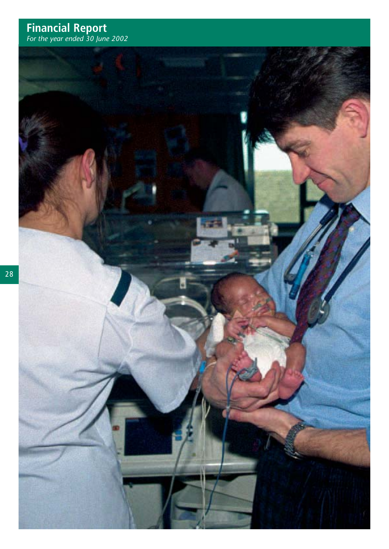# **Financial Report**

*For the year ended 30 June 2002*

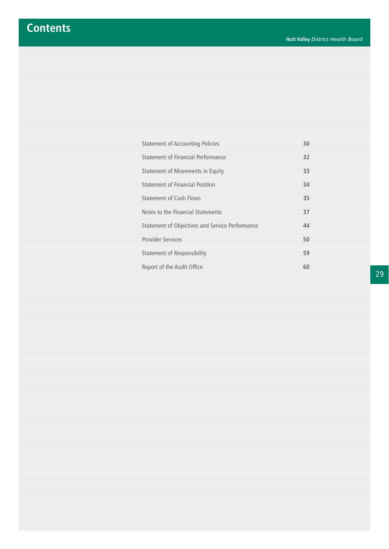| <b>Statement of Accounting Policies</b>         | 30 |
|-------------------------------------------------|----|
| Statement of Financial Performance              | 32 |
| Statement of Movements in Equity                | 33 |
| <b>Statement of Financial Position</b>          | 34 |
| <b>Statement of Cash Flows</b>                  | 35 |
| Notes to the Financial Statements               | 37 |
| Statement of Objectives and Service Performance | 44 |
| <b>Provider Services</b>                        | 50 |
| Statement of Responsibility                     | 59 |
| Report of the Audit Office                      | 60 |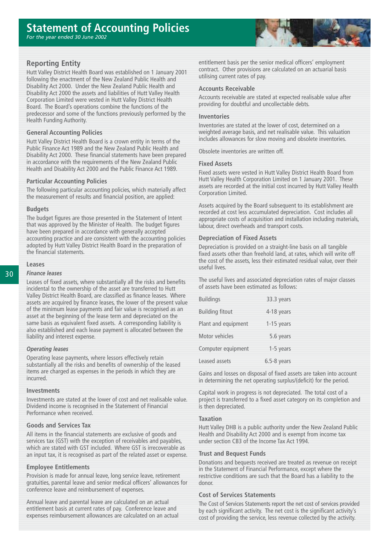

## **Reporting Entity**

Hutt Valley District Health Board was established on 1 January 2001 following the enactment of the New Zealand Public Health and Disability Act 2000. Under the New Zealand Public Health and Disability Act 2000 the assets and liabilities of Hutt Valley Health Corporation Limited were vested in Hutt Valley District Health Board. The Board's operations combine the functions of the predecessor and some of the functions previously performed by the Health Funding Authority.

#### **General Accounting Policies**

Hutt Valley District Health Board is a crown entity in terms of the Public Finance Act 1989 and the New Zealand Public Health and Disability Act 2000. These financial statements have been prepared in accordance with the requirements of the New Zealand Public Health and Disability Act 2000 and the Public Finance Act 1989.

#### **Particular Accounting Policies**

The following particular accounting policies, which materially affect the measurement of results and financial position, are applied:

#### **Budgets**

The budget figures are those presented in the Statement of Intent that was approved by the Minister of Health. The budget figures have been prepared in accordance with generally accepted accounting practice and are consistent with the accounting policies adopted by Hutt Valley District Health Board in the preparation of the financial statements.

#### **Leases**

#### *Finance leases*

Leases of fixed assets, where substantially all the risks and benefits incidental to the ownership of the asset are transferred to Hutt Valley District Health Board, are classified as finance leases. Where assets are acquired by finance leases, the lower of the present value of the minimum lease payments and fair value is recognised as an asset at the beginning of the lease term and depreciated on the same basis as equivalent fixed assets. A corresponding liability is also established and each lease payment is allocated between the liability and interest expense.

#### *Operating leases*

Operating lease payments, where lessors effectively retain substantially all the risks and benefits of ownership of the leased items are charged as expenses in the periods in which they are incurred.

#### **Investments**

Investments are stated at the lower of cost and net realisable value. Dividend income is recognised in the Statement of Financial Performance when received.

#### **Goods and Services Tax**

All items in the financial statements are exclusive of goods and services tax (GST) with the exception of receivables and payables, which are stated with GST included. Where GST is irrecoverable as an input tax, it is recognised as part of the related asset or expense.

#### **Employee Entitlements**

Provision is made for annual leave, long service leave, retirement gratuities, parental leave and senior medical officers' allowances for conference leave and reimbursement of expenses.

Annual leave and parental leave are calculated on an actual entitlement basis at current rates of pay. Conference leave and expenses reimbursement allowances are calculated on an actual entitlement basis per the senior medical officers' employment contract. Other provisions are calculated on an actuarial basis utilising current rates of pay.

#### **Accounts Receivable**

Accounts receivable are stated at expected realisable value after providing for doubtful and uncollectable debts.

#### **Inventories**

Inventories are stated at the lower of cost, determined on a weighted average basis, and net realisable value. This valuation includes allowances for slow moving and obsolete inventories.

Obsolete inventories are written off.

#### **Fixed Assets**

Fixed assets were vested in Hutt Valley District Health Board from Hutt Valley Health Corporation Limited on 1 January 2001. These assets are recorded at the initial cost incurred by Hutt Valley Health Corporation Limited.

Assets acquired by the Board subsequent to its establishment are recorded at cost less accumulated depreciation. Cost includes all appropriate costs of acquisition and installation including materials, labour, direct overheads and transport costs.

#### **Depreciation of Fixed Assets**

Depreciation is provided on a straight-line basis on all tangible fixed assets other than freehold land, at rates, which will write off the cost of the assets, less their estimated residual value, over their useful lives.

The useful lives and associated depreciation rates of major classes of assets have been estimated as follows:

| <b>Buildings</b>       | 33.3 years    |
|------------------------|---------------|
| <b>Building fitout</b> | 4-18 years    |
| Plant and equipment    | $1-15$ years  |
| Motor vehicles         | 5.6 years     |
| Computer equipment     | 1-5 years     |
| Leased assets          | $6.5-8$ years |

Gains and losses on disposal of fixed assets are taken into account in determining the net operating surplus/(deficit) for the period.

Capital work in progress is not depreciated. The total cost of a project is transferred to a fixed asset category on its completion and is then depreciated.

#### **Taxation**

Hutt Valley DHB is a public authority under the New Zealand Public Health and Disability Act 2000 and is exempt from income tax under section CB3 of the Income Tax Act 1994.

#### **Trust and Bequest Funds**

Donations and bequests received are treated as revenue on receipt in the Statement of Financial Performance, except where the restrictive conditions are such that the Board has a liability to the donor.

#### **Cost of Services Statements**

The Cost of Services Statements report the net cost of services provided by each significant activity. The net cost is the significant activity's cost of providing the service, less revenue collected by the activity.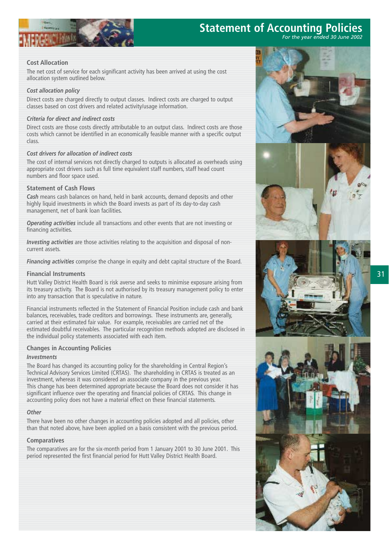

# **Statement of Accounting Policies**

*For the year ended 30 June 2002*

#### **Cost Allocation**

The net cost of service for each significant activity has been arrived at using the cost allocation system outlined below.

#### *Cost allocation policy*

Direct costs are charged directly to output classes. Indirect costs are charged to output classes based on cost drivers and related activity/usage information.

#### *Criteria for direct and indirect costs*

Direct costs are those costs directly attributable to an output class. Indirect costs are those costs which cannot be identified in an economically feasible manner with a specific output class.

#### *Cost drivers for allocation of indirect costs*

The cost of internal services not directly charged to outputs is allocated as overheads using appropriate cost drivers such as full time equivalent staff numbers, staff head count numbers and floor space used.

#### **Statement of Cash Flows**

*Cash* means cash balances on hand, held in bank accounts, demand deposits and other highly liquid investments in which the Board invests as part of its day-to-day cash management, net of bank loan facilities.

*Operating activities* include all transactions and other events that are not investing or financing activities.

*Investing activities* are those activities relating to the acquisition and disposal of noncurrent assets.

*Financing activities* comprise the change in equity and debt capital structure of the Board.

#### **Financial Instruments**

Hutt Valley District Health Board is risk averse and seeks to minimise exposure arising from its treasury activity. The Board is not authorised by its treasury management policy to enter into any transaction that is speculative in nature.

Financial instruments reflected in the Statement of Financial Position include cash and bank balances, receivables, trade creditors and borrowings. These instruments are, generally, carried at their estimated fair value. For example, receivables are carried net of the estimated doubtful receivables. The particular recognition methods adopted are disclosed in the individual policy statements associated with each item.

#### **Changes in Accounting Policies**

#### *Investments*

The Board has changed its accounting policy for the shareholding in Central Region's Technical Advisory Services Limited (CRTAS). The shareholding in CRTAS is treated as an investment, whereas it was considered an associate company in the previous year. This change has been determined appropriate because the Board does not consider it has significant influence over the operating and financial policies of CRTAS. This change in accounting policy does not have a material effect on these financial statements.

#### *Other*

There have been no other changes in accounting policies adopted and all policies, other than that noted above, have been applied on a basis consistent with the previous period.

#### **Comparatives**

The comparatives are for the six-month period from 1 January 2001 to 30 June 2001. This period represented the first financial period for Hutt Valley District Health Board.

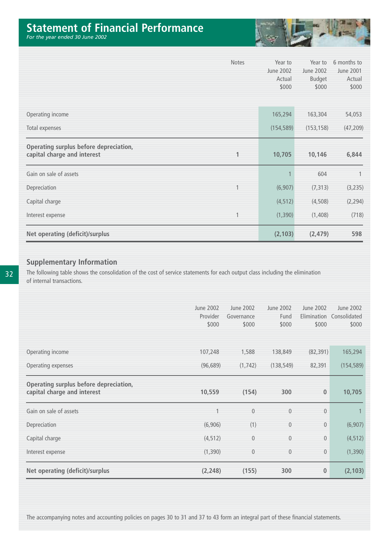*For the year ended 30 June 2002*



|                                                                       | Notes | Year to<br><b>June 2002</b><br>Actual<br>\$000 | Year to<br><b>June 2002</b><br>Budget<br>\$000 | 6 months to<br>June 2001<br>Actual<br>\$000 |
|-----------------------------------------------------------------------|-------|------------------------------------------------|------------------------------------------------|---------------------------------------------|
| Operating income                                                      |       | 165,294                                        | 163,304                                        | 54,053                                      |
| Total expenses                                                        |       | (154, 589)                                     | (153, 158)                                     | (47, 209)                                   |
| Operating surplus before depreciation,<br>capital charge and interest | 1     | 10,705                                         | 10,146                                         | 6,844                                       |
| Gain on sale of assets                                                |       | $\mathbf{1}$                                   | 604                                            | 1                                           |
| Depreciation                                                          | 1     | (6, 907)                                       | (7, 313)                                       | (3, 235)                                    |
| Capital charge                                                        |       | (4, 512)                                       | (4,508)                                        | (2, 294)                                    |
| Interest expense                                                      |       | (1, 390)                                       | (1, 408)                                       | (718)                                       |
| Net operating (deficit)/surplus                                       |       | (2, 103)                                       | (2, 479)                                       | 598                                         |

## **Supplementary Information**

The following table shows the consolidation of the cost of service statements for each output class including the elimination of internal transactions.

|                                                                       | June 2002<br>Provider<br>\$000 | <b>June 2002</b><br>Governance<br>\$000 | June 2002<br>Fund<br>\$000 | June 2002<br>\$000 | June 2002<br>Elimination Consolidated<br>\$000 |
|-----------------------------------------------------------------------|--------------------------------|-----------------------------------------|----------------------------|--------------------|------------------------------------------------|
| Operating income                                                      | 107,248                        | 1,588                                   | 138,849                    | (82, 391)          | 165,294                                        |
| Operating expenses                                                    | (96, 689)                      | (1, 742)                                | (138, 549)                 | 82,391             | (154, 589)                                     |
| Operating surplus before depreciation,<br>capital charge and interest | 10,559                         | (154)                                   | 300                        | $\bf{0}$           | 10,705                                         |
| Gain on sale of assets                                                |                                | $\overline{0}$                          | $\overline{0}$             | $\mathbf{0}$       |                                                |
| Depreciation                                                          | (6,906)                        | (1)                                     | $\mathbf{0}$               | $\mathbf{0}$       | (6, 907)                                       |
| Capital charge                                                        | (4, 512)                       | $\overline{0}$                          | $\overline{0}$             | $\mathbf{0}$       | (4, 512)                                       |
| Interest expense                                                      | (1, 390)                       | $\boldsymbol{0}$                        | $\boldsymbol{0}$           | $\mathbf{0}$       | (1, 390)                                       |
| Net operating (deficit)/surplus                                       | (2, 248)                       | (155)                                   | 300                        | $\pmb{0}$          | (2, 103)                                       |

32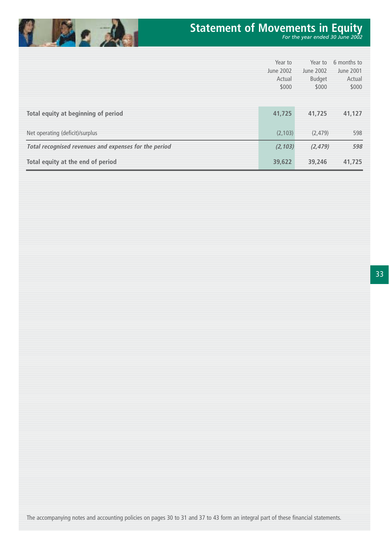

# **Statement of Movements in Equity**

*For the year ended 30 June 2002*

|                                                       | Year to<br>June 2002<br>Actual<br>\$000 | Year to<br>June 2002<br>Budget<br>\$000 | 6 months to<br>June 2001<br>Actual<br>\$000 |
|-------------------------------------------------------|-----------------------------------------|-----------------------------------------|---------------------------------------------|
| Total equity at beginning of period                   | 41,725                                  | 41,725                                  | 41,127                                      |
| Net operating (deficit)/surplus                       | (2.103)                                 | (2, 479)                                | 598                                         |
| Total recognised revenues and expenses for the period | (2, 103)                                | (2, 479)                                | 598                                         |
| Total equity at the end of period                     | 39,622                                  | 39,246                                  | 41,725                                      |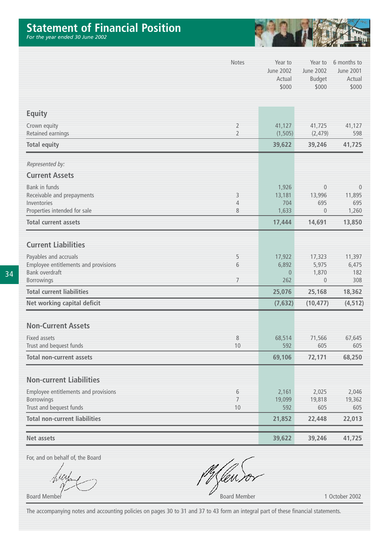

|                                                                                                                                                         | Notes                            | Year to<br><b>June 2002</b><br>Actual<br>\$000 | Year to<br><b>June 2002</b><br>Budget<br>\$000 | 6 months to<br><b>June 2001</b><br>Actual<br>\$000 |
|---------------------------------------------------------------------------------------------------------------------------------------------------------|----------------------------------|------------------------------------------------|------------------------------------------------|----------------------------------------------------|
| <b>Equity</b>                                                                                                                                           |                                  |                                                |                                                |                                                    |
| Crown equity<br>Retained earnings                                                                                                                       | $\overline{2}$<br>$\overline{2}$ | 41,127<br>(1, 505)                             | 41,725<br>(2, 479)                             | 41,127<br>598                                      |
| <b>Total equity</b>                                                                                                                                     |                                  | 39,622                                         | 39,246                                         | 41,725                                             |
| Represented by:<br><b>Current Assets</b>                                                                                                                |                                  |                                                |                                                |                                                    |
| Bank in funds<br>Receivable and prepayments<br>Inventories<br>Properties intended for sale                                                              | 3<br>$\overline{4}$<br>8         | 1,926<br>13,181<br>704<br>1,633                | $\mathbf{0}$<br>13,996<br>695<br>$\mathbf{0}$  | $\mathbf{0}$<br>11,895<br>695<br>1,260             |
| <b>Total current assets</b>                                                                                                                             |                                  | 17,444                                         | 14,691                                         | 13,850                                             |
| <b>Current Liabilities</b><br>Payables and accruals<br>Employee entitlements and provisions<br>Bank overdraft<br>Borrowings                             | 5<br>6<br>$\overline{7}$         | 17,922<br>6,892<br>$\theta$<br>262             | 17,323<br>5,975<br>1,870<br>$\theta$           | 11,397<br>6,475<br>182<br>308                      |
| <b>Total current liabilities</b>                                                                                                                        |                                  | 25,076                                         | 25,168                                         | 18,362                                             |
| Net working capital deficit                                                                                                                             |                                  | (7, 632)                                       | (10, 477)                                      | (4, 512)                                           |
| <b>Non-Current Assets</b><br><b>Fixed assets</b><br>Trust and bequest funds<br><b>Total non-current assets</b>                                          | 8<br>10                          | 68,514<br>592<br>69,106                        | 71,566<br>605<br>72,171                        | 67,645<br>605<br>68,250                            |
|                                                                                                                                                         |                                  |                                                |                                                |                                                    |
| <b>Non-current Liabilities</b><br>Employee entitlements and provisions<br>Borrowings<br>Trust and bequest funds<br><b>Total non-current liabilities</b> | $6\,$<br>$\overline{7}$<br>10    | 2,161<br>19,099<br>592<br>21,852               | 2,025<br>19,818<br>605<br>22,448               | 2,046<br>19,362<br>605<br>22,013                   |
| <b>Net assets</b>                                                                                                                                       |                                  | 39,622                                         | 39,246                                         | 41,725                                             |

For, and on behalf of, the Board

Jircz

M,

Board Member Board Member 1 October 2002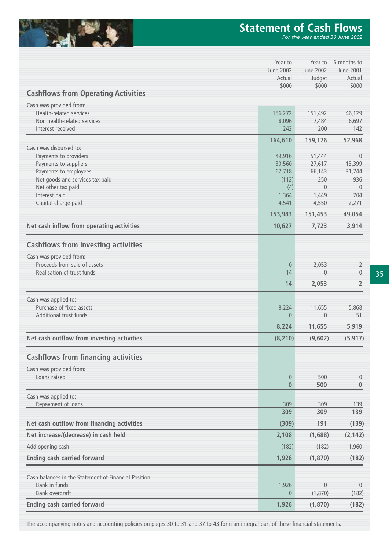# **Statement of Cash Flows**



*For the year ended 30 June 2002*

| Actual<br>Budget<br>Actual<br>\$000<br>\$000<br>\$000<br><b>Cashflows from Operating Activities</b><br>Cash was provided from:<br>Health-related services<br>156,272<br>151,492<br>46,129<br>Non health-related services<br>7,484<br>8,096<br>6,697<br>Interest received<br>242<br>200<br>142<br>52,968<br>164,610<br>159,176<br>Cash was disbursed to:<br>Payments to providers<br>49,916<br>51,444<br>$\overline{0}$<br>Payments to suppliers<br>30,560<br>27,617<br>13,399<br>Payments to employees<br>66,143<br>31,744<br>67,718<br>Net goods and services tax paid<br>(112)<br>250<br>936<br>Net other tax paid<br>(4)<br>$\theta$<br>$\overline{0}$<br>Interest paid<br>704<br>1,364<br>1,449<br>Capital charge paid<br>2,271<br>4,541<br>4,550<br>153,983<br>49,054<br>151,453<br>Net cash inflow from operating activities<br>3,914<br>10,627<br>7,723<br><b>Cashflows from investing activities</b><br>Cash was provided from:<br>Proceeds from sale of assets<br>2,053<br>$\theta$<br>$\overline{2}$<br>Realisation of trust funds<br>14<br>$\mathbf{0}$<br>$\theta$<br>$\overline{2}$<br>14<br>2,053<br>Cash was applied to:<br>Purchase of fixed assets<br>11,655<br>8,224<br>5,868<br>Additional trust funds<br>$\mathbf{0}$<br>51<br>$\overline{0}$<br>5,919<br>11,655<br>8,224<br>Net cash outflow from investing activities<br>(5, 917)<br>(8, 210)<br>(9,602)<br><b>Cashflows from financing activities</b><br>Cash was provided from:<br>Loans raised<br>500<br>$\theta$<br>$\theta$<br>$\overline{0}$<br>$\bf{0}$<br>500<br>Cash was applied to:<br>Repayment of loans<br>309<br>309<br>139<br>309<br>139<br>309<br>Net cash outflow from financing activities<br>(309)<br>191<br>Net increase/(decrease) in cash held<br>2,108<br>(1,688)<br>Add opening cash<br>1,960<br>(182)<br>(182)<br><b>Ending cash carried forward</b><br>1,926<br>(1, 870)<br>Cash balances in the Statement of Financial Position:<br>Bank in funds<br>1,926<br>$\mathbf{0}$<br>$\mathbf{0}$<br><b>Bank overdraft</b><br>(1, 870)<br>$\theta$<br><b>Ending cash carried forward</b><br>1,926<br>(1, 870) | Year to          | Year to          | 6 months to      |
|--------------------------------------------------------------------------------------------------------------------------------------------------------------------------------------------------------------------------------------------------------------------------------------------------------------------------------------------------------------------------------------------------------------------------------------------------------------------------------------------------------------------------------------------------------------------------------------------------------------------------------------------------------------------------------------------------------------------------------------------------------------------------------------------------------------------------------------------------------------------------------------------------------------------------------------------------------------------------------------------------------------------------------------------------------------------------------------------------------------------------------------------------------------------------------------------------------------------------------------------------------------------------------------------------------------------------------------------------------------------------------------------------------------------------------------------------------------------------------------------------------------------------------------------------------------------------------------------------------------------------------------------------------------------------------------------------------------------------------------------------------------------------------------------------------------------------------------------------------------------------------------------------------------------------------------------------------------------------------------------------------------------------------------------------------------------------------------------------------|------------------|------------------|------------------|
|                                                                                                                                                                                                                                                                                                                                                                                                                                                                                                                                                                                                                                                                                                                                                                                                                                                                                                                                                                                                                                                                                                                                                                                                                                                                                                                                                                                                                                                                                                                                                                                                                                                                                                                                                                                                                                                                                                                                                                                                                                                                                                        | <b>June 2002</b> | <b>June 2002</b> | <b>June 2001</b> |
|                                                                                                                                                                                                                                                                                                                                                                                                                                                                                                                                                                                                                                                                                                                                                                                                                                                                                                                                                                                                                                                                                                                                                                                                                                                                                                                                                                                                                                                                                                                                                                                                                                                                                                                                                                                                                                                                                                                                                                                                                                                                                                        |                  |                  |                  |
|                                                                                                                                                                                                                                                                                                                                                                                                                                                                                                                                                                                                                                                                                                                                                                                                                                                                                                                                                                                                                                                                                                                                                                                                                                                                                                                                                                                                                                                                                                                                                                                                                                                                                                                                                                                                                                                                                                                                                                                                                                                                                                        |                  |                  |                  |
|                                                                                                                                                                                                                                                                                                                                                                                                                                                                                                                                                                                                                                                                                                                                                                                                                                                                                                                                                                                                                                                                                                                                                                                                                                                                                                                                                                                                                                                                                                                                                                                                                                                                                                                                                                                                                                                                                                                                                                                                                                                                                                        |                  |                  |                  |
|                                                                                                                                                                                                                                                                                                                                                                                                                                                                                                                                                                                                                                                                                                                                                                                                                                                                                                                                                                                                                                                                                                                                                                                                                                                                                                                                                                                                                                                                                                                                                                                                                                                                                                                                                                                                                                                                                                                                                                                                                                                                                                        |                  |                  |                  |
|                                                                                                                                                                                                                                                                                                                                                                                                                                                                                                                                                                                                                                                                                                                                                                                                                                                                                                                                                                                                                                                                                                                                                                                                                                                                                                                                                                                                                                                                                                                                                                                                                                                                                                                                                                                                                                                                                                                                                                                                                                                                                                        |                  |                  |                  |
|                                                                                                                                                                                                                                                                                                                                                                                                                                                                                                                                                                                                                                                                                                                                                                                                                                                                                                                                                                                                                                                                                                                                                                                                                                                                                                                                                                                                                                                                                                                                                                                                                                                                                                                                                                                                                                                                                                                                                                                                                                                                                                        |                  |                  |                  |
|                                                                                                                                                                                                                                                                                                                                                                                                                                                                                                                                                                                                                                                                                                                                                                                                                                                                                                                                                                                                                                                                                                                                                                                                                                                                                                                                                                                                                                                                                                                                                                                                                                                                                                                                                                                                                                                                                                                                                                                                                                                                                                        |                  |                  |                  |
|                                                                                                                                                                                                                                                                                                                                                                                                                                                                                                                                                                                                                                                                                                                                                                                                                                                                                                                                                                                                                                                                                                                                                                                                                                                                                                                                                                                                                                                                                                                                                                                                                                                                                                                                                                                                                                                                                                                                                                                                                                                                                                        |                  |                  |                  |
|                                                                                                                                                                                                                                                                                                                                                                                                                                                                                                                                                                                                                                                                                                                                                                                                                                                                                                                                                                                                                                                                                                                                                                                                                                                                                                                                                                                                                                                                                                                                                                                                                                                                                                                                                                                                                                                                                                                                                                                                                                                                                                        |                  |                  |                  |
|                                                                                                                                                                                                                                                                                                                                                                                                                                                                                                                                                                                                                                                                                                                                                                                                                                                                                                                                                                                                                                                                                                                                                                                                                                                                                                                                                                                                                                                                                                                                                                                                                                                                                                                                                                                                                                                                                                                                                                                                                                                                                                        |                  |                  |                  |
|                                                                                                                                                                                                                                                                                                                                                                                                                                                                                                                                                                                                                                                                                                                                                                                                                                                                                                                                                                                                                                                                                                                                                                                                                                                                                                                                                                                                                                                                                                                                                                                                                                                                                                                                                                                                                                                                                                                                                                                                                                                                                                        |                  |                  |                  |
|                                                                                                                                                                                                                                                                                                                                                                                                                                                                                                                                                                                                                                                                                                                                                                                                                                                                                                                                                                                                                                                                                                                                                                                                                                                                                                                                                                                                                                                                                                                                                                                                                                                                                                                                                                                                                                                                                                                                                                                                                                                                                                        |                  |                  |                  |
|                                                                                                                                                                                                                                                                                                                                                                                                                                                                                                                                                                                                                                                                                                                                                                                                                                                                                                                                                                                                                                                                                                                                                                                                                                                                                                                                                                                                                                                                                                                                                                                                                                                                                                                                                                                                                                                                                                                                                                                                                                                                                                        |                  |                  |                  |
|                                                                                                                                                                                                                                                                                                                                                                                                                                                                                                                                                                                                                                                                                                                                                                                                                                                                                                                                                                                                                                                                                                                                                                                                                                                                                                                                                                                                                                                                                                                                                                                                                                                                                                                                                                                                                                                                                                                                                                                                                                                                                                        |                  |                  |                  |
|                                                                                                                                                                                                                                                                                                                                                                                                                                                                                                                                                                                                                                                                                                                                                                                                                                                                                                                                                                                                                                                                                                                                                                                                                                                                                                                                                                                                                                                                                                                                                                                                                                                                                                                                                                                                                                                                                                                                                                                                                                                                                                        |                  |                  |                  |
|                                                                                                                                                                                                                                                                                                                                                                                                                                                                                                                                                                                                                                                                                                                                                                                                                                                                                                                                                                                                                                                                                                                                                                                                                                                                                                                                                                                                                                                                                                                                                                                                                                                                                                                                                                                                                                                                                                                                                                                                                                                                                                        |                  |                  |                  |
|                                                                                                                                                                                                                                                                                                                                                                                                                                                                                                                                                                                                                                                                                                                                                                                                                                                                                                                                                                                                                                                                                                                                                                                                                                                                                                                                                                                                                                                                                                                                                                                                                                                                                                                                                                                                                                                                                                                                                                                                                                                                                                        |                  |                  |                  |
|                                                                                                                                                                                                                                                                                                                                                                                                                                                                                                                                                                                                                                                                                                                                                                                                                                                                                                                                                                                                                                                                                                                                                                                                                                                                                                                                                                                                                                                                                                                                                                                                                                                                                                                                                                                                                                                                                                                                                                                                                                                                                                        |                  |                  |                  |
|                                                                                                                                                                                                                                                                                                                                                                                                                                                                                                                                                                                                                                                                                                                                                                                                                                                                                                                                                                                                                                                                                                                                                                                                                                                                                                                                                                                                                                                                                                                                                                                                                                                                                                                                                                                                                                                                                                                                                                                                                                                                                                        |                  |                  |                  |
|                                                                                                                                                                                                                                                                                                                                                                                                                                                                                                                                                                                                                                                                                                                                                                                                                                                                                                                                                                                                                                                                                                                                                                                                                                                                                                                                                                                                                                                                                                                                                                                                                                                                                                                                                                                                                                                                                                                                                                                                                                                                                                        |                  |                  |                  |
|                                                                                                                                                                                                                                                                                                                                                                                                                                                                                                                                                                                                                                                                                                                                                                                                                                                                                                                                                                                                                                                                                                                                                                                                                                                                                                                                                                                                                                                                                                                                                                                                                                                                                                                                                                                                                                                                                                                                                                                                                                                                                                        |                  |                  |                  |
|                                                                                                                                                                                                                                                                                                                                                                                                                                                                                                                                                                                                                                                                                                                                                                                                                                                                                                                                                                                                                                                                                                                                                                                                                                                                                                                                                                                                                                                                                                                                                                                                                                                                                                                                                                                                                                                                                                                                                                                                                                                                                                        |                  |                  |                  |
|                                                                                                                                                                                                                                                                                                                                                                                                                                                                                                                                                                                                                                                                                                                                                                                                                                                                                                                                                                                                                                                                                                                                                                                                                                                                                                                                                                                                                                                                                                                                                                                                                                                                                                                                                                                                                                                                                                                                                                                                                                                                                                        |                  |                  |                  |
|                                                                                                                                                                                                                                                                                                                                                                                                                                                                                                                                                                                                                                                                                                                                                                                                                                                                                                                                                                                                                                                                                                                                                                                                                                                                                                                                                                                                                                                                                                                                                                                                                                                                                                                                                                                                                                                                                                                                                                                                                                                                                                        |                  |                  |                  |
|                                                                                                                                                                                                                                                                                                                                                                                                                                                                                                                                                                                                                                                                                                                                                                                                                                                                                                                                                                                                                                                                                                                                                                                                                                                                                                                                                                                                                                                                                                                                                                                                                                                                                                                                                                                                                                                                                                                                                                                                                                                                                                        |                  |                  |                  |
|                                                                                                                                                                                                                                                                                                                                                                                                                                                                                                                                                                                                                                                                                                                                                                                                                                                                                                                                                                                                                                                                                                                                                                                                                                                                                                                                                                                                                                                                                                                                                                                                                                                                                                                                                                                                                                                                                                                                                                                                                                                                                                        |                  |                  |                  |
|                                                                                                                                                                                                                                                                                                                                                                                                                                                                                                                                                                                                                                                                                                                                                                                                                                                                                                                                                                                                                                                                                                                                                                                                                                                                                                                                                                                                                                                                                                                                                                                                                                                                                                                                                                                                                                                                                                                                                                                                                                                                                                        |                  |                  |                  |
|                                                                                                                                                                                                                                                                                                                                                                                                                                                                                                                                                                                                                                                                                                                                                                                                                                                                                                                                                                                                                                                                                                                                                                                                                                                                                                                                                                                                                                                                                                                                                                                                                                                                                                                                                                                                                                                                                                                                                                                                                                                                                                        |                  |                  |                  |
|                                                                                                                                                                                                                                                                                                                                                                                                                                                                                                                                                                                                                                                                                                                                                                                                                                                                                                                                                                                                                                                                                                                                                                                                                                                                                                                                                                                                                                                                                                                                                                                                                                                                                                                                                                                                                                                                                                                                                                                                                                                                                                        |                  |                  |                  |
|                                                                                                                                                                                                                                                                                                                                                                                                                                                                                                                                                                                                                                                                                                                                                                                                                                                                                                                                                                                                                                                                                                                                                                                                                                                                                                                                                                                                                                                                                                                                                                                                                                                                                                                                                                                                                                                                                                                                                                                                                                                                                                        |                  |                  |                  |
|                                                                                                                                                                                                                                                                                                                                                                                                                                                                                                                                                                                                                                                                                                                                                                                                                                                                                                                                                                                                                                                                                                                                                                                                                                                                                                                                                                                                                                                                                                                                                                                                                                                                                                                                                                                                                                                                                                                                                                                                                                                                                                        |                  |                  |                  |
|                                                                                                                                                                                                                                                                                                                                                                                                                                                                                                                                                                                                                                                                                                                                                                                                                                                                                                                                                                                                                                                                                                                                                                                                                                                                                                                                                                                                                                                                                                                                                                                                                                                                                                                                                                                                                                                                                                                                                                                                                                                                                                        |                  |                  |                  |
|                                                                                                                                                                                                                                                                                                                                                                                                                                                                                                                                                                                                                                                                                                                                                                                                                                                                                                                                                                                                                                                                                                                                                                                                                                                                                                                                                                                                                                                                                                                                                                                                                                                                                                                                                                                                                                                                                                                                                                                                                                                                                                        |                  |                  | (139)            |
|                                                                                                                                                                                                                                                                                                                                                                                                                                                                                                                                                                                                                                                                                                                                                                                                                                                                                                                                                                                                                                                                                                                                                                                                                                                                                                                                                                                                                                                                                                                                                                                                                                                                                                                                                                                                                                                                                                                                                                                                                                                                                                        |                  |                  | (2, 142)         |
|                                                                                                                                                                                                                                                                                                                                                                                                                                                                                                                                                                                                                                                                                                                                                                                                                                                                                                                                                                                                                                                                                                                                                                                                                                                                                                                                                                                                                                                                                                                                                                                                                                                                                                                                                                                                                                                                                                                                                                                                                                                                                                        |                  |                  |                  |
|                                                                                                                                                                                                                                                                                                                                                                                                                                                                                                                                                                                                                                                                                                                                                                                                                                                                                                                                                                                                                                                                                                                                                                                                                                                                                                                                                                                                                                                                                                                                                                                                                                                                                                                                                                                                                                                                                                                                                                                                                                                                                                        |                  |                  | (182)            |
|                                                                                                                                                                                                                                                                                                                                                                                                                                                                                                                                                                                                                                                                                                                                                                                                                                                                                                                                                                                                                                                                                                                                                                                                                                                                                                                                                                                                                                                                                                                                                                                                                                                                                                                                                                                                                                                                                                                                                                                                                                                                                                        |                  |                  |                  |
|                                                                                                                                                                                                                                                                                                                                                                                                                                                                                                                                                                                                                                                                                                                                                                                                                                                                                                                                                                                                                                                                                                                                                                                                                                                                                                                                                                                                                                                                                                                                                                                                                                                                                                                                                                                                                                                                                                                                                                                                                                                                                                        |                  |                  |                  |
|                                                                                                                                                                                                                                                                                                                                                                                                                                                                                                                                                                                                                                                                                                                                                                                                                                                                                                                                                                                                                                                                                                                                                                                                                                                                                                                                                                                                                                                                                                                                                                                                                                                                                                                                                                                                                                                                                                                                                                                                                                                                                                        |                  |                  | (182)            |
|                                                                                                                                                                                                                                                                                                                                                                                                                                                                                                                                                                                                                                                                                                                                                                                                                                                                                                                                                                                                                                                                                                                                                                                                                                                                                                                                                                                                                                                                                                                                                                                                                                                                                                                                                                                                                                                                                                                                                                                                                                                                                                        |                  |                  | (182)            |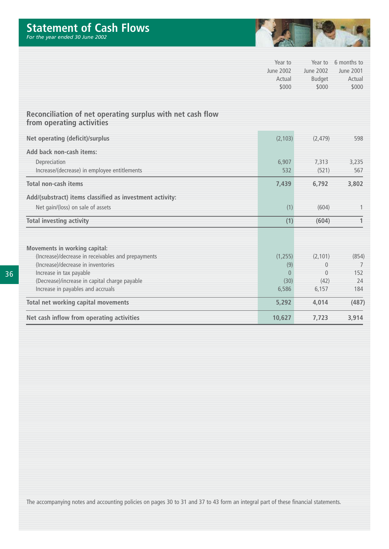

| Net cash inflow from operating activities                                                  | 10,627           | 7,723            | 3,914        |
|--------------------------------------------------------------------------------------------|------------------|------------------|--------------|
| <b>Total net working capital movements</b>                                                 | 5,292            | 4,014            | (487)        |
| Increase in payables and accruals                                                          | 6,586            | 6,157            | 184          |
| (Decrease)/increase in capital charge payable                                              | (30)             | (42)             | 24           |
| Increase in tax payable                                                                    | $\overline{0}$   | $\overline{0}$   | 152          |
| (Increase)/decrease in inventories                                                         | (9)              | $\overline{0}$   | 7            |
| <b>Movements in working capital:</b><br>(Increase)/decrease in receivables and prepayments | (1, 255)         | (2, 101)         | (854)        |
| <b>Total investing activity</b>                                                            | (1)              | (604)            | $\mathbf{1}$ |
| Net gain/(loss) on sale of assets                                                          | (1)              | (604)            |              |
| Add/(substract) items classified as investment activity:                                   |                  |                  |              |
| <b>Total non-cash items</b>                                                                | 7,439            | 6,792            | 3,802        |
| Increase/(decrease) in employee entitlements                                               | 532              | (521)            | 567          |
| Add back non-cash items:<br>Depreciation                                                   | 6,907            | 7,313            | 3,235        |
| Net operating (deficit)/surplus                                                            | (2, 103)         | (2, 479)         | 598          |
| Reconciliation of net operating surplus with net cash flow<br>from operating activities    |                  |                  |              |
|                                                                                            | \$000            | \$000            | \$000        |
|                                                                                            | Actual           | Budget           | Actual       |
|                                                                                            | <b>June 2002</b> | <b>June 2002</b> | June 2001    |
|                                                                                            | Year to          | Year to          | 6 months to  |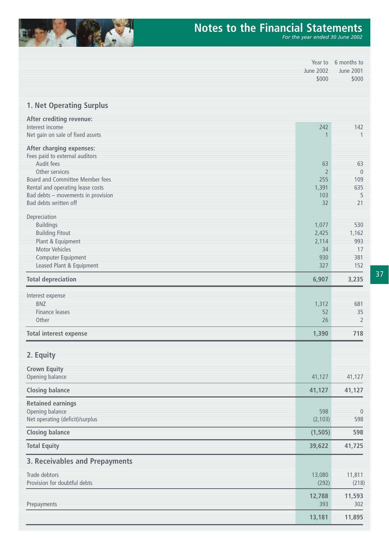

*For the year ended 30 June 2002*

|                                                                        | Year to<br><b>June 2002</b><br>\$000 | 6 months to<br><b>June 2001</b><br>\$000 |
|------------------------------------------------------------------------|--------------------------------------|------------------------------------------|
| <b>1. Net Operating Surplus</b>                                        |                                      |                                          |
| After crediting revenue:                                               |                                      |                                          |
| Interest income<br>Net gain on sale of fixed assets                    | 242<br>1                             | 142<br>$\mathbf{1}$                      |
| After charging expenses:                                               |                                      |                                          |
| Fees paid to external auditors<br>Audit fees                           | 63                                   | 63                                       |
| Other services                                                         | $\overline{2}$                       | $\theta$                                 |
| Board and Committee Member fees                                        | 255                                  | 109                                      |
| Rental and operating lease costs<br>Bad debts - movements in provision | 1,391<br>103                         | 635<br>5                                 |
| Bad debts written off                                                  | 32                                   | 21                                       |
| Depreciation                                                           |                                      |                                          |
| <b>Buildings</b><br><b>Building Fitout</b>                             | 1,077<br>2,425                       | 530<br>1,162                             |
| Plant & Equipment                                                      | 2,114                                | 993                                      |
| <b>Motor Vehicles</b>                                                  | 34                                   | 17                                       |
| Computer Equipment                                                     | 930                                  | 381                                      |
| Leased Plant & Equipment                                               | 327                                  | 152                                      |
| <b>Total depreciation</b>                                              | 6,907                                | 3,235                                    |
| Interest expense                                                       |                                      |                                          |
| <b>BNZ</b><br>Finance leases                                           | 1,312<br>52                          | 681<br>35                                |
| Other                                                                  | 26                                   | $\overline{2}$                           |
| <b>Total interest expense</b>                                          | 1,390                                | 718                                      |
| 2. Equity                                                              |                                      |                                          |
| <b>Crown Equity</b>                                                    |                                      |                                          |
| Opening balance                                                        | 41,127                               | 41,127                                   |
| <b>Closing balance</b>                                                 | 41,127                               | 41,127                                   |
| <b>Retained earnings</b>                                               |                                      |                                          |
| Opening balance<br>Net operating (deficit)/surplus                     | 598<br>(2, 103)                      | $\theta$<br>598                          |
| <b>Closing balance</b>                                                 | (1, 505)                             | 598                                      |
| <b>Total Equity</b>                                                    | 39,622                               | 41,725                                   |
| 3. Receivables and Prepayments                                         |                                      |                                          |
| Trade debtors                                                          | 13,080                               | 11,811                                   |
| Provision for doubtful debts                                           | (292)                                | (218)                                    |
|                                                                        | 12,788                               | 11,593                                   |
| Prepayments                                                            | 393                                  | 302                                      |
|                                                                        | 13,181                               | 11,895                                   |

37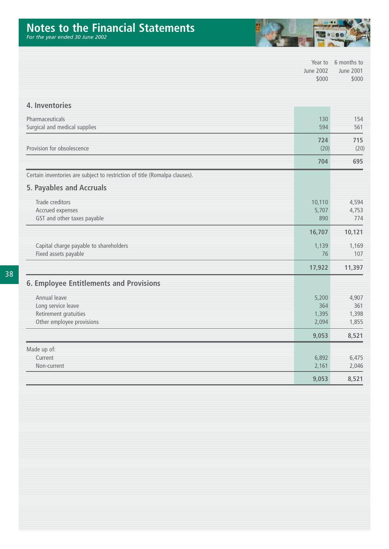

|                                                                            | Year to 6 months to<br><b>June 2002</b> |                           |
|----------------------------------------------------------------------------|-----------------------------------------|---------------------------|
|                                                                            | \$000                                   | <b>June 2001</b><br>\$000 |
|                                                                            |                                         |                           |
| 4. Inventories                                                             |                                         |                           |
| Pharmaceuticals                                                            | 130                                     | 154                       |
| Surgical and medical supplies                                              | 594                                     | 561                       |
|                                                                            | 724                                     | 715                       |
| Provision for obsolescence                                                 | (20)                                    | (20)                      |
|                                                                            | 704                                     | 695                       |
| Certain inventories are subject to restriction of title (Romalpa clauses). |                                         |                           |
| 5. Payables and Accruals                                                   |                                         |                           |
| Trade creditors                                                            | 10,110                                  | 4,594                     |
| Accrued expenses                                                           | 5,707                                   | 4,753                     |
| GST and other taxes payable                                                | 890                                     | 774                       |
|                                                                            | 16,707                                  | 10,121                    |
| Capital charge payable to shareholders                                     | 1,139                                   | 1,169                     |
| Fixed assets payable                                                       | 76                                      | 107                       |
|                                                                            | 17,922                                  | 11,397                    |
| <b>6. Employee Entitlements and Provisions</b>                             |                                         |                           |
| Annual leave                                                               | 5,200                                   | 4,907                     |
| Long service leave                                                         | 364                                     | 361                       |
| Retirement gratuities                                                      | 1,395                                   | 1,398                     |
| Other employee provisions                                                  | 2,094                                   | 1,855                     |
|                                                                            | 9,053                                   | 8,521                     |
| Made up of:                                                                |                                         |                           |
| Current                                                                    | 6,892                                   | 6,475                     |
| Non-current                                                                | 2,161                                   | 2,046                     |
|                                                                            | 9,053                                   | 8,521                     |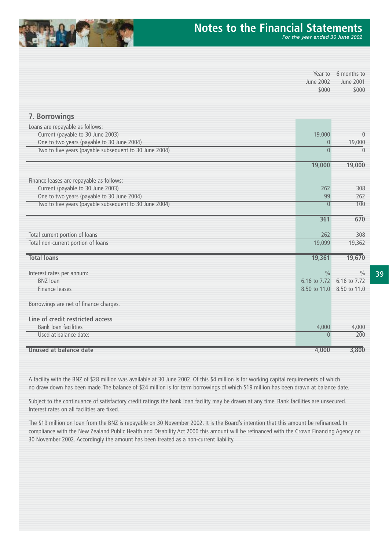

|                                                                                 | Year to<br><b>June 2002</b><br>\$000 | 6 months to<br><b>June 2001</b><br>\$000 |
|---------------------------------------------------------------------------------|--------------------------------------|------------------------------------------|
| 7. Borrowings                                                                   |                                      |                                          |
| Loans are repayable as follows:                                                 |                                      |                                          |
| Current (payable to 30 June 2003)                                               | 19,000                               | $\mathbf{0}$                             |
| One to two years (payable to 30 June 2004)                                      | $\boldsymbol{0}$                     | 19,000                                   |
| Two to five years (payable subsequent to 30 June 2004)                          | $\overline{0}$                       | $\theta$                                 |
|                                                                                 | 19,000                               | 19,000                                   |
|                                                                                 |                                      |                                          |
| Finance leases are repayable as follows:                                        |                                      |                                          |
| Current (payable to 30 June 2003)<br>One to two years (payable to 30 June 2004) | 262<br>99                            | 308<br>262                               |
| Two to five years (payable subsequent to 30 June 2004)                          | $\overline{0}$                       | 100                                      |
|                                                                                 |                                      |                                          |
|                                                                                 | 361                                  | 670                                      |
| Total current portion of loans                                                  | 262                                  | 308                                      |
| Total non-current portion of loans                                              | 19,099                               | 19,362                                   |
|                                                                                 |                                      |                                          |
| <b>Total loans</b>                                                              | 19,361                               | 19,670                                   |
| Interest rates per annum:                                                       | $\frac{0}{0}$                        | $\frac{0}{0}$                            |
| <b>BNZ</b> loan                                                                 | 6.16 to 7.72                         | 6.16 to 7.72                             |
| Finance leases                                                                  | 8.50 to 11.0                         | 8.50 to 11.0                             |
| Borrowings are net of finance charges.                                          |                                      |                                          |
| Line of credit restricted access                                                |                                      |                                          |
| <b>Bank loan facilities</b>                                                     | 4,000                                | 4,000                                    |
| Used at balance date:                                                           | $\overline{0}$                       | $\overline{200}$                         |
| Unused at balance date                                                          | 4,000                                | 3,800                                    |

A facility with the BNZ of \$28 million was available at 30 June 2002. Of this \$4 million is for working capital requirements of which no draw down has been made. The balance of \$24 million is for term borrowings of which \$19 million has been drawn at balance date.

Subject to the continuance of satisfactory credit ratings the bank loan facility may be drawn at any time. Bank facilities are unsecured. Interest rates on all facilities are fixed.

The \$19 million on loan from the BNZ is repayable on 30 November 2002. It is the Board's intention that this amount be refinanced. In compliance with the New Zealand Public Health and Disability Act 2000 this amount will be refinanced with the Crown Financing Agency on 30 November 2002. Accordingly the amount has been treated as a non-current liability.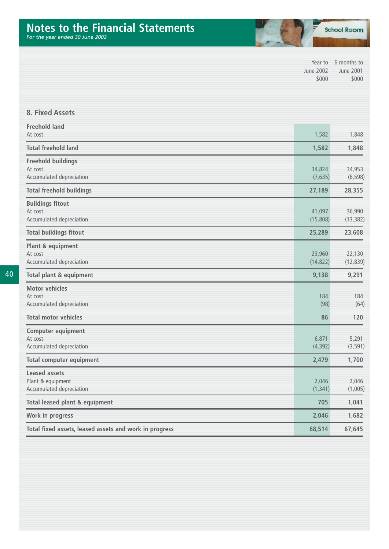

|           | Year to 6 months to |
|-----------|---------------------|
| June 2002 | June 2001           |
| \$000     | \$000               |

## **8. Fixed Assets**

| <b>Freehold land</b><br>At cost                                       | 1,582               | 1,848               |
|-----------------------------------------------------------------------|---------------------|---------------------|
| <b>Total freehold land</b>                                            | 1,582               | 1,848               |
| <b>Freehold buildings</b><br>At cost<br>Accumulated depreciation      | 34,824<br>(7,635)   | 34,953<br>(6, 598)  |
| <b>Total freehold buildings</b>                                       | 27,189              | 28,355              |
| <b>Buildings fitout</b><br>At cost<br>Accumulated depreciation        | 41,097<br>(15, 808) | 36,990<br>(13, 382) |
| <b>Total buildings fitout</b>                                         | 25,289              | 23,608              |
| Plant & equipment<br>At cost<br>Accumulated depreciation              | 23,960<br>(14, 822) | 22,130<br>(12, 839) |
| <b>Total plant &amp; equipment</b>                                    | 9,138               | 9,291               |
| <b>Motor vehicles</b><br>At cost<br>Accumulated depreciation          | 184<br>(98)         | 184<br>(64)         |
| <b>Total motor vehicles</b>                                           | 86                  | 120                 |
| <b>Computer equipment</b><br>At cost<br>Accumulated depreciation      | 6,871<br>(4, 392)   | 5,291<br>(3, 591)   |
| <b>Total computer equipment</b>                                       | 2,479               | 1,700               |
| <b>Leased assets</b><br>Plant & equipment<br>Accumulated depreciation | 2,046<br>(1, 341)   | 2,046<br>(1,005)    |
| Total leased plant & equipment                                        | 705                 | 1,041               |
| Work in progress                                                      | 2,046               | 1,682               |
| Total fixed assets, leased assets and work in progress                | 68,514              | 67,645              |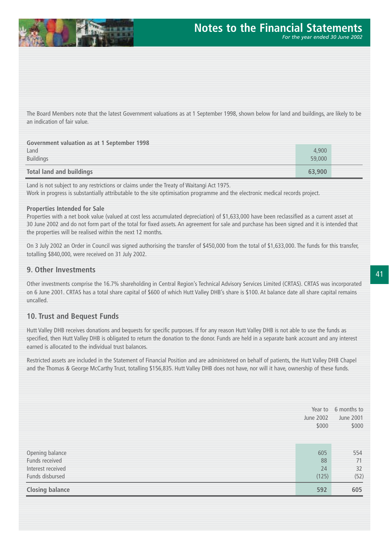

The Board Members note that the latest Government valuations as at 1 September 1998, shown below for land and buildings, are likely to be an indication of fair value.

| <b>Government valuation as at 1 September 1998</b> |        |  |
|----------------------------------------------------|--------|--|
| Land                                               | 4,900  |  |
| <b>Buildings</b>                                   | 59,000 |  |
| <b>Total land and buildings</b>                    | 63,900 |  |

Land is not subject to any restrictions or claims under the Treaty of Waitangi Act 1975. Work in progress is substantially attributable to the site optimisation programme and the electronic medical records project.

#### **Properties Intended for Sale**

Properties with a net book value (valued at cost less accumulated depreciation) of \$1,633,000 have been reclassified as a current asset at 30 June 2002 and do not form part of the total for fixed assets. An agreement for sale and purchase has been signed and it is intended that the properties will be realised within the next 12 months.

On 3 July 2002 an Order in Council was signed authorising the transfer of \$450,000 from the total of \$1,633,000. The funds for this transfer, totalling \$840,000, were received on 31 July 2002.

## **9. Other Investments**

Other investments comprise the 16.7% shareholding in Central Region's Technical Advisory Services Limited (CRTAS). CRTAS was incorporated on 6 June 2001. CRTAS has a total share capital of \$600 of which Hutt Valley DHB's share is \$100. At balance date all share capital remains uncalled.

#### **10. Trust and Bequest Funds**

Hutt Valley DHB receives donations and bequests for specific purposes. If for any reason Hutt Valley DHB is not able to use the funds as specified, then Hutt Valley DHB is obligated to return the donation to the donor. Funds are held in a separate bank account and any interest earned is allocated to the individual trust balances.

Restricted assets are included in the Statement of Financial Position and are administered on behalf of patients, the Hutt Valley DHB Chapel and the Thomas & George McCarthy Trust, totalling \$156,835. Hutt Valley DHB does not have, nor will it have, ownership of these funds.

|                                                                           | June 2002<br>\$000       | Year to 6 months to<br>June 2001<br>\$000 |
|---------------------------------------------------------------------------|--------------------------|-------------------------------------------|
| Opening balance<br>Funds received<br>Interest received<br>Funds disbursed | 605<br>88<br>24<br>(125) | 554<br>71<br>32<br>(52)                   |
| <b>Closing balance</b>                                                    | 592                      | 605                                       |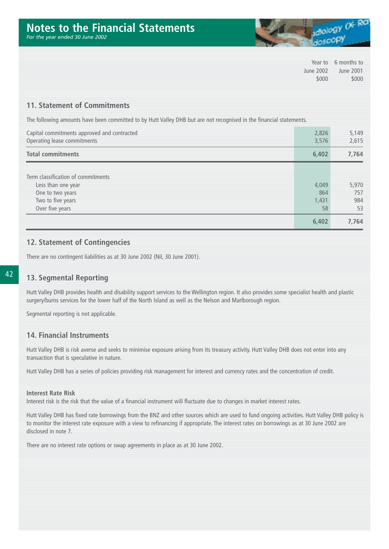

|           | Year to 6 months to |
|-----------|---------------------|
| June 2002 | June 2001           |
| \$000     | \$000               |

## **11. Statement of Commitments**

The following amounts have been committed to by Hutt Valley DHB but are not recognised in the financial statements.

| Capital commitments approved and contracted<br>Operating lease commitments | 2,826<br>3,576 | 5,149<br>2,615 |
|----------------------------------------------------------------------------|----------------|----------------|
| <b>Total commitments</b>                                                   | 6,402          | 7,764          |
|                                                                            |                |                |
| Term classification of commitments                                         |                |                |
| Less than one year                                                         | 4,049          | 5,970          |
| One to two years                                                           | 864            | 757            |
| Two to five years                                                          | 1,431          | 984            |
| Over five years                                                            | 58             | 53             |
|                                                                            | 6,402          | 7.764          |

## **12. Statement of Contingencies**

There are no contingent liabilities as at 30 June 2002 (Nil, 30 June 2001).

## **13. Segmental Reporting**

Hutt Valley DHB provides health and disability support services to the Wellington region. It also provides some specialist health and plastic surgery/burns services for the lower half of the North Island as well as the Nelson and Marlborough region.

Segmental reporting is not applicable.

## **14. Financial Instruments**

Hutt Valley DHB is risk averse and seeks to minimise exposure arising from its treasury activity. Hutt Valley DHB does not enter into any transaction that is speculative in nature.

Hutt Valley DHB has a series of policies providing risk management for interest and currency rates and the concentration of credit.

#### **Interest Rate Risk**

Interest risk is the risk that the value of a financial instrument will fluctuate due to changes in market interest rates.

Hutt Valley DHB has fixed rate borrowings from the BNZ and other sources which are used to fund ongoing activities. Hutt Valley DHB policy is to monitor the interest rate exposure with a view to refinancing if appropriate. The interest rates on borrowings as at 30 June 2002 are disclosed in note 7.

There are no interest rate options or swap agreements in place as at 30 June 2002.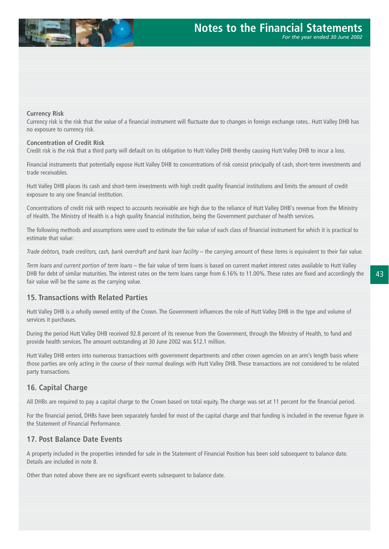

#### **Currency Risk**

Currency risk is the risk that the value of a financial instrument will fluctuate due to changes in foreign exchange rates.. Hutt Valley DHB has no exposure to currency risk.

#### **Concentration of Credit Risk**

Credit risk is the risk that a third party will default on its obligation to Hutt Valley DHB thereby causing Hutt Valley DHB to incur a loss.

Financial instruments that potentially expose Hutt Valley DHB to concentrations of risk consist principally of cash, short-term investments and trade receivables.

Hutt Valley DHB places its cash and short-term investments with high credit quality financial institutions and limits the amount of credit exposure to any one financial institution.

Concentrations of credit risk with respect to accounts receivable are high due to the reliance of Hutt Valley DHB's revenue from the Ministry of Health. The Ministry of Health is a high quality financial institution, being the Government purchaser of health services.

The following methods and assumptions were used to estimate the fair value of each class of financial instrument for which it is practical to estimate that value:

*Trade debtors, trade creditors, cash, bank overdraft and bank loan facility* – the carrying amount of these items is equivalent to their fair value.

*Term loans and current portion of term loans* – the fair value of term loans is based on current market interest rates available to Hutt Valley DHB for debt of similar maturities. The interest rates on the term loans range from 6.16% to 11.00%. These rates are fixed and accordingly the fair value will be the same as the carrying value.

## **15. Transactions with Related Parties**

Hutt Valley DHB is a wholly owned entity of the Crown. The Government influences the role of Hutt Valley DHB in the type and volume of services it purchases.

During the period Hutt Valley DHB received 92.8 percent of its revenue from the Government, through the Ministry of Health, to fund and provide health services. The amount outstanding at 30 June 2002 was \$12.1 million.

Hutt Valley DHB enters into numerous transactions with government departments and other crown agencies on an arm's length basis where those parties are only acting in the course of their normal dealings with Hutt Valley DHB. These transactions are not considered to be related party transactions.

## **16. Capital Charge**

All DHBs are required to pay a capital charge to the Crown based on total equity. The charge was set at 11 percent for the financial period.

For the financial period, DHBs have been separately funded for most of the capital charge and that funding is included in the revenue figure in the Statement of Financial Performance.

## **17. Post Balance Date Events**

A property included in the properties intended for sale in the Statement of Financial Position has been sold subsequent to balance date. Details are included in note 8.

Other than noted above there are no significant events subsequent to balance date.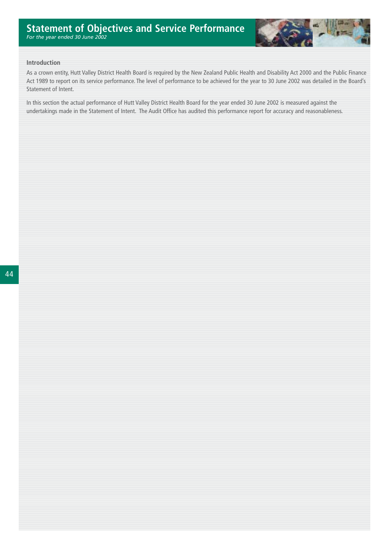

#### **Introduction**

As a crown entity, Hutt Valley District Health Board is required by the New Zealand Public Health and Disability Act 2000 and the Public Finance Act 1989 to report on its service performance. The level of performance to be achieved for the year to 30 June 2002 was detailed in the Board's Statement of Intent.

In this section the actual performance of Hutt Valley District Health Board for the year ended 30 June 2002 is measured against the undertakings made in the Statement of Intent. The Audit Office has audited this performance report for accuracy and reasonableness.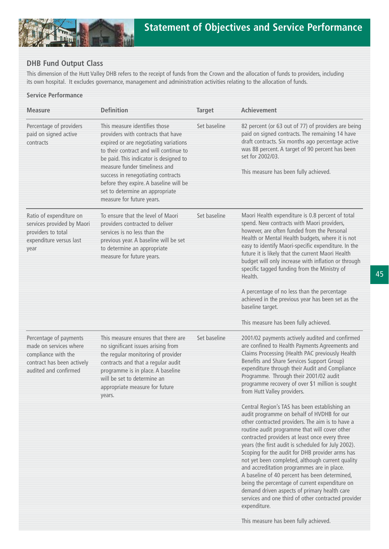## **DHB Fund Output Class**

This dimension of the Hutt Valley DHB refers to the receipt of funds from the Crown and the allocation of funds to providers, including its own hospital. It excludes governance, management and administration activities relating to the allocation of funds.

#### **Service Performance**

| <b>Measure</b>                                                                                                                 | <b>Definition</b>                                                                                                                                                                                                                                                                                                                                                                 | <b>Target</b> | <b>Achievement</b>                                                                                                                                                                                                                                                                                                                                                                                                                                                                                                                                                                                                                                                                                                                                                                                                                                                                                                                                                                                                                                                                                                     |
|--------------------------------------------------------------------------------------------------------------------------------|-----------------------------------------------------------------------------------------------------------------------------------------------------------------------------------------------------------------------------------------------------------------------------------------------------------------------------------------------------------------------------------|---------------|------------------------------------------------------------------------------------------------------------------------------------------------------------------------------------------------------------------------------------------------------------------------------------------------------------------------------------------------------------------------------------------------------------------------------------------------------------------------------------------------------------------------------------------------------------------------------------------------------------------------------------------------------------------------------------------------------------------------------------------------------------------------------------------------------------------------------------------------------------------------------------------------------------------------------------------------------------------------------------------------------------------------------------------------------------------------------------------------------------------------|
| Percentage of providers<br>paid on signed active<br>contracts                                                                  | This measure identifies those<br>providers with contracts that have<br>expired or are negotiating variations<br>to their contract and will continue to<br>be paid. This indicator is designed to<br>measure funder timeliness and<br>success in renegotiating contracts<br>before they expire. A baseline will be<br>set to determine an appropriate<br>measure for future years. | Set baseline  | 82 percent (or 63 out of 77) of providers are being<br>paid on signed contracts. The remaining 14 have<br>draft contracts. Six months ago percentage active<br>was 88 percent. A target of 90 percent has been<br>set for 2002/03.<br>This measure has been fully achieved.                                                                                                                                                                                                                                                                                                                                                                                                                                                                                                                                                                                                                                                                                                                                                                                                                                            |
| Ratio of expenditure on<br>services provided by Maori<br>providers to total<br>expenditure versus last<br>year                 | To ensure that the level of Maori<br>providers contracted to deliver<br>services is no less than the<br>previous year. A baseline will be set<br>to determine an appropriate<br>measure for future years.                                                                                                                                                                         | Set baseline  | Maori Health expenditure is 0.8 percent of total<br>spend. New contracts with Maori providers,<br>however, are often funded from the Personal<br>Health or Mental Health budgets, where it is not<br>easy to identify Maori-specific expenditure. In the<br>future it is likely that the current Maori Health<br>budget will only increase with inflation or through<br>specific tagged funding from the Ministry of<br>Health.<br>A percentage of no less than the percentage<br>achieved in the previous year has been set as the<br>baseline target.<br>This measure has been fully achieved.                                                                                                                                                                                                                                                                                                                                                                                                                                                                                                                       |
| Percentage of payments<br>made on services where<br>compliance with the<br>contract has been actively<br>audited and confirmed | This measure ensures that there are<br>no significant issues arising from<br>the regular monitoring of provider<br>contracts and that a regular audit<br>programme is in place. A baseline<br>will be set to determine an<br>appropriate measure for future<br>years.                                                                                                             | Set baseline  | 2001/02 payments actively audited and confirmed<br>are confined to Health Payments Agreements and<br>Claims Processing (Health PAC previously Health<br>Benefits and Share Services Support Group)<br>expenditure through their Audit and Compliance<br>Programme. Through their 2001/02 audit<br>programme recovery of over \$1 million is sought<br>from Hutt Valley providers.<br>Central Region's TAS has been establishing an<br>audit programme on behalf of HVDHB for our<br>other contracted providers. The aim is to have a<br>routine audit programme that will cover other<br>contracted providers at least once every three<br>years (the first audit is scheduled for July 2002).<br>Scoping for the audit for DHB provider arms has<br>not yet been completed, although current quality<br>and accreditation programmes are in place.<br>A baseline of 40 percent has been determined,<br>being the percentage of current expenditure on<br>demand driven aspects of primary health care<br>services and one third of other contracted provider<br>expenditure.<br>This measure has been fully achieved. |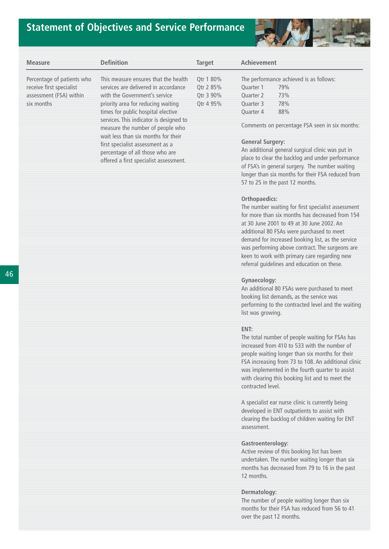# **Statement of Objectives and Service Performance**



| <b>Measure</b>             | <b>Definition</b>                                                                                                                                    | Target    | Achievement                                                                                                                     |
|----------------------------|------------------------------------------------------------------------------------------------------------------------------------------------------|-----------|---------------------------------------------------------------------------------------------------------------------------------|
| Percentage of patients who | This measure ensures that the health                                                                                                                 | Otr 1 80% | The performance achieved is as follows:                                                                                         |
| receive first specialist   | services are delivered in accordance                                                                                                                 | Qtr 2 85% | Quarter 1<br>79%                                                                                                                |
| assessment (FSA) within    | with the Government's service                                                                                                                        | Otr 3 90% | 73%<br>Quarter 2                                                                                                                |
| six months                 | priority area for reducing waiting                                                                                                                   | Otr 4 95% | Ouarter 3<br>78%                                                                                                                |
|                            | times for public hospital elective                                                                                                                   |           | 88%<br>Quarter 4                                                                                                                |
|                            | services. This indicator is designed to<br>measure the number of people who                                                                          |           | Comments on percentage FSA seen in six months:                                                                                  |
|                            | wait less than six months for their<br>first specialist assessment as a<br>percentage of all those who are<br>offered a first specialist assessment. |           | <b>General Surgery:</b><br>An additional general surgical clinic was put in<br>place to clear the backlog and under performance |

of FSA's in general surgery. The number waiting longer than six months for their FSA reduced from 57 to 25 in the past 12 months.

#### **Orthopaedics:**

The number waiting for first specialist assessment for more than six months has decreased from 154 at 30 June 2001 to 49 at 30 June 2002. An additional 80 FSAs were purchased to meet demand for increased booking list, as the service was performing above contract. The surgeons are keen to work with primary care regarding new referral guidelines and education on these.

#### **Gynaecology:**

An additional 80 FSAs were purchased to meet booking list demands, as the service was performing to the contracted level and the waiting list was growing.

#### **ENT:**

The total number of people waiting for FSAs has increased from 410 to 533 with the number of people waiting longer than six months for their FSA increasing from 73 to 108. An additional clinic was implemented in the fourth quarter to assist with clearing this booking list and to meet the contracted level.

A specialist ear nurse clinic is currently being developed in ENT outpatients to assist with clearing the backlog of children waiting for ENT assessment.

#### **Gastroenterology:**

Active review of this booking list has been undertaken. The number waiting longer than six months has decreased from 79 to 16 in the past 12 months.

#### **Dermatology:**

The number of people waiting longer than six months for their FSA has reduced from 56 to 41 over the past 12 months.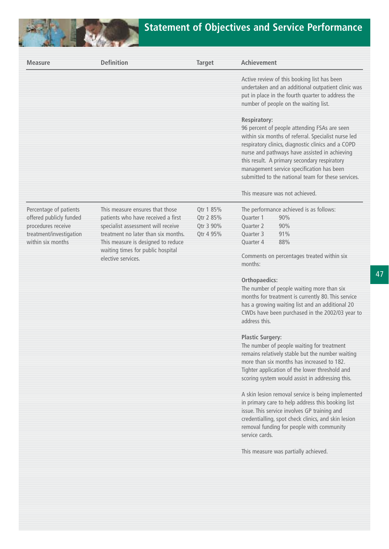| <b>Definition</b>                                                                                                                                                                                                                                   | <b>Target</b>                                    | <b>Achievement</b>                                                                                                                                                                                                                                                                                                                                                                                                                                                                                                                                                                                                                                                                                                                                                                                                                                                                                                                                                          |
|-----------------------------------------------------------------------------------------------------------------------------------------------------------------------------------------------------------------------------------------------------|--------------------------------------------------|-----------------------------------------------------------------------------------------------------------------------------------------------------------------------------------------------------------------------------------------------------------------------------------------------------------------------------------------------------------------------------------------------------------------------------------------------------------------------------------------------------------------------------------------------------------------------------------------------------------------------------------------------------------------------------------------------------------------------------------------------------------------------------------------------------------------------------------------------------------------------------------------------------------------------------------------------------------------------------|
|                                                                                                                                                                                                                                                     |                                                  | Active review of this booking list has been<br>undertaken and an additional outpatient clinic was<br>put in place in the fourth quarter to address the<br>number of people on the waiting list.                                                                                                                                                                                                                                                                                                                                                                                                                                                                                                                                                                                                                                                                                                                                                                             |
|                                                                                                                                                                                                                                                     |                                                  | <b>Respiratory:</b><br>96 percent of people attending FSAs are seen<br>within six months of referral. Specialist nurse led<br>respiratory clinics, diagnostic clinics and a COPD<br>nurse and pathways have assisted in achieving<br>this result. A primary secondary respiratory<br>management service specification has been<br>submitted to the national team for these services.<br>This measure was not achieved.                                                                                                                                                                                                                                                                                                                                                                                                                                                                                                                                                      |
| This measure ensures that those<br>patients who have received a first<br>specialist assessment will receive<br>treatment no later than six months.<br>This measure is designed to reduce<br>waiting times for public hospital<br>elective services. | Qtr 1 85%<br>Qtr 2 85%<br>Otr 3 90%<br>Qtr 4 95% | The performance achieved is as follows:<br>90%<br>Quarter 1<br>90%<br>Quarter 2<br>91%<br>Quarter 3<br>88%<br>Quarter 4<br>Comments on percentages treated within six<br>months:<br>Orthopaedics:<br>The number of people waiting more than six<br>months for treatment is currently 80. This service<br>has a growing waiting list and an additional 20<br>CWDs have been purchased in the 2002/03 year to<br>address this.<br><b>Plastic Surgery:</b><br>The number of people waiting for treatment<br>remains relatively stable but the number waiting<br>more than six months has increased to 182.<br>Tighter application of the lower threshold and<br>scoring system would assist in addressing this.<br>A skin lesion removal service is being implemented<br>in primary care to help address this booking list<br>issue. This service involves GP training and<br>credentialling, spot check clinics, and skin lesion<br>removal funding for people with community |
|                                                                                                                                                                                                                                                     |                                                  |                                                                                                                                                                                                                                                                                                                                                                                                                                                                                                                                                                                                                                                                                                                                                                                                                                                                                                                                                                             |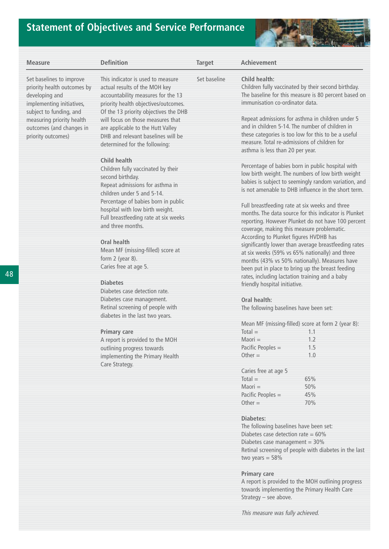# **Statement of Objectives and Service Performance**

48



| <b>Measure</b>                                                                                                                    | <b>Definition</b>                                                                                                                                                                         | <b>Target</b> | Achievement                                                                                                                                                                                                                                           |
|-----------------------------------------------------------------------------------------------------------------------------------|-------------------------------------------------------------------------------------------------------------------------------------------------------------------------------------------|---------------|-------------------------------------------------------------------------------------------------------------------------------------------------------------------------------------------------------------------------------------------------------|
| Set baselines to improve<br>priority health outcomes by<br>developing and<br>implementing initiatives,<br>subject to funding, and | This indicator is used to measure<br>actual results of the MOH key<br>accountability measures for the 13<br>priority health objectives/outcomes.<br>Of the 13 priority objectives the DHB | Set baseline  | Child health:<br>Children fully vaccinated by their second birthday.<br>The baseline for this measure is 80 percent based on<br>immunisation co-ordinator data.                                                                                       |
| measuring priority health<br>outcomes (and changes in<br>priority outcomes)                                                       | will focus on those measures that<br>are applicable to the Hutt Valley<br>DHB and relevant baselines will be<br>determined for the following:                                             |               | Repeat admissions for asthma in children under 5<br>and in children 5-14. The number of children in<br>these categories is too low for this to be a useful<br>measure. Total re-admissions of children for<br>asthma is less than 20 per year.        |
|                                                                                                                                   | <b>Child health</b><br>Children fully vaccinated by their<br>second birthday.<br>Repeat admissions for asthma in<br>children under 5 and 5-14.                                            |               | Percentage of babies born in public hospital with<br>low birth weight. The numbers of low birth weight<br>babies is subject to seemingly random variation, and<br>is not amenable to DHB influence in the short term.                                 |
|                                                                                                                                   | Percentage of babies born in public<br>hospital with low birth weight.<br>Full breastfeeding rate at six weeks<br>and three months.                                                       |               | Full breastfeeding rate at six weeks and three<br>months. The data source for this indicator is Plunket<br>reporting. However Plunket do not have 100 percent<br>coverage, making this measure problematic.                                           |
|                                                                                                                                   | <b>Oral health</b><br>Mean MF (missing-filled) score at<br>form 2 (year 8).<br>Caries free at age 5.                                                                                      |               | According to Plunket figures HVDHB has<br>significantly lower than average breastfeeding rates<br>at six weeks (59% vs 65% nationally) and three<br>months (43% vs 50% nationally). Measures have<br>been put in place to bring up the breast feeding |
|                                                                                                                                   | <b>Diabetes</b><br>Diabetes case detection rate.<br>Diabetes case management.                                                                                                             |               | rates, including lactation training and a baby<br>friendly hospital initiative.<br>Oral health:                                                                                                                                                       |
|                                                                                                                                   | Retinal screening of people with<br>diabetes in the last two years.<br><b>Primary care</b>                                                                                                |               | The following baselines have been set:<br>Mean MF (missing-filled) score at form 2 (year 8):<br>$Total =$<br>1.1                                                                                                                                      |
|                                                                                                                                   | A report is provided to the MOH<br>outlining progress towards<br>implementing the Primary Health                                                                                          |               | $Maori =$<br>1.2<br>Pacific Peoples =<br>1.5<br>Other $=$<br>1.0                                                                                                                                                                                      |
|                                                                                                                                   | Care Strategy.                                                                                                                                                                            |               | Caries free at age 5<br>$Total =$<br>65%<br>$Ma$ ori =<br>50%<br>Pacific Peoples $=$<br>45%                                                                                                                                                           |
|                                                                                                                                   |                                                                                                                                                                                           |               | Other $=$<br>70%<br><b>Diabetes:</b><br>The following baselines have been set:<br>Diabetes case detection rate = $60\%$                                                                                                                               |
|                                                                                                                                   |                                                                                                                                                                                           |               | Diabetes case management = $30\%$<br>Retinal screening of people with diabetes in the last<br>two years $= 58\%$                                                                                                                                      |
|                                                                                                                                   |                                                                                                                                                                                           |               | <b>Primary care</b>                                                                                                                                                                                                                                   |

A report is provided to the MOH outlining progress towards implementing the Primary Health Care Strategy – see above.

This measure was fully achieved.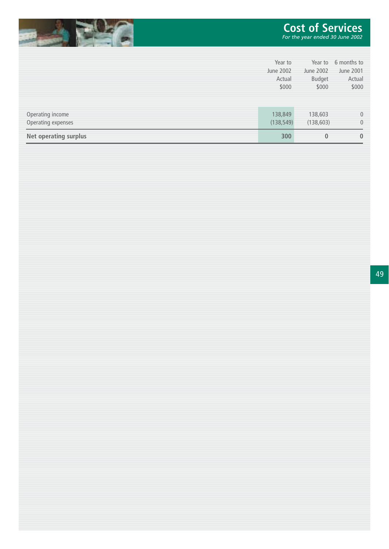

|                              | Year to    | Year to    | 6 months to      |
|------------------------------|------------|------------|------------------|
|                              | June 2002  | June 2002  | <b>June 2001</b> |
|                              | Actual     | Budget     | Actual           |
|                              | \$000      | \$000      | \$000            |
| Operating income             | 138,849    | 138,603    | 0                |
| Operating expenses           | (138, 549) | (138, 603) | 0                |
| <b>Net operating surplus</b> | 300        |            | $\mathbf 0$      |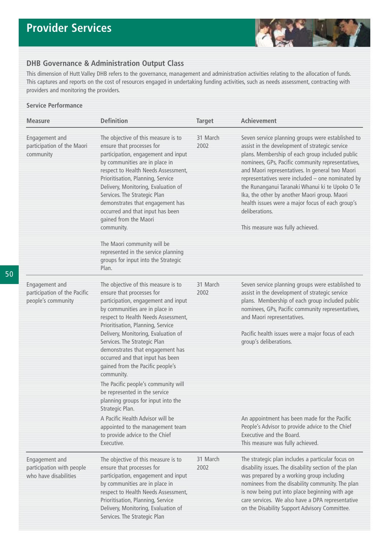

## **DHB Governance & Administration Output Class**

This dimension of Hutt Valley DHB refers to the governance, management and administration activities relating to the allocation of funds. This captures and reports on the cost of resources engaged in undertaking funding activities, such as needs assessment, contracting with providers and monitoring the providers.

## **Service Performance**

| <b>Measure</b>                                                       | <b>Definition</b>                                                                                                                                                                                                                                                                                                                                                                                                                                                                                                                                                                                                               | <b>Target</b>    | Achievement                                                                                                                                                                                                                                                                                                                                                                                                                                                                                                                     |
|----------------------------------------------------------------------|---------------------------------------------------------------------------------------------------------------------------------------------------------------------------------------------------------------------------------------------------------------------------------------------------------------------------------------------------------------------------------------------------------------------------------------------------------------------------------------------------------------------------------------------------------------------------------------------------------------------------------|------------------|---------------------------------------------------------------------------------------------------------------------------------------------------------------------------------------------------------------------------------------------------------------------------------------------------------------------------------------------------------------------------------------------------------------------------------------------------------------------------------------------------------------------------------|
| Engagement and<br>participation of the Maori<br>community            | The objective of this measure is to<br>ensure that processes for<br>participation, engagement and input<br>by communities are in place in<br>respect to Health Needs Assessment,<br>Prioritisation, Planning, Service<br>Delivery, Monitoring, Evaluation of<br>Services. The Strategic Plan<br>demonstrates that engagement has<br>occurred and that input has been<br>gained from the Maori<br>community.<br>The Maori community will be<br>represented in the service planning<br>groups for input into the Strategic<br>Plan.                                                                                               | 31 March<br>2002 | Seven service planning groups were established to<br>assist in the development of strategic service<br>plans. Membership of each group included public<br>nominees, GPs, Pacific community representatives,<br>and Maori representatives. In general two Maori<br>representatives were included - one nominated by<br>the Runanganui Taranaki Whanui ki te Upoko O Te<br>Ika, the other by another Maori group. Maori<br>health issues were a major focus of each group's<br>deliberations.<br>This measure was fully achieved. |
| Engagement and<br>participation of the Pacific<br>people's community | The objective of this measure is to<br>ensure that processes for<br>participation, engagement and input<br>by communities are in place in<br>respect to Health Needs Assessment,<br>Prioritisation, Planning, Service<br>Delivery, Monitoring, Evaluation of<br>Services. The Strategic Plan<br>demonstrates that engagement has<br>occurred and that input has been<br>gained from the Pacific people's<br>community.<br>The Pacific people's community will<br>be represented in the service<br>planning groups for input into the<br>Strategic Plan.<br>A Pacific Health Advisor will be<br>appointed to the management team | 31 March<br>2002 | Seven service planning groups were established to<br>assist in the development of strategic service<br>plans. Membership of each group included public<br>nominees, GPs, Pacific community representatives,<br>and Maori representatives.<br>Pacific health issues were a major focus of each<br>group's deliberations.<br>An appointment has been made for the Pacific<br>People's Advisor to provide advice to the Chief                                                                                                      |
|                                                                      | to provide advice to the Chief<br>Executive.                                                                                                                                                                                                                                                                                                                                                                                                                                                                                                                                                                                    |                  | Executive and the Board.<br>This measure was fully achieved.                                                                                                                                                                                                                                                                                                                                                                                                                                                                    |
| Engagement and<br>participation with people<br>who have disabilities | The objective of this measure is to<br>ensure that processes for<br>participation, engagement and input<br>by communities are in place in<br>respect to Health Needs Assessment,<br>Prioritisation, Planning, Service<br>Delivery, Monitoring, Evaluation of<br>Services. The Strategic Plan                                                                                                                                                                                                                                                                                                                                    | 31 March<br>2002 | The strategic plan includes a particular focus on<br>disability issues. The disability section of the plan<br>was prepared by a working group including<br>nominees from the disability community. The plan<br>is now being put into place beginning with age<br>care services. We also have a DPA representative<br>on the Disability Support Advisory Committee.                                                                                                                                                              |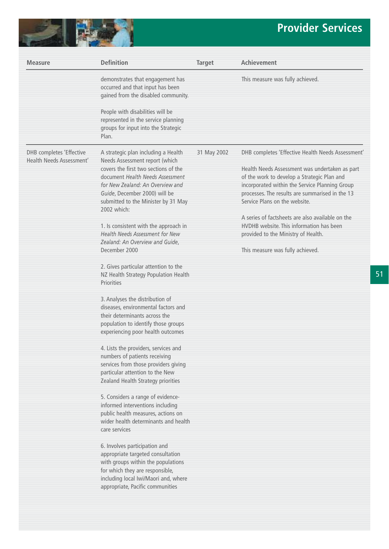

| <b>Measure</b>                                              | <b>Definition</b>                                                                                                                                                                                                                                                                                                                                                                                                                                                                                                                                                                                                                                                                                                                                                                                                                                                                                                                                                                                                                                                                                                                                                                                                                                                                              | <b>Target</b> | <b>Achievement</b>                                                                                                                                                                                                                                                                                                                                                                                                                                                  |
|-------------------------------------------------------------|------------------------------------------------------------------------------------------------------------------------------------------------------------------------------------------------------------------------------------------------------------------------------------------------------------------------------------------------------------------------------------------------------------------------------------------------------------------------------------------------------------------------------------------------------------------------------------------------------------------------------------------------------------------------------------------------------------------------------------------------------------------------------------------------------------------------------------------------------------------------------------------------------------------------------------------------------------------------------------------------------------------------------------------------------------------------------------------------------------------------------------------------------------------------------------------------------------------------------------------------------------------------------------------------|---------------|---------------------------------------------------------------------------------------------------------------------------------------------------------------------------------------------------------------------------------------------------------------------------------------------------------------------------------------------------------------------------------------------------------------------------------------------------------------------|
|                                                             | demonstrates that engagement has<br>occurred and that input has been<br>gained from the disabled community.                                                                                                                                                                                                                                                                                                                                                                                                                                                                                                                                                                                                                                                                                                                                                                                                                                                                                                                                                                                                                                                                                                                                                                                    |               | This measure was fully achieved.                                                                                                                                                                                                                                                                                                                                                                                                                                    |
|                                                             | People with disabilities will be<br>represented in the service planning<br>groups for input into the Strategic<br>Plan.                                                                                                                                                                                                                                                                                                                                                                                                                                                                                                                                                                                                                                                                                                                                                                                                                                                                                                                                                                                                                                                                                                                                                                        |               |                                                                                                                                                                                                                                                                                                                                                                                                                                                                     |
| <b>DHB</b> completes 'Effective<br>Health Needs Assessment' | A strategic plan including a Health<br>Needs Assessment report (which<br>covers the first two sections of the<br>document Health Needs Assessment<br>for New Zealand: An Overview and<br>Guide, December 2000) will be<br>submitted to the Minister by 31 May<br>2002 which:<br>1. Is consistent with the approach in<br>Health Needs Assessment for New<br>Zealand: An Overview and Guide,<br>December 2000<br>2. Gives particular attention to the<br>NZ Health Strategy Population Health<br>Priorities<br>3. Analyses the distribution of<br>diseases, environmental factors and<br>their determinants across the<br>population to identify those groups<br>experiencing poor health outcomes<br>4. Lists the providers, services and<br>numbers of patients receiving<br>services from those providers giving<br>particular attention to the New<br>Zealand Health Strategy priorities<br>5. Considers a range of evidence-<br>informed interventions including<br>public health measures, actions on<br>wider health determinants and health<br>care services<br>6. Involves participation and<br>appropriate targeted consultation<br>with groups within the populations<br>for which they are responsible,<br>including local Iwi/Maori and, where<br>appropriate, Pacific communities | 31 May 2002   | DHB completes 'Effective Health Needs Assessment'<br>Health Needs Assessment was undertaken as part<br>of the work to develop a Strategic Plan and<br>incorporated within the Service Planning Group<br>processes. The results are summarised in the 13<br>Service Plans on the website.<br>A series of factsheets are also available on the<br>HVDHB website. This information has been<br>provided to the Ministry of Health.<br>This measure was fully achieved. |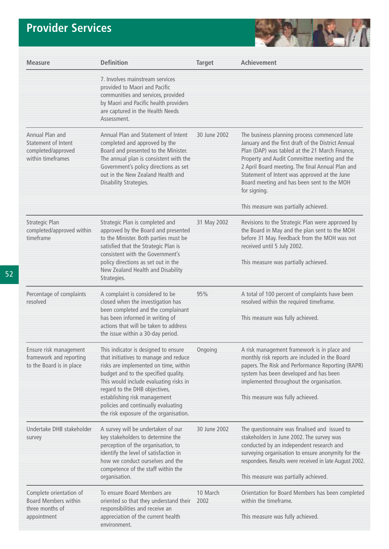

| <b>Measure</b>                                                                           | <b>Definition</b>                                                                                                                                                                                                                                                                                                                                          | <b>Target</b>    | <b>Achievement</b>                                                                                                                                                                                                                                                                                                                                                     |
|------------------------------------------------------------------------------------------|------------------------------------------------------------------------------------------------------------------------------------------------------------------------------------------------------------------------------------------------------------------------------------------------------------------------------------------------------------|------------------|------------------------------------------------------------------------------------------------------------------------------------------------------------------------------------------------------------------------------------------------------------------------------------------------------------------------------------------------------------------------|
|                                                                                          | 7. Involves mainstream services<br>provided to Maori and Pacific<br>communities and services, provided<br>by Maori and Pacific health providers<br>are captured in the Health Needs<br>Assessment.                                                                                                                                                         |                  |                                                                                                                                                                                                                                                                                                                                                                        |
| Annual Plan and<br>Statement of Intent<br>completed/approved<br>within timeframes        | Annual Plan and Statement of Intent<br>completed and approved by the<br>Board and presented to the Minister.<br>The annual plan is consistent with the<br>Government's policy directions as set<br>out in the New Zealand Health and<br>Disability Strategies.                                                                                             | 30 June 2002     | The business planning process commenced late<br>January and the first draft of the District Annual<br>Plan (DAP) was tabled at the 21 March Finance,<br>Property and Audit Committee meeting and the<br>2 April Board meeting. The final Annual Plan and<br>Statement of Intent was approved at the June<br>Board meeting and has been sent to the MOH<br>for signing. |
|                                                                                          |                                                                                                                                                                                                                                                                                                                                                            |                  | This measure was partially achieved.                                                                                                                                                                                                                                                                                                                                   |
| Strategic Plan<br>completed/approved within<br>timeframe                                 | Strategic Plan is completed and<br>approved by the Board and presented<br>to the Minister. Both parties must be<br>satisfied that the Strategic Plan is<br>consistent with the Government's                                                                                                                                                                | 31 May 2002      | Revisions to the Strategic Plan were approved by<br>the Board in May and the plan sent to the MOH<br>before 31 May. Feedback from the MOH was not<br>received until 5 July 2002.                                                                                                                                                                                       |
|                                                                                          | policy directions as set out in the<br>New Zealand Health and Disability<br>Strategies.                                                                                                                                                                                                                                                                    |                  | This measure was partially achieved.                                                                                                                                                                                                                                                                                                                                   |
| Percentage of complaints<br>resolved                                                     | A complaint is considered to be<br>closed when the investigation has<br>been completed and the complainant<br>has been informed in writing of<br>actions that will be taken to address<br>the issue within a 30-day period.                                                                                                                                | 95%              | A total of 100 percent of complaints have been<br>resolved within the required timeframe.<br>This measure was fully achieved.                                                                                                                                                                                                                                          |
| Ensure risk management<br>framework and reporting<br>to the Board is in place            | This indicator is designed to ensure<br>that initiatives to manage and reduce<br>risks are implemented on time, within<br>budget and to the specified quality.<br>This would include evaluating risks in<br>regard to the DHB objectives,<br>establishing risk management<br>policies and continually evaluating<br>the risk exposure of the organisation. | Ongoing          | A risk management framework is in place and<br>monthly risk reports are included in the Board<br>papers. The Risk and Performance Reporting (RAPR)<br>system has been developed and has been<br>implemented throughout the organisation.<br>This measure was fully achieved.                                                                                           |
| Undertake DHB stakeholder<br>survey                                                      | A survey will be undertaken of our<br>key stakeholders to determine the<br>perception of the organisation, to<br>identify the level of satisfaction in<br>how we conduct ourselves and the<br>competence of the staff within the<br>organisation.                                                                                                          | 30 June 2002     | The questionnaire was finalised and issued to<br>stakeholders in June 2002. The survey was<br>conducted by an independent research and<br>surveying organisation to ensure anonymity for the<br>respondees. Results were received in late August 2002.<br>This measure was partially achieved.                                                                         |
| Complete orientation of<br><b>Board Members within</b><br>three months of<br>appointment | To ensure Board Members are<br>oriented so that they understand their<br>responsibilities and receive an<br>appreciation of the current health<br>environment.                                                                                                                                                                                             | 10 March<br>2002 | Orientation for Board Members has been completed<br>within the timeframe.<br>This measure was fully achieved.                                                                                                                                                                                                                                                          |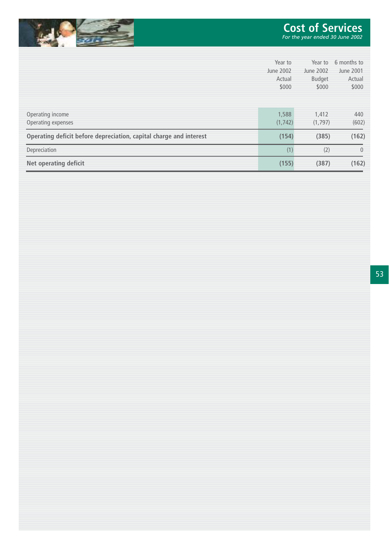

|                                                                    | Year to<br>June 2002<br>Actual<br>\$000 | Year to<br>June 2002<br>Budget<br>\$000 | 6 months to<br>June 2001<br>Actual<br>\$000 |
|--------------------------------------------------------------------|-----------------------------------------|-----------------------------------------|---------------------------------------------|
| Operating income<br>Operating expenses                             | 1,588<br>(1, 742)                       | 1,412<br>(1, 797)                       | 440<br>(602)                                |
| Operating deficit before depreciation, capital charge and interest | (154)                                   | (385)                                   | (162)                                       |
| Depreciation                                                       | (1)                                     | (2)                                     | $\Omega$                                    |
| <b>Net operating deficit</b>                                       | (155)                                   | (387)                                   | (162)                                       |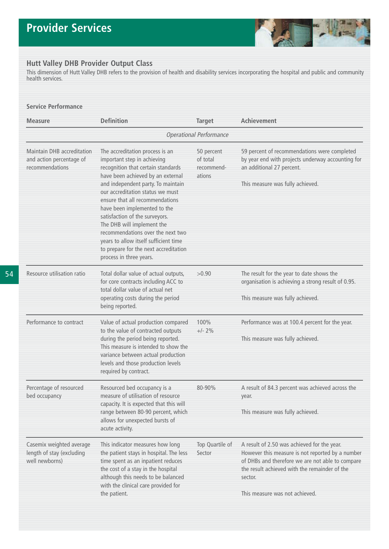

# **Hutt Valley DHB Provider Output Class**

This dimension of Hutt Valley DHB refers to the provision of health and disability services incorporating the hospital and public and community health services.

#### **Service Performance**

| <b>Measure</b>                                                            | <b>Definition</b>                                                                                                                                                                                                                                                                                                                                                                                                                                                                                        | <b>Target</b>                                  | Achievement                                                                                                                                                                                                                                       |  |  |
|---------------------------------------------------------------------------|----------------------------------------------------------------------------------------------------------------------------------------------------------------------------------------------------------------------------------------------------------------------------------------------------------------------------------------------------------------------------------------------------------------------------------------------------------------------------------------------------------|------------------------------------------------|---------------------------------------------------------------------------------------------------------------------------------------------------------------------------------------------------------------------------------------------------|--|--|
| <b>Operational Performance</b>                                            |                                                                                                                                                                                                                                                                                                                                                                                                                                                                                                          |                                                |                                                                                                                                                                                                                                                   |  |  |
| Maintain DHB accreditation<br>and action percentage of<br>recommendations | The accreditation process is an<br>important step in achieving<br>recognition that certain standards<br>have been achieved by an external<br>and independent party. To maintain<br>our accreditation status we must<br>ensure that all recommendations<br>have been implemented to the<br>satisfaction of the surveyors.<br>The DHB will implement the<br>recommendations over the next two<br>years to allow itself sufficient time<br>to prepare for the next accreditation<br>process in three years. | 50 percent<br>of total<br>recommend-<br>ations | 59 percent of recommendations were completed<br>by year end with projects underway accounting for<br>an additional 27 percent.<br>This measure was fully achieved.                                                                                |  |  |
| Resource utilisation ratio                                                | Total dollar value of actual outputs,<br>for core contracts including ACC to<br>total dollar value of actual net<br>operating costs during the period<br>being reported.                                                                                                                                                                                                                                                                                                                                 | >0.90                                          | The result for the year to date shows the<br>organisation is achieving a strong result of 0.95.<br>This measure was fully achieved.                                                                                                               |  |  |
| Performance to contract                                                   | Value of actual production compared<br>to the value of contracted outputs<br>during the period being reported.<br>This measure is intended to show the<br>variance between actual production<br>levels and those production levels<br>required by contract.                                                                                                                                                                                                                                              | 100%<br>$+/- 2%$                               | Performance was at 100.4 percent for the year.<br>This measure was fully achieved.                                                                                                                                                                |  |  |
| Percentage of resourced<br>bed occupancy                                  | Resourced bed occupancy is a<br>measure of utilisation of resource<br>capacity. It is expected that this will<br>range between 80-90 percent, which<br>allows for unexpected bursts of<br>acute activity.                                                                                                                                                                                                                                                                                                | 80-90%                                         | A result of 84.3 percent was achieved across the<br>year.<br>This measure was fully achieved.                                                                                                                                                     |  |  |
| Casemix weighted average<br>length of stay (excluding<br>well newborns)   | This indicator measures how long<br>the patient stays in hospital. The less<br>time spent as an inpatient reduces<br>the cost of a stay in the hospital<br>although this needs to be balanced<br>with the clinical care provided for<br>the patient.                                                                                                                                                                                                                                                     | Top Quartile of<br>Sector                      | A result of 2.50 was achieved for the year.<br>However this measure is not reported by a number<br>of DHBs and therefore we are not able to compare<br>the result achieved with the remainder of the<br>sector.<br>This measure was not achieved. |  |  |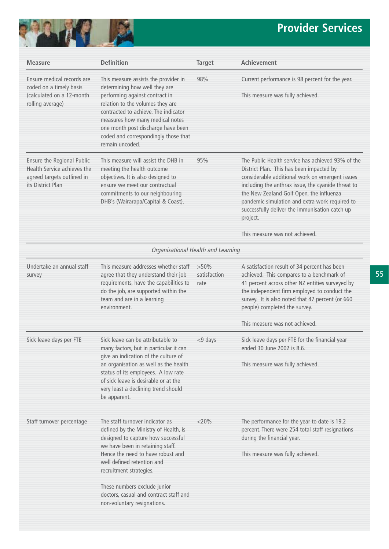# PANT LA

| <b>Measure</b>                                                                                               | <b>Definition</b>                                                                                                                                                                                                                                                                                                                                         | <b>Target</b>                   | <b>Achievement</b><br>Current performance is 98 percent for the year.<br>This measure was fully achieved.                                                                                                                                                                                                                                                                                            |  |  |
|--------------------------------------------------------------------------------------------------------------|-----------------------------------------------------------------------------------------------------------------------------------------------------------------------------------------------------------------------------------------------------------------------------------------------------------------------------------------------------------|---------------------------------|------------------------------------------------------------------------------------------------------------------------------------------------------------------------------------------------------------------------------------------------------------------------------------------------------------------------------------------------------------------------------------------------------|--|--|
| Ensure medical records are<br>coded on a timely basis<br>(calculated on a 12-month<br>rolling average)       | This measure assists the provider in<br>determining how well they are<br>performing against contract in<br>relation to the volumes they are<br>contracted to achieve. The indicator<br>measures how many medical notes<br>one month post discharge have been<br>coded and correspondingly those that<br>remain uncoded.                                   | 98%                             |                                                                                                                                                                                                                                                                                                                                                                                                      |  |  |
| Ensure the Regional Public<br>Health Service achieves the<br>agreed targets outlined in<br>its District Plan | This measure will assist the DHB in<br>meeting the health outcome<br>objectives. It is also designed to<br>ensure we meet our contractual<br>commitments to our neighbouring<br>DHB's (Wairarapa/Capital & Coast).                                                                                                                                        | 95%                             | The Public Health service has achieved 93% of the<br>District Plan. This has been impacted by<br>considerable additional work on emergent issues<br>including the anthrax issue, the cyanide threat to<br>the New Zealand Golf Open, the influenza<br>pandemic simulation and extra work required to<br>successfully deliver the immunisation catch up<br>project.<br>This measure was not achieved. |  |  |
|                                                                                                              | Organisational Health and Learning                                                                                                                                                                                                                                                                                                                        |                                 |                                                                                                                                                                                                                                                                                                                                                                                                      |  |  |
| Undertake an annual staff<br>survey                                                                          | This measure addresses whether staff<br>agree that they understand their job<br>requirements, have the capabilities to<br>do the job, are supported within the<br>team and are in a learning<br>environment.                                                                                                                                              | $>50\%$<br>satisfaction<br>rate | A satisfaction result of 34 percent has been<br>achieved. This compares to a benchmark of<br>41 percent across other NZ entities surveyed by<br>the independent firm employed to conduct the<br>survey. It is also noted that 47 percent (or 660<br>people) completed the survey.                                                                                                                    |  |  |
|                                                                                                              |                                                                                                                                                                                                                                                                                                                                                           |                                 | This measure was not achieved.                                                                                                                                                                                                                                                                                                                                                                       |  |  |
| Sick leave days per FTE                                                                                      | Sick leave can be attributable to<br>many factors, but in particular it can<br>give an indication of the culture of<br>an organisation as well as the health<br>status of its employees. A low rate<br>of sick leave is desirable or at the<br>very least a declining trend should<br>be apparent.                                                        | $<$ 9 days                      | Sick leave days per FTE for the financial year<br>ended 30 June 2002 is 8.6.<br>This measure was fully achieved.                                                                                                                                                                                                                                                                                     |  |  |
| Staff turnover percentage                                                                                    | The staff turnover indicator as<br>defined by the Ministry of Health, is<br>designed to capture how successful<br>we have been in retaining staff.<br>Hence the need to have robust and<br>well defined retention and<br>recruitment strategies.<br>These numbers exclude junior<br>doctors, casual and contract staff and<br>non-voluntary resignations. | $<$ 20%                         | The performance for the year to date is 19.2<br>percent. There were 254 total staff resignations<br>during the financial year.<br>This measure was fully achieved.                                                                                                                                                                                                                                   |  |  |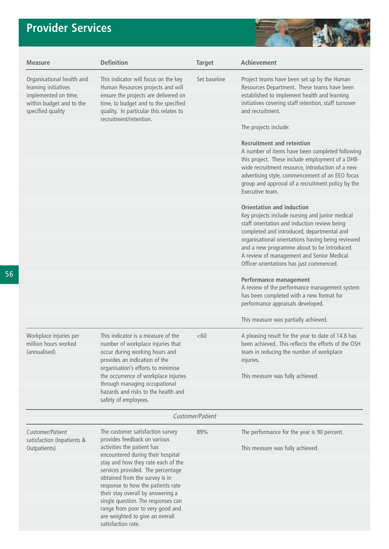

| <b>Measure</b>                                                                                                             | <b>Definition</b>                                                                                                                                                                                                                                                                                                                                                                                                                                             | <b>Target</b>    | Achievement                                                                                                                                                                                                                                                                                                                                                                    |
|----------------------------------------------------------------------------------------------------------------------------|---------------------------------------------------------------------------------------------------------------------------------------------------------------------------------------------------------------------------------------------------------------------------------------------------------------------------------------------------------------------------------------------------------------------------------------------------------------|------------------|--------------------------------------------------------------------------------------------------------------------------------------------------------------------------------------------------------------------------------------------------------------------------------------------------------------------------------------------------------------------------------|
| Organisational health and<br>learning initiatives<br>implemented on time,<br>within budget and to the<br>specified quality | This indicator will focus on the key<br>Human Resources projects and will<br>ensure the projects are delivered on<br>time, to budget and to the specified<br>quality. In particular this relates to<br>recruitment/retention.                                                                                                                                                                                                                                 | Set baseline     | Project teams have been set up by the Human<br>Resources Department. These teams have been<br>established to implement health and learning<br>initiatives covering staff retention, staff turnover<br>and recruitment.<br>The projects include:                                                                                                                                |
|                                                                                                                            |                                                                                                                                                                                                                                                                                                                                                                                                                                                               |                  |                                                                                                                                                                                                                                                                                                                                                                                |
|                                                                                                                            |                                                                                                                                                                                                                                                                                                                                                                                                                                                               |                  | <b>Recruitment and retention</b><br>A number of items have been completed following<br>this project. These include employment of a DHB-<br>wide recruitment resource, introduction of a new<br>advertising style, commencement of an EEO focus<br>group and approval of a recruitment policy by the<br>Executive team.                                                         |
|                                                                                                                            |                                                                                                                                                                                                                                                                                                                                                                                                                                                               |                  | <b>Orientation and induction</b><br>Key projects include nursing and junior medical<br>staff orientation and induction review being<br>completed and introduced, departmental and<br>organisational orientations having being reviewed<br>and a new programme about to be introduced.<br>A review of management and Senior Medical<br>Officer orientations has just commenced. |
|                                                                                                                            |                                                                                                                                                                                                                                                                                                                                                                                                                                                               |                  | Performance management<br>A review of the performance management system<br>has been completed with a new format for<br>performance appraisals developed.                                                                                                                                                                                                                       |
|                                                                                                                            |                                                                                                                                                                                                                                                                                                                                                                                                                                                               |                  | This measure was partially achieved.                                                                                                                                                                                                                                                                                                                                           |
| Workplace injuries per<br>million hours worked<br>(annualised)                                                             | This indicator is a measure of the<br>number of workplace injuries that<br>occur during working hours and<br>provides an indication of the                                                                                                                                                                                                                                                                                                                    | < 60             | A pleasing result for the year to date of 14.8 has<br>been achieved. This reflects the efforts of the OSH<br>team in reducing the number of workplace<br>injuries.                                                                                                                                                                                                             |
|                                                                                                                            | organisation's efforts to minimise<br>the occurrence of workplace injuries<br>through managing occupational<br>hazards and risks to the health and<br>safety of employees.                                                                                                                                                                                                                                                                                    |                  | This measure was fully achieved.                                                                                                                                                                                                                                                                                                                                               |
|                                                                                                                            |                                                                                                                                                                                                                                                                                                                                                                                                                                                               | Customer/Patient |                                                                                                                                                                                                                                                                                                                                                                                |
| Customer/Patient                                                                                                           | The customer satisfaction survey<br>provides feedback on various<br>activities the patient has<br>encountered during their hospital<br>stay and how they rate each of the<br>services provided. The percentage<br>obtained from the survey is in<br>response to how the patients rate<br>their stay overall by answering a<br>single question. The responses can<br>range from poor to very good and<br>are weighted to give an overall<br>satisfaction rate. | 89%              | The performance for the year is 90 percent.                                                                                                                                                                                                                                                                                                                                    |
| satisfaction (Inpatients &<br>Outpatients)                                                                                 |                                                                                                                                                                                                                                                                                                                                                                                                                                                               |                  | This measure was fully achieved.                                                                                                                                                                                                                                                                                                                                               |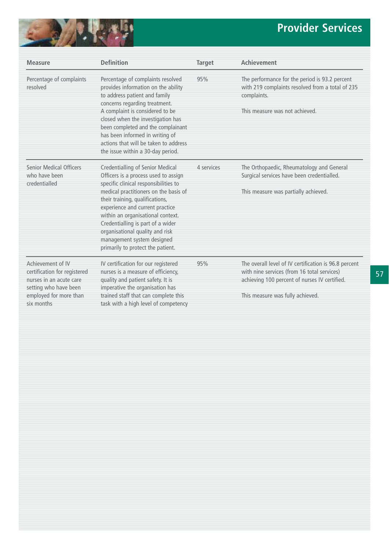

| <b>Measure</b>                                                                                                                                | <b>Definition</b>                                                                                                                                                                                                                                                                                                                                                                                                       | <b>Target</b> | <b>Achievement</b>                                                                                                                                                                        |
|-----------------------------------------------------------------------------------------------------------------------------------------------|-------------------------------------------------------------------------------------------------------------------------------------------------------------------------------------------------------------------------------------------------------------------------------------------------------------------------------------------------------------------------------------------------------------------------|---------------|-------------------------------------------------------------------------------------------------------------------------------------------------------------------------------------------|
| Percentage of complaints<br>resolved                                                                                                          | Percentage of complaints resolved<br>provides information on the ability<br>to address patient and family<br>concerns regarding treatment.<br>A complaint is considered to be<br>closed when the investigation has<br>been completed and the complainant<br>has been informed in writing of<br>actions that will be taken to address<br>the issue within a 30-day period.                                               | 95%           | The performance for the period is 93.2 percent<br>with 219 complaints resolved from a total of 235<br>complaints.<br>This measure was not achieved.                                       |
| <b>Senior Medical Officers</b><br>who have been<br>credentialled                                                                              | <b>Credentialling of Senior Medical</b><br>Officers is a process used to assign<br>specific clinical responsibilities to<br>medical practitioners on the basis of<br>their training, qualifications,<br>experience and current practice<br>within an organisational context.<br>Credentialling is part of a wider<br>organisational quality and risk<br>management system designed<br>primarily to protect the patient. | 4 services    | The Orthopaedic, Rheumatology and General<br>Surgical services have been credentialled.<br>This measure was partially achieved.                                                           |
| Achievement of IV<br>certification for registered<br>nurses in an acute care<br>setting who have been<br>employed for more than<br>six months | IV certification for our registered<br>nurses is a measure of efficiency,<br>quality and patient safety. It is<br>imperative the organisation has<br>trained staff that can complete this<br>task with a high level of competency                                                                                                                                                                                       | 95%           | The overall level of IV certification is 96.8 percent<br>with nine services (from 16 total services)<br>achieving 100 percent of nurses IV certified.<br>This measure was fully achieved. |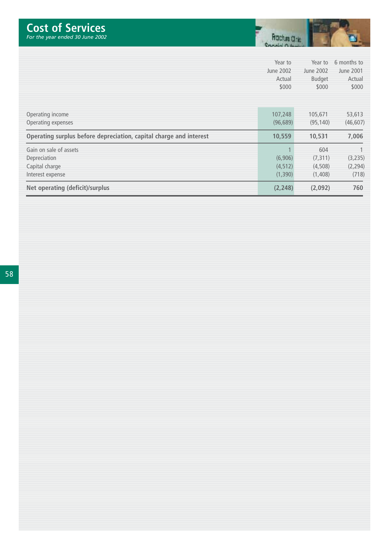| <b>Cost of Services</b><br>For the year ended 30 June 2002                   | <b>Racture a</b> -in            |                                        |                               |
|------------------------------------------------------------------------------|---------------------------------|----------------------------------------|-------------------------------|
|                                                                              | Year to<br><b>June 2002</b>     | Year to<br>June 2002                   | 6 months to<br>June 2001      |
|                                                                              | Actual<br>\$000                 | <b>Budget</b><br>\$000                 | Actual<br>\$000               |
| Operating income<br>Operating expenses                                       | 107,248<br>(96, 689)            | 105,671<br>(95, 140)                   | 53,613<br>(46, 607)           |
| Operating surplus before depreciation, capital charge and interest           | 10,559                          | 10,531                                 | 7,006                         |
| Gain on sale of assets<br>Depreciation<br>Capital charge<br>Interest expense | (6,906)<br>(4, 512)<br>(1, 390) | 604<br>(7, 311)<br>(4,508)<br>(1, 408) | (3, 235)<br>(2, 294)<br>(718) |
| Net operating (deficit)/surplus                                              | (2, 248)                        | (2,092)                                | 760                           |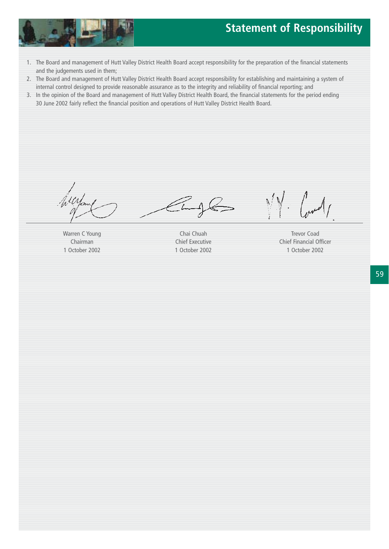# **Statement of Responsibility**



- 1. The Board and management of Hutt Valley District Health Board accept responsibility for the preparation of the financial statements and the judgements used in them;
- 2. The Board and management of Hutt Valley District Health Board accept responsibility for establishing and maintaining a system of internal control designed to provide reasonable assurance as to the integrity and reliability of financial reporting; and
- 3. In the opinion of the Board and management of Hutt Valley District Health Board, the financial statements for the period ending 30 June 2002 fairly reflect the financial position and operations of Hutt Valley District Health Board.

 $\overline{\phantom{0}}$  $4<sub>6</sub>$ 

Warren C Young Chai Chuah Chai Chuah Chai Chuah Trevor Coad Chairman Chief Executive Chief Financial Officer 1 October 2002 1 October 2002 1 October 2002